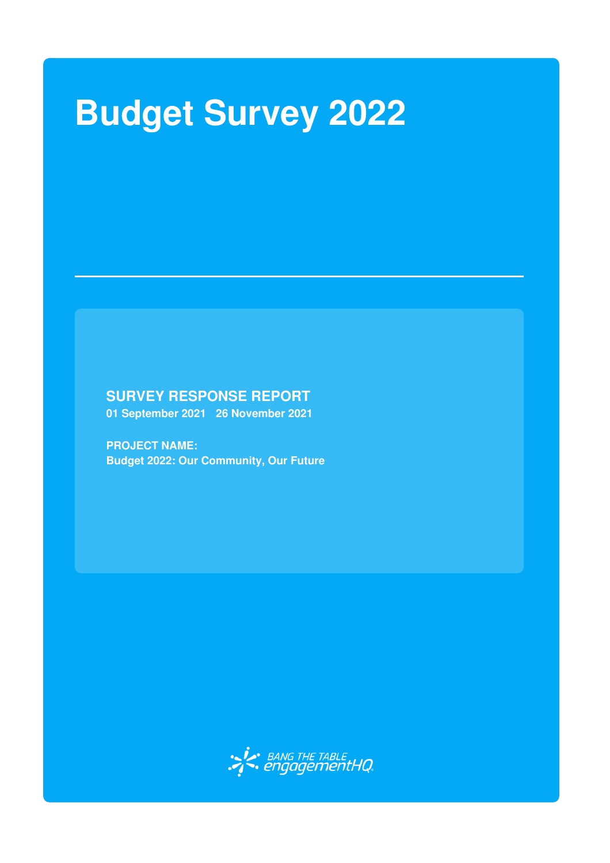# **Budget Survey 2022**

# **SURVEY RESPONSE REPORT**

 **- 01 September 2021 26 November 2021**

 **Budget 2022: Our Community, Our FuturePROJECT NAME:**

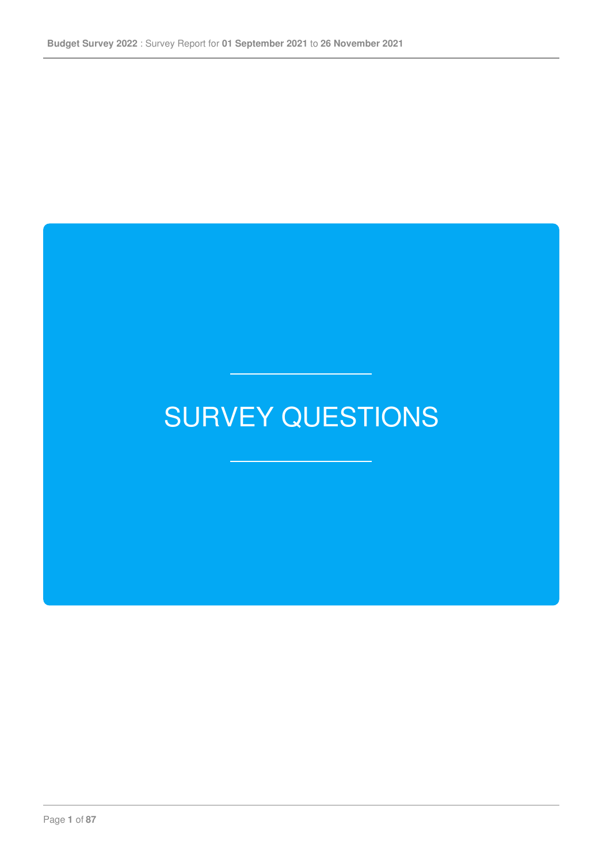# SURVEY QUESTIONS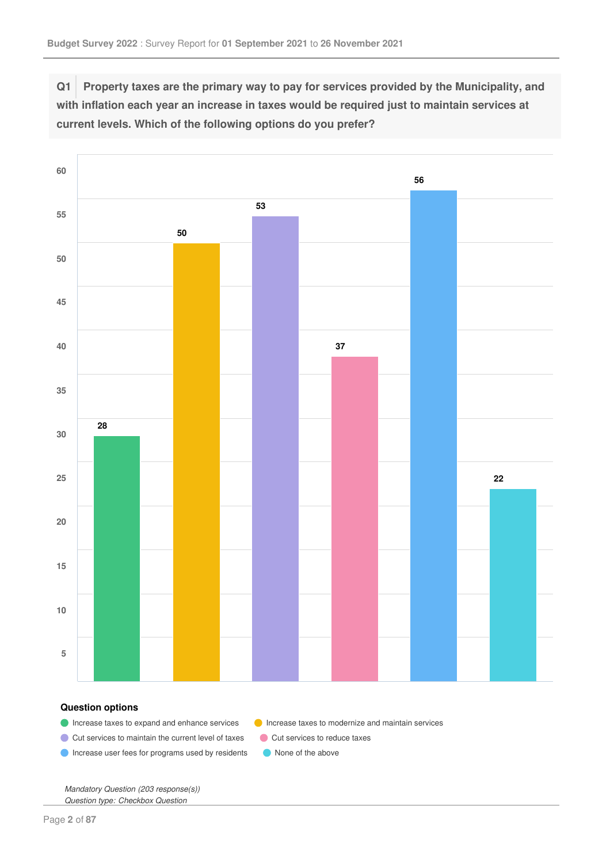**Q1 Property taxes are the primary way to pay for services provided by the Municipality, and with inflation each year an increase in taxes would be required just to maintain services at current levels. Which of the following options do you prefer?**



### **Question options**

Increase taxes to expand and enhance services

 $\bigcirc$  Increase taxes to modernize and maintain services

- Cut services to maintain the current level of taxes **Cult Services to reduce taxes**
- Increase user fees for programs used by residents **None of the above**

 *Mandatory Question (203 response(s)) Question type: Checkbox Question*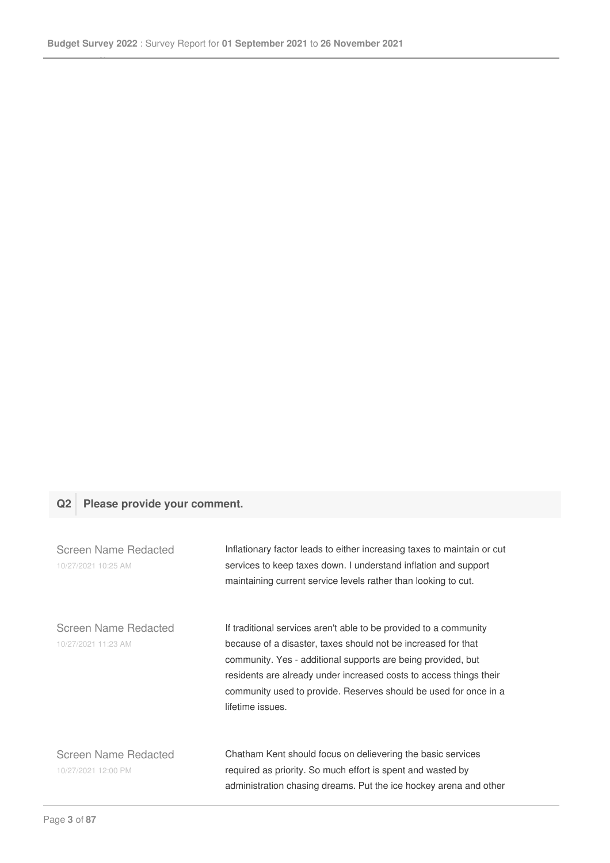*yp*

### **Q2 Please provide your comment.**

| Screen Name Redacted<br>10/27/2021 10:25 AM | Inflationary factor leads to either increasing taxes to maintain or cut<br>services to keep taxes down. I understand inflation and support<br>maintaining current service levels rather than looking to cut.                                                                                                                                                     |
|---------------------------------------------|------------------------------------------------------------------------------------------------------------------------------------------------------------------------------------------------------------------------------------------------------------------------------------------------------------------------------------------------------------------|
| Screen Name Redacted<br>10/27/2021 11:23 AM | If traditional services aren't able to be provided to a community<br>because of a disaster, taxes should not be increased for that<br>community. Yes - additional supports are being provided, but<br>residents are already under increased costs to access things their<br>community used to provide. Reserves should be used for once in a<br>lifetime issues. |
| Screen Name Redacted<br>10/27/2021 12:00 PM | Chatham Kent should focus on delievering the basic services<br>required as priority. So much effort is spent and wasted by<br>administration chasing dreams. Put the ice hockey arena and other                                                                                                                                                                  |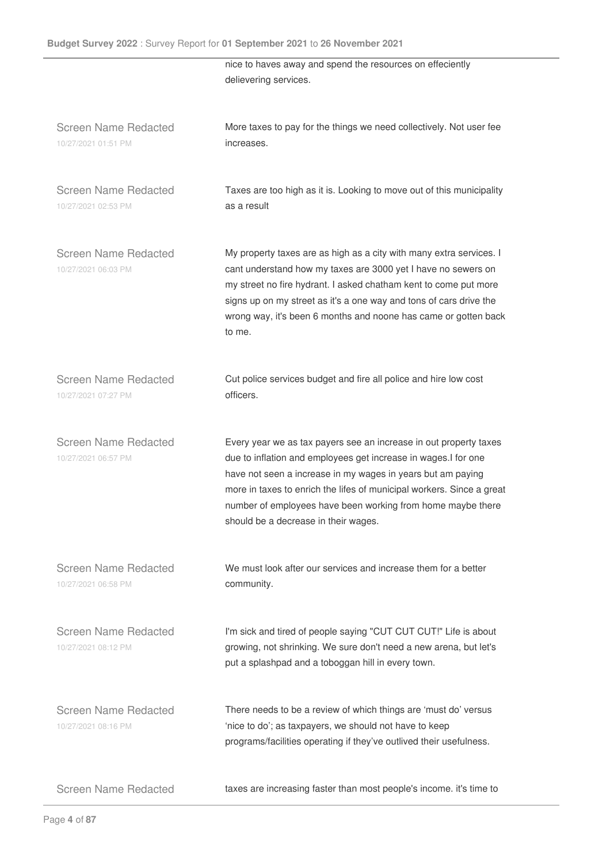|                                                    | nice to haves away and spend the resources on effeciently<br>delievering services.                                                                                                                                                                                                                                                                                                 |  |  |  |  |
|----------------------------------------------------|------------------------------------------------------------------------------------------------------------------------------------------------------------------------------------------------------------------------------------------------------------------------------------------------------------------------------------------------------------------------------------|--|--|--|--|
| <b>Screen Name Redacted</b><br>10/27/2021 01:51 PM | More taxes to pay for the things we need collectively. Not user fee<br>increases.                                                                                                                                                                                                                                                                                                  |  |  |  |  |
| <b>Screen Name Redacted</b><br>10/27/2021 02:53 PM | Taxes are too high as it is. Looking to move out of this municipality<br>as a result                                                                                                                                                                                                                                                                                               |  |  |  |  |
| <b>Screen Name Redacted</b><br>10/27/2021 06:03 PM | My property taxes are as high as a city with many extra services. I<br>cant understand how my taxes are 3000 yet I have no sewers on<br>my street no fire hydrant. I asked chatham kent to come put more<br>signs up on my street as it's a one way and tons of cars drive the<br>wrong way, it's been 6 months and noone has came or gotten back<br>to me.                        |  |  |  |  |
| Screen Name Redacted<br>10/27/2021 07:27 PM        | Cut police services budget and fire all police and hire low cost<br>officers.                                                                                                                                                                                                                                                                                                      |  |  |  |  |
| <b>Screen Name Redacted</b><br>10/27/2021 06:57 PM | Every year we as tax payers see an increase in out property taxes<br>due to inflation and employees get increase in wages.I for one<br>have not seen a increase in my wages in years but am paying<br>more in taxes to enrich the lifes of municipal workers. Since a great<br>number of employees have been working from home maybe there<br>should be a decrease in their wages. |  |  |  |  |
| Screen Name Redacted<br>10/27/2021 06:58 PM        | We must look after our services and increase them for a better<br>community.                                                                                                                                                                                                                                                                                                       |  |  |  |  |
| Screen Name Redacted<br>10/27/2021 08:12 PM        | I'm sick and tired of people saying "CUT CUT CUT!" Life is about<br>growing, not shrinking. We sure don't need a new arena, but let's<br>put a splashpad and a toboggan hill in every town.                                                                                                                                                                                        |  |  |  |  |
| <b>Screen Name Redacted</b><br>10/27/2021 08:16 PM | There needs to be a review of which things are 'must do' versus<br>'nice to do'; as taxpayers, we should not have to keep<br>programs/facilities operating if they've outlived their usefulness.                                                                                                                                                                                   |  |  |  |  |
| <b>Screen Name Redacted</b>                        | taxes are increasing faster than most people's income. it's time to                                                                                                                                                                                                                                                                                                                |  |  |  |  |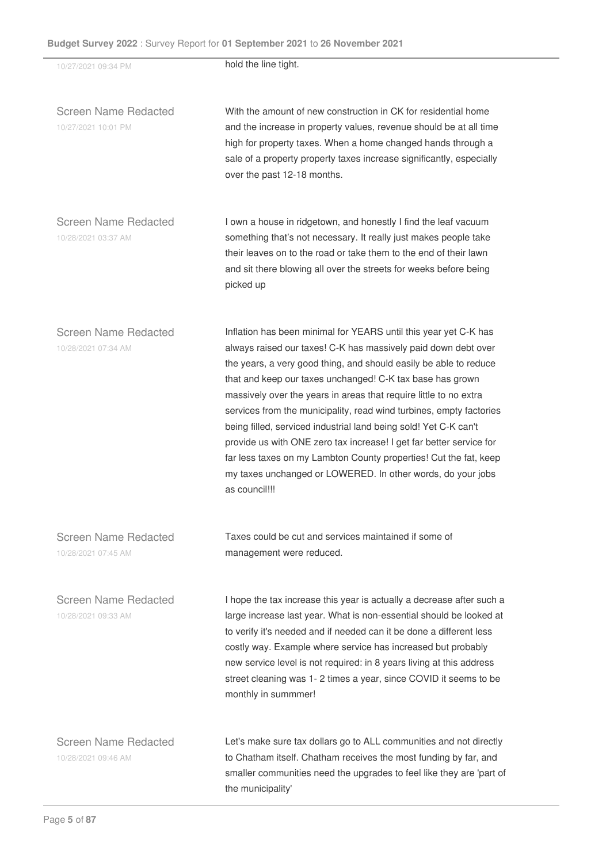| 10/27/2021 09:34 PM                                | hold the line tight.                                                                                                                                                                                                                                                                                                                                                                                                                                                                                                                                                                                                                                                                                             |
|----------------------------------------------------|------------------------------------------------------------------------------------------------------------------------------------------------------------------------------------------------------------------------------------------------------------------------------------------------------------------------------------------------------------------------------------------------------------------------------------------------------------------------------------------------------------------------------------------------------------------------------------------------------------------------------------------------------------------------------------------------------------------|
| Screen Name Redacted<br>10/27/2021 10:01 PM        | With the amount of new construction in CK for residential home<br>and the increase in property values, revenue should be at all time<br>high for property taxes. When a home changed hands through a<br>sale of a property property taxes increase significantly, especially<br>over the past 12-18 months.                                                                                                                                                                                                                                                                                                                                                                                                      |
| Screen Name Redacted<br>10/28/2021 03:37 AM        | I own a house in ridgetown, and honestly I find the leaf vacuum<br>something that's not necessary. It really just makes people take<br>their leaves on to the road or take them to the end of their lawn<br>and sit there blowing all over the streets for weeks before being<br>picked up                                                                                                                                                                                                                                                                                                                                                                                                                       |
| Screen Name Redacted<br>10/28/2021 07:34 AM        | Inflation has been minimal for YEARS until this year yet C-K has<br>always raised our taxes! C-K has massively paid down debt over<br>the years, a very good thing, and should easily be able to reduce<br>that and keep our taxes unchanged! C-K tax base has grown<br>massively over the years in areas that require little to no extra<br>services from the municipality, read wind turbines, empty factories<br>being filled, serviced industrial land being sold! Yet C-K can't<br>provide us with ONE zero tax increase! I get far better service for<br>far less taxes on my Lambton County properties! Cut the fat, keep<br>my taxes unchanged or LOWERED. In other words, do your jobs<br>as council!!! |
| Screen Name Redacted<br>10/28/2021 07:45 AM        | Taxes could be cut and services maintained if some of<br>management were reduced.                                                                                                                                                                                                                                                                                                                                                                                                                                                                                                                                                                                                                                |
| <b>Screen Name Redacted</b><br>10/28/2021 09:33 AM | I hope the tax increase this year is actually a decrease after such a<br>large increase last year. What is non-essential should be looked at<br>to verify it's needed and if needed can it be done a different less<br>costly way. Example where service has increased but probably<br>new service level is not required: in 8 years living at this address<br>street cleaning was 1-2 times a year, since COVID it seems to be<br>monthly in summmer!                                                                                                                                                                                                                                                           |
| <b>Screen Name Redacted</b><br>10/28/2021 09:46 AM | Let's make sure tax dollars go to ALL communities and not directly<br>to Chatham itself. Chatham receives the most funding by far, and<br>smaller communities need the upgrades to feel like they are 'part of<br>the municipality'                                                                                                                                                                                                                                                                                                                                                                                                                                                                              |

 $\overline{\phantom{a}}$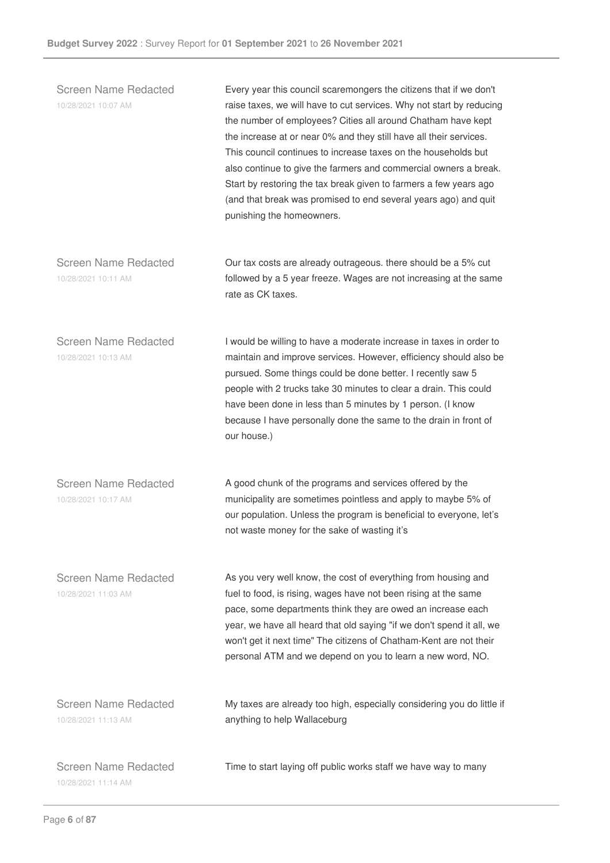| <b>Screen Name Redacted</b><br>10/28/2021 10:07 AM | Every year this council scaremongers the citizens that if we don't<br>raise taxes, we will have to cut services. Why not start by reducing<br>the number of employees? Cities all around Chatham have kept<br>the increase at or near 0% and they still have all their services.<br>This council continues to increase taxes on the households but<br>also continue to give the farmers and commercial owners a break.<br>Start by restoring the tax break given to farmers a few years ago<br>(and that break was promised to end several years ago) and quit<br>punishing the homeowners. |
|----------------------------------------------------|---------------------------------------------------------------------------------------------------------------------------------------------------------------------------------------------------------------------------------------------------------------------------------------------------------------------------------------------------------------------------------------------------------------------------------------------------------------------------------------------------------------------------------------------------------------------------------------------|
| <b>Screen Name Redacted</b><br>10/28/2021 10:11 AM | Our tax costs are already outrageous. there should be a 5% cut<br>followed by a 5 year freeze. Wages are not increasing at the same<br>rate as CK taxes.                                                                                                                                                                                                                                                                                                                                                                                                                                    |
| <b>Screen Name Redacted</b><br>10/28/2021 10:13 AM | I would be willing to have a moderate increase in taxes in order to<br>maintain and improve services. However, efficiency should also be<br>pursued. Some things could be done better. I recently saw 5<br>people with 2 trucks take 30 minutes to clear a drain. This could<br>have been done in less than 5 minutes by 1 person. (I know<br>because I have personally done the same to the drain in front of<br>our house.)                                                                                                                                                               |
| <b>Screen Name Redacted</b><br>10/28/2021 10:17 AM | A good chunk of the programs and services offered by the<br>municipality are sometimes pointless and apply to maybe 5% of<br>our population. Unless the program is beneficial to everyone, let's<br>not waste money for the sake of wasting it's                                                                                                                                                                                                                                                                                                                                            |
| <b>Screen Name Redacted</b><br>10/28/2021 11:03 AM | As you very well know, the cost of everything from housing and<br>fuel to food, is rising, wages have not been rising at the same<br>pace, some departments think they are owed an increase each<br>year, we have all heard that old saying "if we don't spend it all, we<br>won't get it next time" The citizens of Chatham-Kent are not their<br>personal ATM and we depend on you to learn a new word, NO.                                                                                                                                                                               |
| Screen Name Redacted<br>10/28/2021 11:13 AM        | My taxes are already too high, especially considering you do little if<br>anything to help Wallaceburg                                                                                                                                                                                                                                                                                                                                                                                                                                                                                      |
| <b>Screen Name Redacted</b>                        | Time to start laying off public works staff we have way to many                                                                                                                                                                                                                                                                                                                                                                                                                                                                                                                             |

10/28/2021 11:14 AM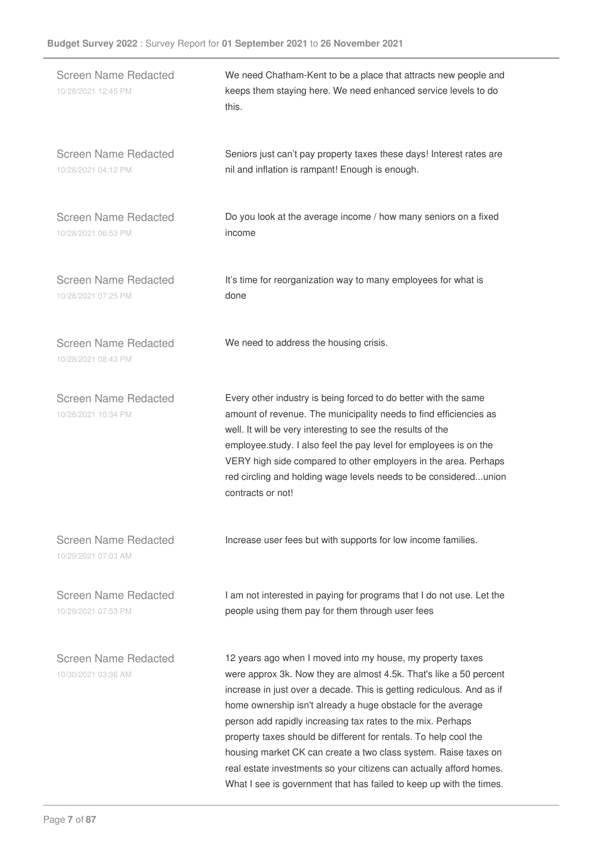| <b>Screen Name Redacted</b><br>10/28/2021 12:45 PM | We need Chatham-Kent to be a place that attracts new people and<br>keeps them staying here. We need enhanced service levels to do<br>this.                                                                                                                                                                                                                                                                                                                                                                                                                                                                                    |  |  |  |
|----------------------------------------------------|-------------------------------------------------------------------------------------------------------------------------------------------------------------------------------------------------------------------------------------------------------------------------------------------------------------------------------------------------------------------------------------------------------------------------------------------------------------------------------------------------------------------------------------------------------------------------------------------------------------------------------|--|--|--|
| <b>Screen Name Redacted</b><br>10/28/2021 04:12 PM | Seniors just can't pay property taxes these days! Interest rates are<br>nil and inflation is rampant! Enough is enough.                                                                                                                                                                                                                                                                                                                                                                                                                                                                                                       |  |  |  |
| Screen Name Redacted<br>10/28/2021 06:53 PM        | Do you look at the average income / how many seniors on a fixed<br>income                                                                                                                                                                                                                                                                                                                                                                                                                                                                                                                                                     |  |  |  |
| Screen Name Redacted<br>10/28/2021 07:25 PM        | It's time for reorganization way to many employees for what is<br>done                                                                                                                                                                                                                                                                                                                                                                                                                                                                                                                                                        |  |  |  |
| Screen Name Redacted<br>10/28/2021 08:43 PM        | We need to address the housing crisis.                                                                                                                                                                                                                                                                                                                                                                                                                                                                                                                                                                                        |  |  |  |
| <b>Screen Name Redacted</b><br>10/28/2021 10:34 PM | Every other industry is being forced to do better with the same<br>amount of revenue. The municipality needs to find efficiencies as<br>well. It will be very interesting to see the results of the<br>employee.study. I also feel the pay level for employees is on the<br>VERY high side compared to other employers in the area. Perhaps<br>red circling and holding wage levels needs to be consideredunion<br>contracts or not!                                                                                                                                                                                          |  |  |  |
| <b>Screen Name Redacted</b><br>10/29/2021 07:03 AM | Increase user fees but with supports for low income families.                                                                                                                                                                                                                                                                                                                                                                                                                                                                                                                                                                 |  |  |  |
| <b>Screen Name Redacted</b><br>10/29/2021 07:53 PM | I am not interested in paying for programs that I do not use. Let the<br>people using them pay for them through user fees                                                                                                                                                                                                                                                                                                                                                                                                                                                                                                     |  |  |  |
| <b>Screen Name Redacted</b><br>10/30/2021 03:36 AM | 12 years ago when I moved into my house, my property taxes<br>were approx 3k. Now they are almost 4.5k. That's like a 50 percent<br>increase in just over a decade. This is getting rediculous. And as if<br>home ownership isn't already a huge obstacle for the average<br>person add rapidly increasing tax rates to the mix. Perhaps<br>property taxes should be different for rentals. To help cool the<br>housing market CK can create a two class system. Raise taxes on<br>real estate investments so your citizens can actually afford homes.<br>What I see is government that has failed to keep up with the times. |  |  |  |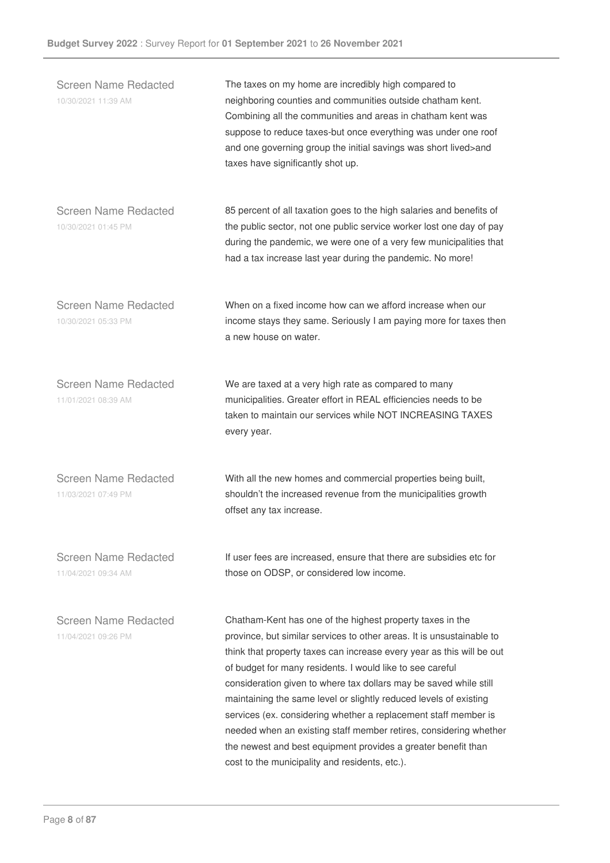| Screen Name Redacted<br>10/30/2021 11:39 AM        | The taxes on my home are incredibly high compared to<br>neighboring counties and communities outside chatham kent.<br>Combining all the communities and areas in chatham kent was<br>suppose to reduce taxes-but once everything was under one roof<br>and one governing group the initial savings was short lived>and<br>taxes have significantly shot up.                                                                                                                                                                                                                                                                                                                   |
|----------------------------------------------------|-------------------------------------------------------------------------------------------------------------------------------------------------------------------------------------------------------------------------------------------------------------------------------------------------------------------------------------------------------------------------------------------------------------------------------------------------------------------------------------------------------------------------------------------------------------------------------------------------------------------------------------------------------------------------------|
| Screen Name Redacted<br>10/30/2021 01:45 PM        | 85 percent of all taxation goes to the high salaries and benefits of<br>the public sector, not one public service worker lost one day of pay<br>during the pandemic, we were one of a very few municipalities that<br>had a tax increase last year during the pandemic. No more!                                                                                                                                                                                                                                                                                                                                                                                              |
| <b>Screen Name Redacted</b><br>10/30/2021 05:33 PM | When on a fixed income how can we afford increase when our<br>income stays they same. Seriously I am paying more for taxes then<br>a new house on water.                                                                                                                                                                                                                                                                                                                                                                                                                                                                                                                      |
| <b>Screen Name Redacted</b><br>11/01/2021 08:39 AM | We are taxed at a very high rate as compared to many<br>municipalities. Greater effort in REAL efficiencies needs to be<br>taken to maintain our services while NOT INCREASING TAXES<br>every year.                                                                                                                                                                                                                                                                                                                                                                                                                                                                           |
| Screen Name Redacted<br>11/03/2021 07:49 PM        | With all the new homes and commercial properties being built,<br>shouldn't the increased revenue from the municipalities growth<br>offset any tax increase.                                                                                                                                                                                                                                                                                                                                                                                                                                                                                                                   |
| <b>Screen Name Redacted</b><br>11/04/2021 09:34 AM | If user fees are increased, ensure that there are subsidies etc for<br>those on ODSP, or considered low income.                                                                                                                                                                                                                                                                                                                                                                                                                                                                                                                                                               |
| <b>Screen Name Redacted</b><br>11/04/2021 09:26 PM | Chatham-Kent has one of the highest property taxes in the<br>province, but similar services to other areas. It is unsustainable to<br>think that property taxes can increase every year as this will be out<br>of budget for many residents. I would like to see careful<br>consideration given to where tax dollars may be saved while still<br>maintaining the same level or slightly reduced levels of existing<br>services (ex. considering whether a replacement staff member is<br>needed when an existing staff member retires, considering whether<br>the newest and best equipment provides a greater benefit than<br>cost to the municipality and residents, etc.). |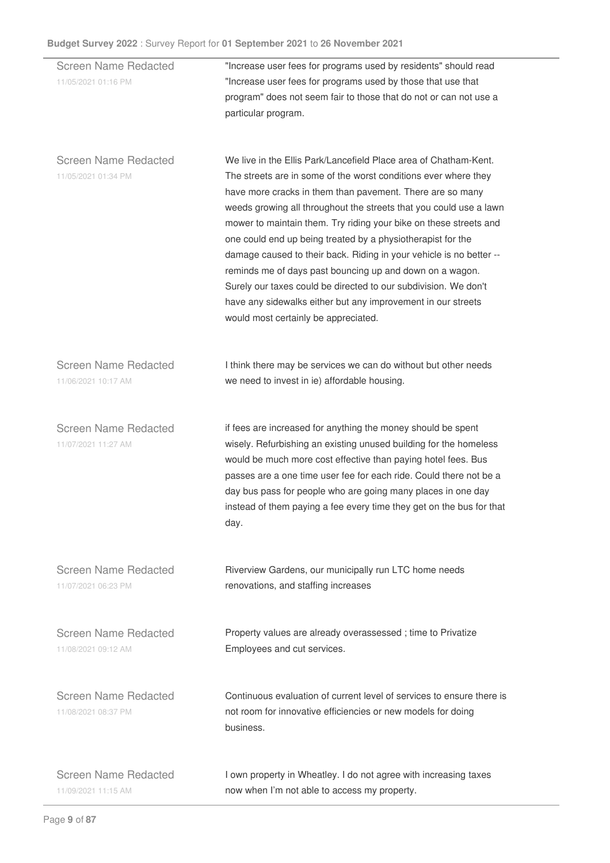| <b>Screen Name Redacted</b><br>11/05/2021 01:16 PM | "Increase user fees for programs used by residents" should read<br>"Increase user fees for programs used by those that use that<br>program" does not seem fair to those that do not or can not use a<br>particular program.                                                                                                                                                                                                                                                                                                                                                                                                                                                                                              |  |  |  |  |
|----------------------------------------------------|--------------------------------------------------------------------------------------------------------------------------------------------------------------------------------------------------------------------------------------------------------------------------------------------------------------------------------------------------------------------------------------------------------------------------------------------------------------------------------------------------------------------------------------------------------------------------------------------------------------------------------------------------------------------------------------------------------------------------|--|--|--|--|
| Screen Name Redacted<br>11/05/2021 01:34 PM        | We live in the Ellis Park/Lancefield Place area of Chatham-Kent.<br>The streets are in some of the worst conditions ever where they<br>have more cracks in them than pavement. There are so many<br>weeds growing all throughout the streets that you could use a lawn<br>mower to maintain them. Try riding your bike on these streets and<br>one could end up being treated by a physiotherapist for the<br>damage caused to their back. Riding in your vehicle is no better --<br>reminds me of days past bouncing up and down on a wagon.<br>Surely our taxes could be directed to our subdivision. We don't<br>have any sidewalks either but any improvement in our streets<br>would most certainly be appreciated. |  |  |  |  |
| <b>Screen Name Redacted</b>                        | I think there may be services we can do without but other needs                                                                                                                                                                                                                                                                                                                                                                                                                                                                                                                                                                                                                                                          |  |  |  |  |
| 11/06/2021 10:17 AM                                | we need to invest in ie) affordable housing.                                                                                                                                                                                                                                                                                                                                                                                                                                                                                                                                                                                                                                                                             |  |  |  |  |
| Screen Name Redacted<br>11/07/2021 11:27 AM        | if fees are increased for anything the money should be spent<br>wisely. Refurbishing an existing unused building for the homeless<br>would be much more cost effective than paying hotel fees. Bus<br>passes are a one time user fee for each ride. Could there not be a<br>day bus pass for people who are going many places in one day<br>instead of them paying a fee every time they get on the bus for that<br>day.                                                                                                                                                                                                                                                                                                 |  |  |  |  |
| <b>Screen Name Redacted</b>                        | Riverview Gardens, our municipally run LTC home needs                                                                                                                                                                                                                                                                                                                                                                                                                                                                                                                                                                                                                                                                    |  |  |  |  |
| 11/07/2021 06:23 PM                                | renovations, and staffing increases                                                                                                                                                                                                                                                                                                                                                                                                                                                                                                                                                                                                                                                                                      |  |  |  |  |
| Screen Name Redacted                               | Property values are already overassessed; time to Privatize                                                                                                                                                                                                                                                                                                                                                                                                                                                                                                                                                                                                                                                              |  |  |  |  |
| 11/08/2021 09:12 AM                                | Employees and cut services.                                                                                                                                                                                                                                                                                                                                                                                                                                                                                                                                                                                                                                                                                              |  |  |  |  |
| Screen Name Redacted<br>11/08/2021 08:37 PM        | Continuous evaluation of current level of services to ensure there is<br>not room for innovative efficiencies or new models for doing<br>business.                                                                                                                                                                                                                                                                                                                                                                                                                                                                                                                                                                       |  |  |  |  |
| Screen Name Redacted                               | I own property in Wheatley. I do not agree with increasing taxes                                                                                                                                                                                                                                                                                                                                                                                                                                                                                                                                                                                                                                                         |  |  |  |  |
| 11/09/2021 11:15 AM                                | now when I'm not able to access my property.                                                                                                                                                                                                                                                                                                                                                                                                                                                                                                                                                                                                                                                                             |  |  |  |  |

 $\sim$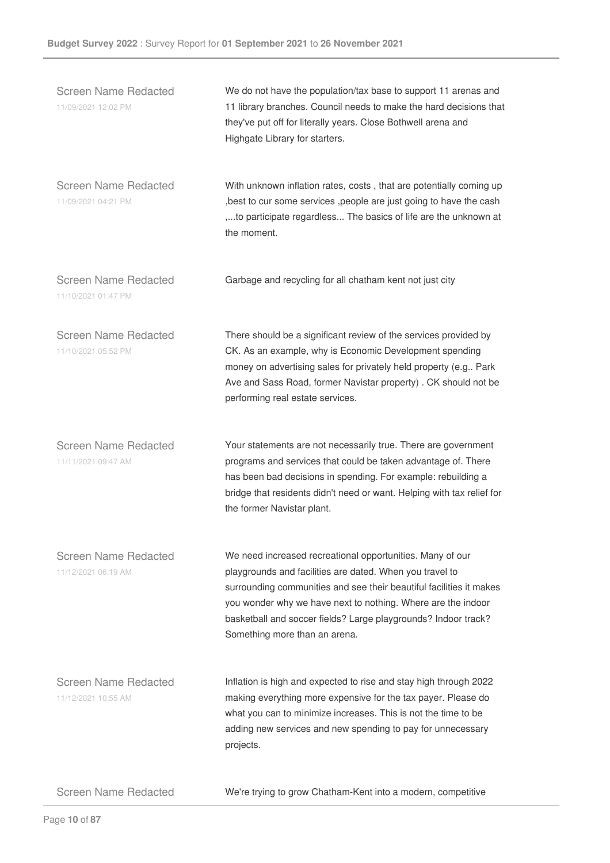| <b>Screen Name Redacted</b><br>11/09/2021 12:02 PM | We do not have the population/tax base to support 11 arenas and<br>11 library branches. Council needs to make the hard decisions that<br>they've put off for literally years. Close Bothwell arena and<br>Highgate Library for starters.                                                                                                                        |
|----------------------------------------------------|-----------------------------------------------------------------------------------------------------------------------------------------------------------------------------------------------------------------------------------------------------------------------------------------------------------------------------------------------------------------|
| Screen Name Redacted<br>11/09/2021 04:21 PM        | With unknown inflation rates, costs, that are potentially coming up<br>, best to cur some services, people are just going to have the cash<br>to participate regardless The basics of life are the unknown at<br>the moment.                                                                                                                                    |
| <b>Screen Name Redacted</b><br>11/10/2021 01:47 PM | Garbage and recycling for all chatham kent not just city                                                                                                                                                                                                                                                                                                        |
| <b>Screen Name Redacted</b><br>11/10/2021 05:52 PM | There should be a significant review of the services provided by<br>CK. As an example, why is Economic Development spending<br>money on advertising sales for privately held property (e.g Park<br>Ave and Sass Road, former Navistar property) . CK should not be<br>performing real estate services.                                                          |
| <b>Screen Name Redacted</b><br>11/11/2021 09:47 AM | Your statements are not necessarily true. There are government<br>programs and services that could be taken advantage of. There<br>has been bad decisions in spending. For example: rebuilding a<br>bridge that residents didn't need or want. Helping with tax relief for<br>the former Navistar plant.                                                        |
| Screen Name Redacted<br>11/12/2021 06:19 AM        | We need increased recreational opportunities. Many of our<br>playgrounds and facilities are dated. When you travel to<br>surrounding communities and see their beautiful facilities it makes<br>you wonder why we have next to nothing. Where are the indoor<br>basketball and soccer fields? Large playgrounds? Indoor track?<br>Something more than an arena. |
| Screen Name Redacted<br>11/12/2021 10:55 AM        | Inflation is high and expected to rise and stay high through 2022<br>making everything more expensive for the tax payer. Please do<br>what you can to minimize increases. This is not the time to be<br>adding new services and new spending to pay for unnecessary<br>projects.                                                                                |
| <b>Screen Name Redacted</b>                        | We're trying to grow Chatham-Kent into a modern, competitive                                                                                                                                                                                                                                                                                                    |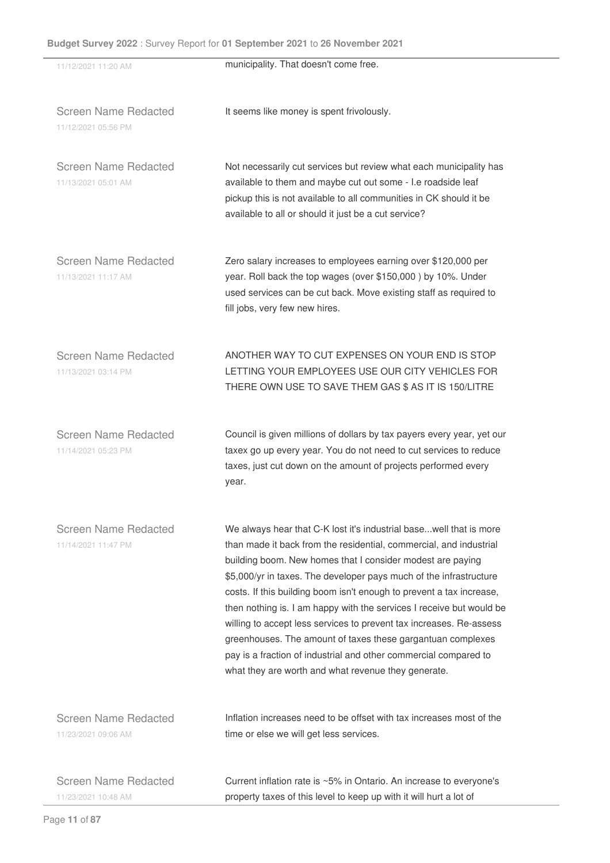| 11/12/2021 11:20 AM                                | municipality. That doesn't come free.                                                                                                                                                                                                                                                                                                                                                                                                                                                                                                                                                                                                                                                          |
|----------------------------------------------------|------------------------------------------------------------------------------------------------------------------------------------------------------------------------------------------------------------------------------------------------------------------------------------------------------------------------------------------------------------------------------------------------------------------------------------------------------------------------------------------------------------------------------------------------------------------------------------------------------------------------------------------------------------------------------------------------|
| Screen Name Redacted<br>11/12/2021 05:56 PM        | It seems like money is spent frivolously.                                                                                                                                                                                                                                                                                                                                                                                                                                                                                                                                                                                                                                                      |
| <b>Screen Name Redacted</b><br>11/13/2021 05:01 AM | Not necessarily cut services but review what each municipality has<br>available to them and maybe cut out some - I.e roadside leaf<br>pickup this is not available to all communities in CK should it be<br>available to all or should it just be a cut service?                                                                                                                                                                                                                                                                                                                                                                                                                               |
| Screen Name Redacted<br>11/13/2021 11:17 AM        | Zero salary increases to employees earning over \$120,000 per<br>year. Roll back the top wages (over \$150,000) by 10%. Under<br>used services can be cut back. Move existing staff as required to<br>fill jobs, very few new hires.                                                                                                                                                                                                                                                                                                                                                                                                                                                           |
| <b>Screen Name Redacted</b><br>11/13/2021 03:14 PM | ANOTHER WAY TO CUT EXPENSES ON YOUR END IS STOP<br>LETTING YOUR EMPLOYEES USE OUR CITY VEHICLES FOR<br>THERE OWN USE TO SAVE THEM GAS \$ AS IT IS 150/LITRE                                                                                                                                                                                                                                                                                                                                                                                                                                                                                                                                    |
| <b>Screen Name Redacted</b><br>11/14/2021 05:23 PM | Council is given millions of dollars by tax payers every year, yet our<br>taxex go up every year. You do not need to cut services to reduce<br>taxes, just cut down on the amount of projects performed every<br>year.                                                                                                                                                                                                                                                                                                                                                                                                                                                                         |
| Screen Name Redacted<br>11/14/2021 11:47 PM        | We always hear that C-K lost it's industrial base well that is more<br>than made it back from the residential, commercial, and industrial<br>building boom. New homes that I consider modest are paying<br>\$5,000/yr in taxes. The developer pays much of the infrastructure<br>costs. If this building boom isn't enough to prevent a tax increase,<br>then nothing is. I am happy with the services I receive but would be<br>willing to accept less services to prevent tax increases. Re-assess<br>greenhouses. The amount of taxes these gargantuan complexes<br>pay is a fraction of industrial and other commercial compared to<br>what they are worth and what revenue they generate. |
| <b>Screen Name Redacted</b><br>11/23/2021 09:06 AM | Inflation increases need to be offset with tax increases most of the<br>time or else we will get less services.                                                                                                                                                                                                                                                                                                                                                                                                                                                                                                                                                                                |
| <b>Screen Name Redacted</b>                        | Current inflation rate is ~5% in Ontario. An increase to everyone's                                                                                                                                                                                                                                                                                                                                                                                                                                                                                                                                                                                                                            |

11/23/2021 10:48 AM

11/23/2021 10:48 AM **property taxes of this level to keep up with it will hurt a lot of**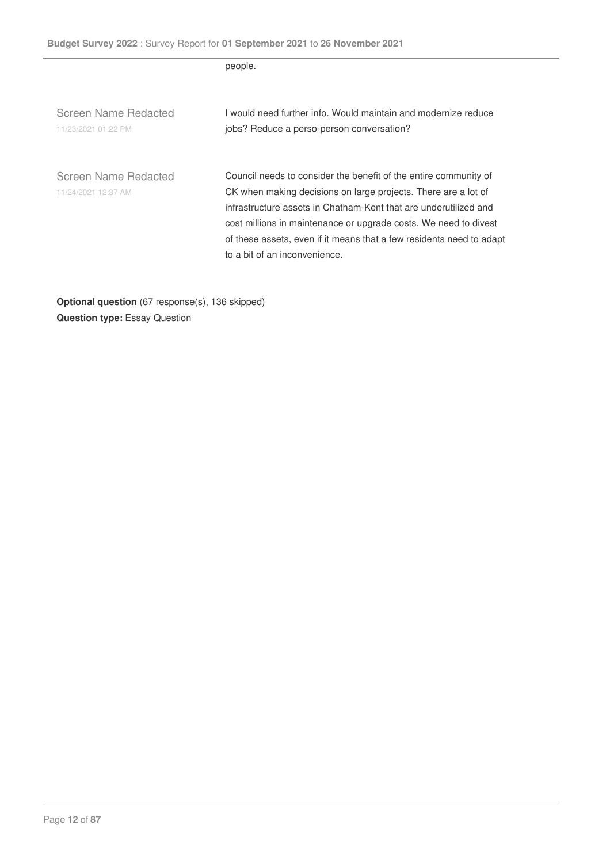| Screen Name Redacted                        | I would need further info. Would maintain and modernize reduce                                                                                                                                                                                                                                                                                                                      |
|---------------------------------------------|-------------------------------------------------------------------------------------------------------------------------------------------------------------------------------------------------------------------------------------------------------------------------------------------------------------------------------------------------------------------------------------|
| 11/23/2021 01:22 PM                         | jobs? Reduce a perso-person conversation?                                                                                                                                                                                                                                                                                                                                           |
| Screen Name Redacted<br>11/24/2021 12:37 AM | Council needs to consider the benefit of the entire community of<br>CK when making decisions on large projects. There are a lot of<br>infrastructure assets in Chatham-Kent that are underutilized and<br>cost millions in maintenance or upgrade costs. We need to divest<br>of these assets, even if it means that a few residents need to adapt<br>to a bit of an inconvenience. |

 **Optional question** (67 response(s), 136 skipped)  **Question type:** Essay Question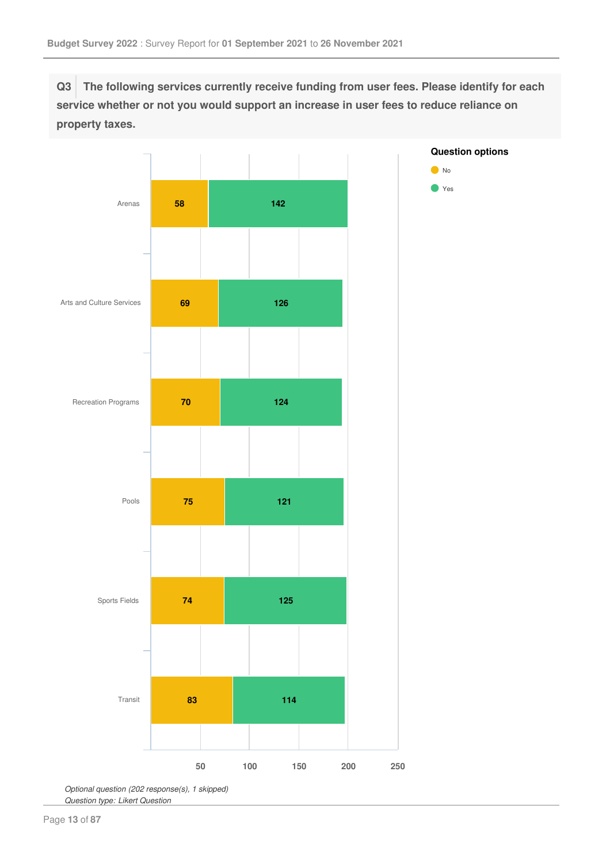**Q3 The following services currently receive funding from user fees. Please identify for each service whether or not you would support an increase in user fees to reduce reliance on property taxes.**



 *Optional question (202 response(s), 1 skipped) Question type: Likert Question*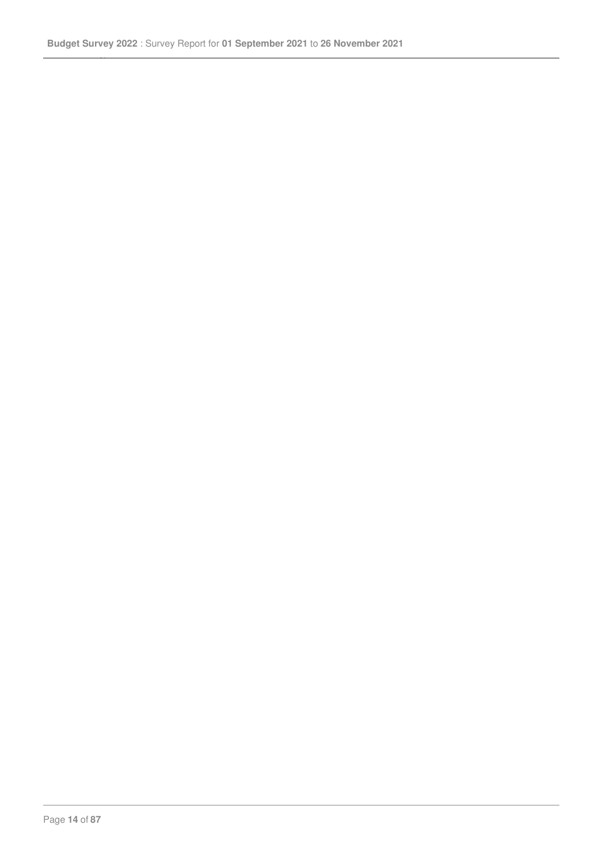*yp*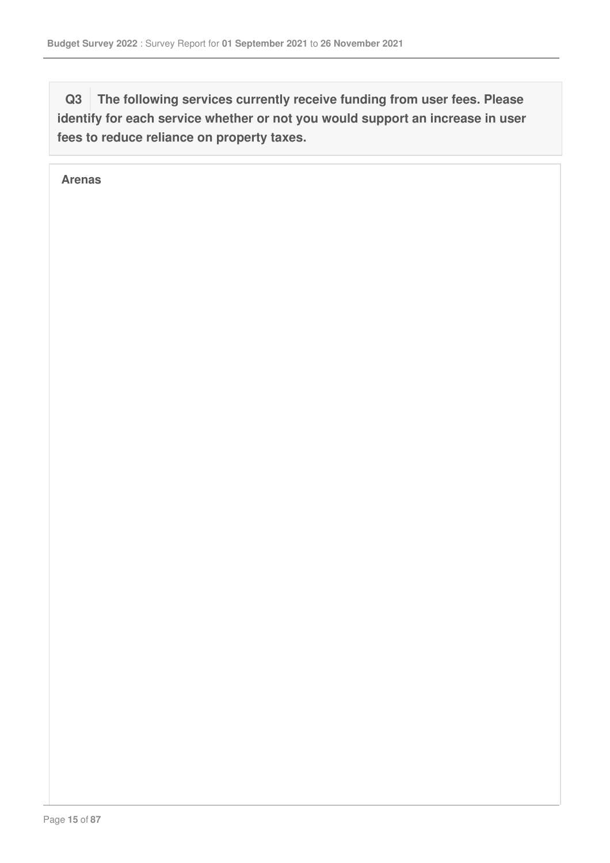**Q3 The following services currently receive funding from user fees. Please identify for each service whether or not you would support an increase in user fees to reduce reliance on property taxes.**

**Arenas**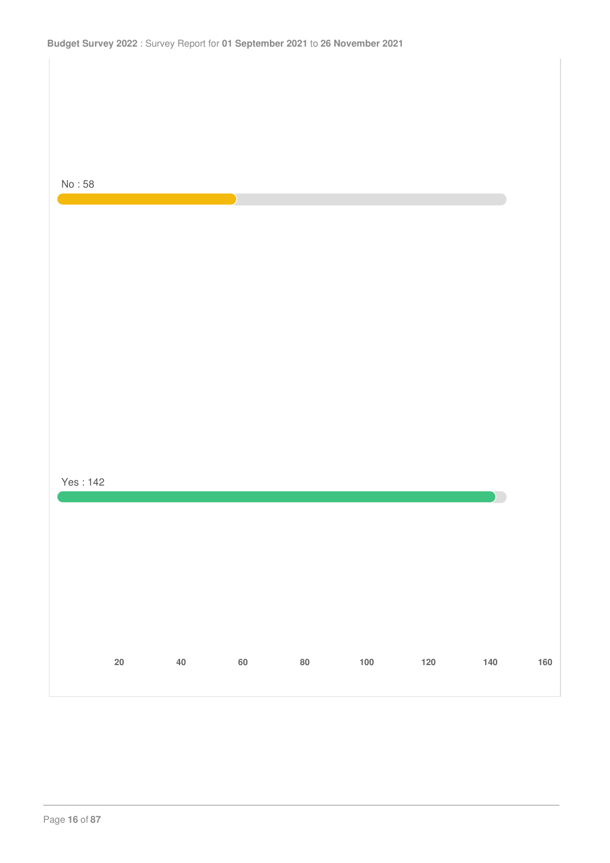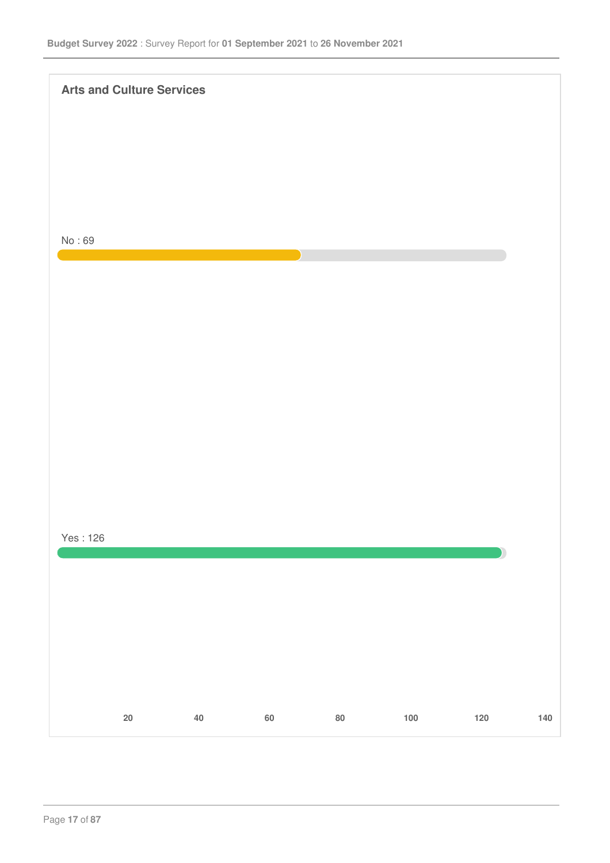|          | <b>Arts and Culture Services</b> |        |    |            |         |         |         |
|----------|----------------------------------|--------|----|------------|---------|---------|---------|
|          |                                  |        |    |            |         |         |         |
|          |                                  |        |    |            |         |         |         |
| No:69    |                                  |        |    |            |         |         |         |
|          |                                  |        |    |            |         |         |         |
|          |                                  |        |    |            |         |         |         |
|          |                                  |        |    |            |         |         |         |
|          |                                  |        |    |            |         |         |         |
|          |                                  |        |    |            |         |         |         |
|          |                                  |        |    |            |         |         |         |
|          |                                  |        |    |            |         |         |         |
|          |                                  |        |    |            |         |         |         |
| Yes: 126 |                                  |        |    |            |         |         |         |
|          |                                  |        |    |            |         |         |         |
|          |                                  |        |    |            |         |         |         |
|          |                                  |        |    |            |         |         |         |
|          |                                  |        |    |            |         |         |         |
|          |                                  |        |    |            |         |         |         |
|          | ${\bf 20}$                       | $40\,$ | 60 | ${\bf 80}$ | $100\,$ | $120\,$ | $140\,$ |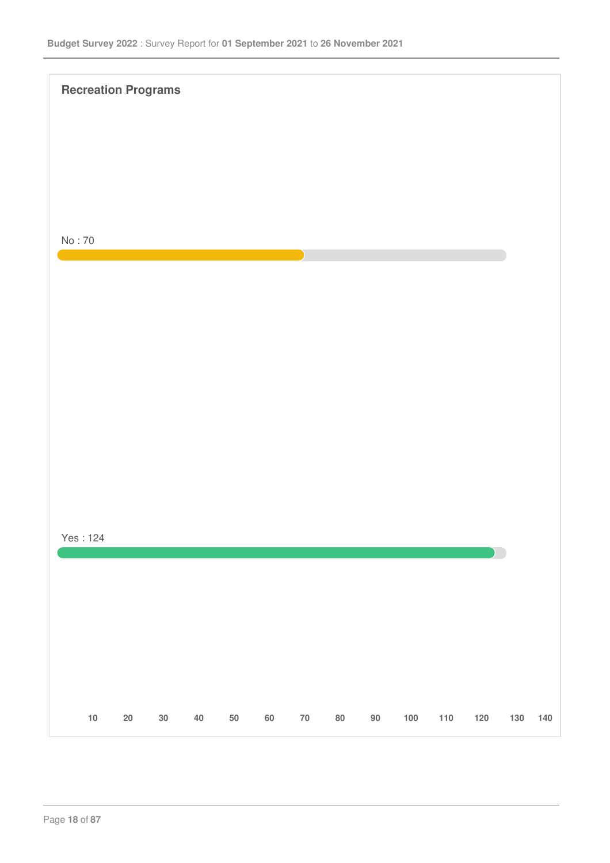| <b>Recreation Programs</b> |        |        |        |            |        |            |            |        |         |       |         |     |       |
|----------------------------|--------|--------|--------|------------|--------|------------|------------|--------|---------|-------|---------|-----|-------|
|                            |        |        |        |            |        |            |            |        |         |       |         |     |       |
|                            |        |        |        |            |        |            |            |        |         |       |         |     |       |
|                            |        |        |        |            |        |            |            |        |         |       |         |     |       |
| No:70                      |        |        |        |            |        |            |            |        |         |       |         |     |       |
|                            |        |        |        |            |        |            |            |        |         |       |         |     |       |
|                            |        |        |        |            |        |            |            |        |         |       |         |     |       |
|                            |        |        |        |            |        |            |            |        |         |       |         |     |       |
|                            |        |        |        |            |        |            |            |        |         |       |         |     |       |
|                            |        |        |        |            |        |            |            |        |         |       |         |     |       |
|                            |        |        |        |            |        |            |            |        |         |       |         |     |       |
| Yes: 124                   |        |        |        |            |        |            |            |        |         |       |         |     |       |
|                            |        |        |        |            |        |            |            |        |         |       |         |     |       |
|                            |        |        |        |            |        |            |            |        |         |       |         |     |       |
|                            |        |        |        |            |        |            |            |        |         |       |         |     |       |
| $10\,$                     | $20\,$ | $30\,$ | $40\,$ | ${\bf 50}$ | $60\,$ | ${\bf 70}$ | ${\bf 80}$ | $90\,$ | $100\,$ | $110$ | $120\,$ | 130 | $140$ |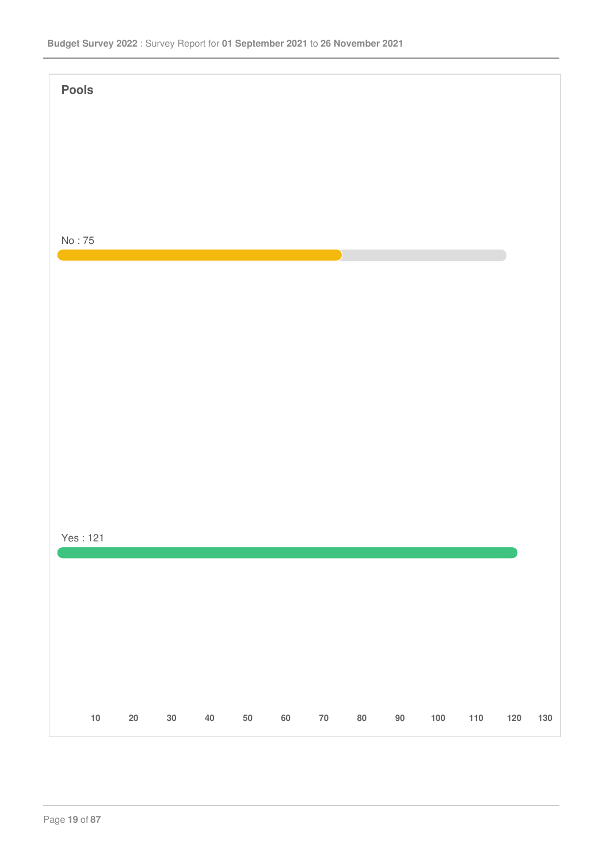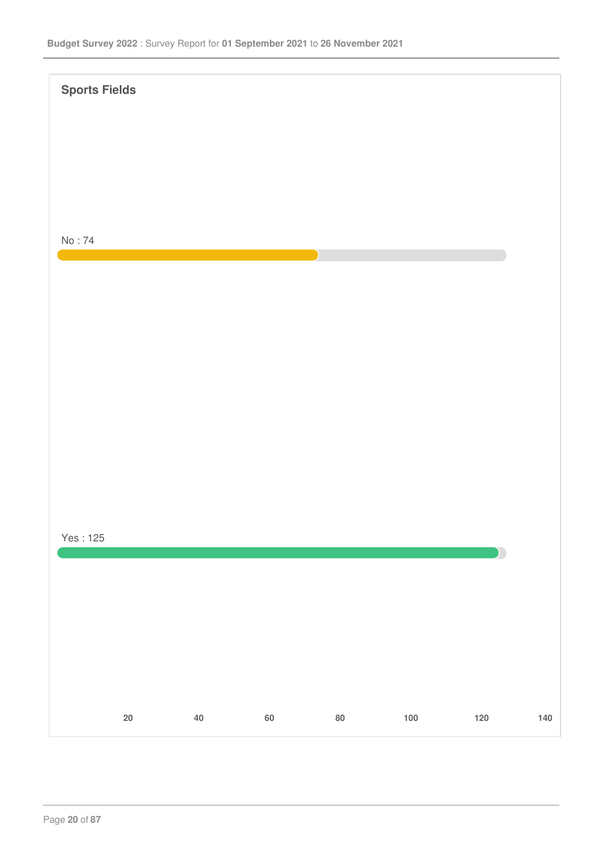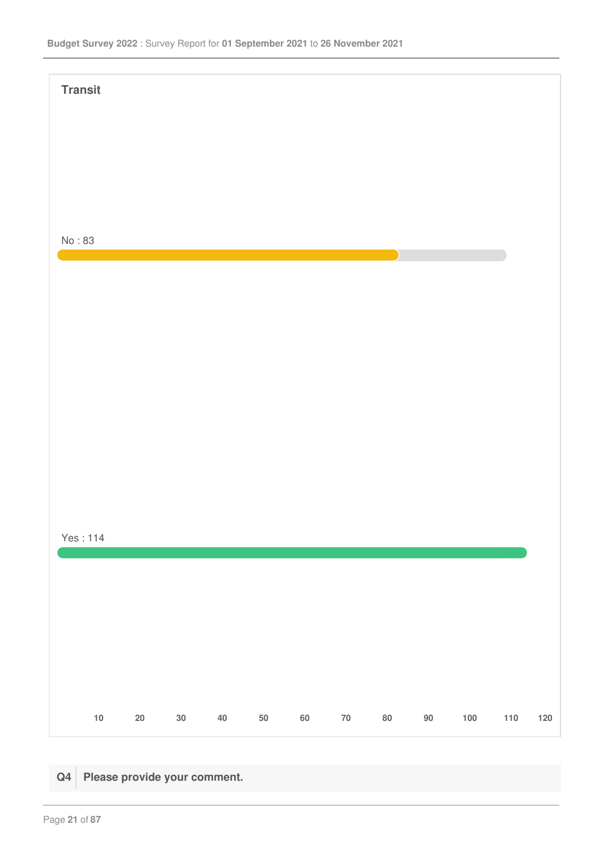

 **Q4 Please provide your comment.**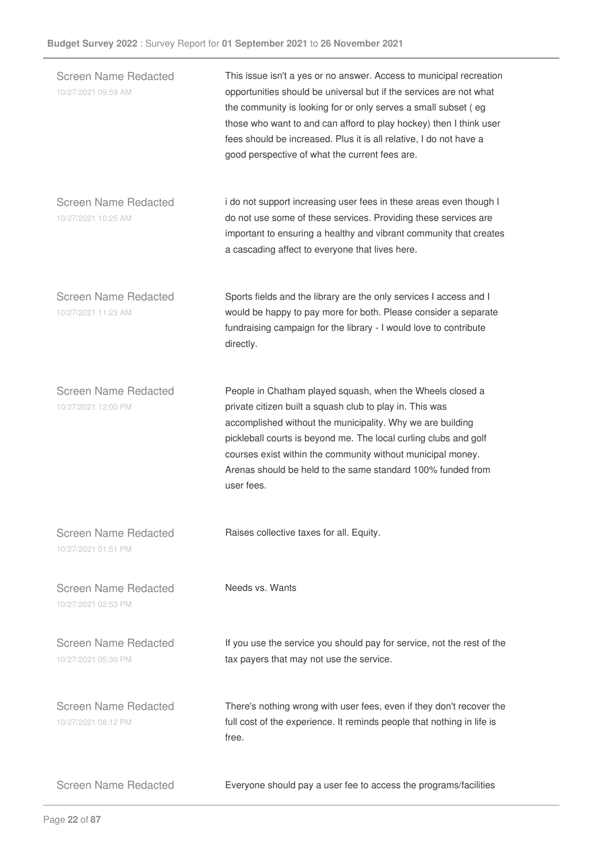| <b>Screen Name Redacted</b><br>10/27/2021 09:59 AM | This issue isn't a yes or no answer. Access to municipal recreation<br>opportunities should be universal but if the services are not what<br>the community is looking for or only serves a small subset (eg<br>those who want to and can afford to play hockey) then I think user<br>fees should be increased. Plus it is all relative, I do not have a<br>good perspective of what the current fees are. |
|----------------------------------------------------|-----------------------------------------------------------------------------------------------------------------------------------------------------------------------------------------------------------------------------------------------------------------------------------------------------------------------------------------------------------------------------------------------------------|
| <b>Screen Name Redacted</b><br>10/27/2021 10:25 AM | i do not support increasing user fees in these areas even though I<br>do not use some of these services. Providing these services are<br>important to ensuring a healthy and vibrant community that creates<br>a cascading affect to everyone that lives here.                                                                                                                                            |
| <b>Screen Name Redacted</b><br>10/27/2021 11:23 AM | Sports fields and the library are the only services I access and I<br>would be happy to pay more for both. Please consider a separate<br>fundraising campaign for the library - I would love to contribute<br>directly.                                                                                                                                                                                   |
| <b>Screen Name Redacted</b><br>10/27/2021 12:00 PM | People in Chatham played squash, when the Wheels closed a<br>private citizen built a squash club to play in. This was<br>accomplished without the municipality. Why we are building<br>pickleball courts is beyond me. The local curling clubs and golf<br>courses exist within the community without municipal money.<br>Arenas should be held to the same standard 100% funded from<br>user fees.       |
| <b>Screen Name Redacted</b><br>10/27/2021 01:51 PM | Raises collective taxes for all. Equity.                                                                                                                                                                                                                                                                                                                                                                  |
| <b>Screen Name Redacted</b><br>10/27/2021 02:53 PM | Needs vs. Wants                                                                                                                                                                                                                                                                                                                                                                                           |
| <b>Screen Name Redacted</b><br>10/27/2021 05:30 PM | If you use the service you should pay for service, not the rest of the<br>tax payers that may not use the service.                                                                                                                                                                                                                                                                                        |
| <b>Screen Name Redacted</b><br>10/27/2021 08:12 PM | There's nothing wrong with user fees, even if they don't recover the<br>full cost of the experience. It reminds people that nothing in life is<br>free.                                                                                                                                                                                                                                                   |
| <b>Screen Name Redacted</b>                        | Everyone should pay a user fee to access the programs/facilities                                                                                                                                                                                                                                                                                                                                          |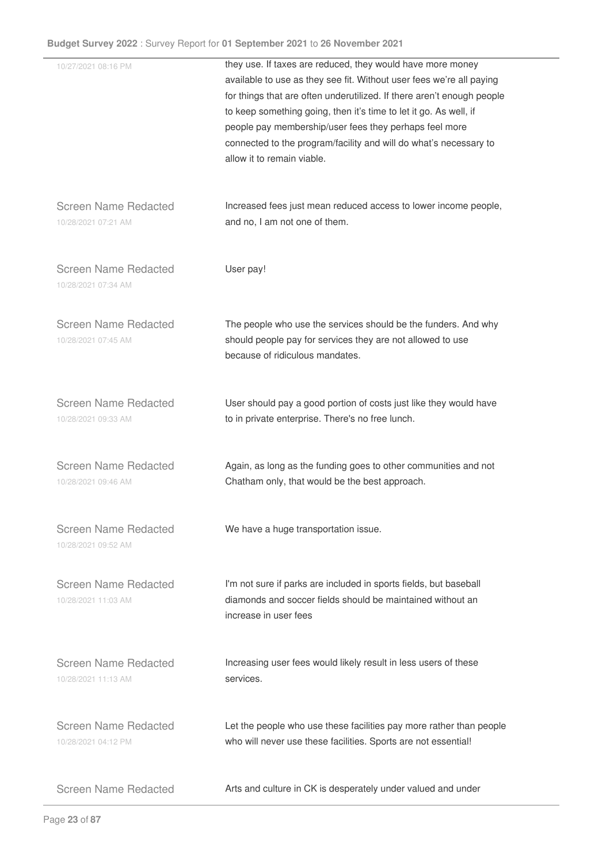| 10/27/2021 08:16 PM                                | they use. If taxes are reduced, they would have more money<br>available to use as they see fit. Without user fees we're all paying<br>for things that are often underutilized. If there aren't enough people<br>to keep something going, then it's time to let it go. As well, if<br>people pay membership/user fees they perhaps feel more<br>connected to the program/facility and will do what's necessary to<br>allow it to remain viable. |
|----------------------------------------------------|------------------------------------------------------------------------------------------------------------------------------------------------------------------------------------------------------------------------------------------------------------------------------------------------------------------------------------------------------------------------------------------------------------------------------------------------|
| Screen Name Redacted<br>10/28/2021 07:21 AM        | Increased fees just mean reduced access to lower income people,<br>and no, I am not one of them.                                                                                                                                                                                                                                                                                                                                               |
| Screen Name Redacted<br>10/28/2021 07:34 AM        | User pay!                                                                                                                                                                                                                                                                                                                                                                                                                                      |
| Screen Name Redacted<br>10/28/2021 07:45 AM        | The people who use the services should be the funders. And why<br>should people pay for services they are not allowed to use<br>because of ridiculous mandates.                                                                                                                                                                                                                                                                                |
| <b>Screen Name Redacted</b><br>10/28/2021 09:33 AM | User should pay a good portion of costs just like they would have<br>to in private enterprise. There's no free lunch.                                                                                                                                                                                                                                                                                                                          |
| Screen Name Redacted<br>10/28/2021 09:46 AM        | Again, as long as the funding goes to other communities and not<br>Chatham only, that would be the best approach.                                                                                                                                                                                                                                                                                                                              |
| <b>Screen Name Redacted</b><br>10/28/2021 09:52 AM | We have a huge transportation issue.                                                                                                                                                                                                                                                                                                                                                                                                           |
| <b>Screen Name Redacted</b><br>10/28/2021 11:03 AM | I'm not sure if parks are included in sports fields, but baseball<br>diamonds and soccer fields should be maintained without an<br>increase in user fees                                                                                                                                                                                                                                                                                       |
| Screen Name Redacted<br>10/28/2021 11:13 AM        | Increasing user fees would likely result in less users of these<br>services.                                                                                                                                                                                                                                                                                                                                                                   |
| Screen Name Redacted<br>10/28/2021 04:12 PM        | Let the people who use these facilities pay more rather than people<br>who will never use these facilities. Sports are not essential!                                                                                                                                                                                                                                                                                                          |
| <b>Screen Name Redacted</b>                        | Arts and culture in CK is desperately under valued and under                                                                                                                                                                                                                                                                                                                                                                                   |

 $\sim$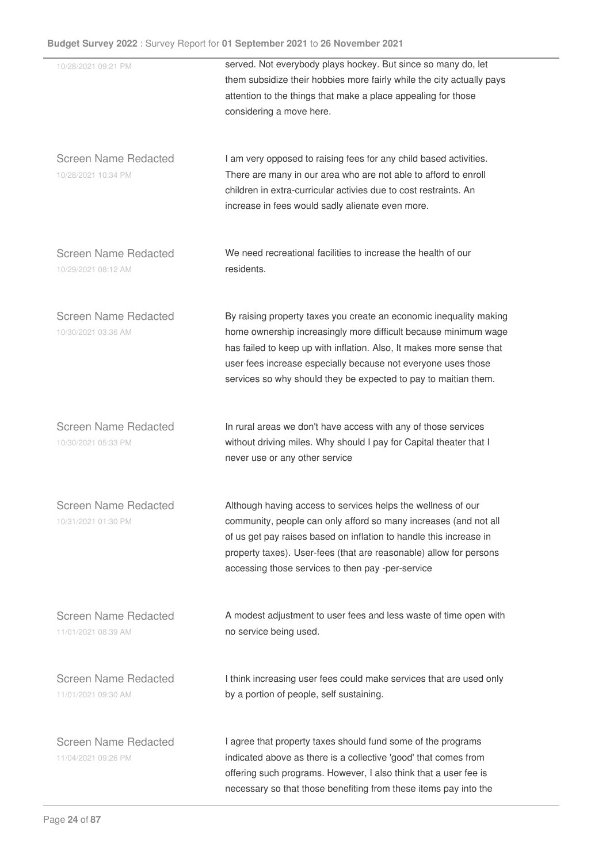| 10/28/2021 09:21 PM                                | served. Not everybody plays hockey. But since so many do, let<br>them subsidize their hobbies more fairly while the city actually pays<br>attention to the things that make a place appealing for those<br>considering a move here.                                                                                                               |
|----------------------------------------------------|---------------------------------------------------------------------------------------------------------------------------------------------------------------------------------------------------------------------------------------------------------------------------------------------------------------------------------------------------|
| <b>Screen Name Redacted</b><br>10/28/2021 10:34 PM | I am very opposed to raising fees for any child based activities.<br>There are many in our area who are not able to afford to enroll<br>children in extra-curricular activies due to cost restraints. An<br>increase in fees would sadly alienate even more.                                                                                      |
| <b>Screen Name Redacted</b><br>10/29/2021 08:12 AM | We need recreational facilities to increase the health of our<br>residents.                                                                                                                                                                                                                                                                       |
| <b>Screen Name Redacted</b><br>10/30/2021 03:36 AM | By raising property taxes you create an economic inequality making<br>home ownership increasingly more difficult because minimum wage<br>has failed to keep up with inflation. Also, It makes more sense that<br>user fees increase especially because not everyone uses those<br>services so why should they be expected to pay to maitian them. |
| <b>Screen Name Redacted</b><br>10/30/2021 05:33 PM | In rural areas we don't have access with any of those services<br>without driving miles. Why should I pay for Capital theater that I<br>never use or any other service                                                                                                                                                                            |
| <b>Screen Name Redacted</b><br>10/31/2021 01:30 PM | Although having access to services helps the wellness of our<br>community, people can only afford so many increases (and not all<br>of us get pay raises based on inflation to handle this increase in<br>property taxes). User-fees (that are reasonable) allow for persons<br>accessing those services to then pay -per-service                 |
| <b>Screen Name Redacted</b><br>11/01/2021 08:39 AM | A modest adjustment to user fees and less waste of time open with<br>no service being used.                                                                                                                                                                                                                                                       |
| <b>Screen Name Redacted</b><br>11/01/2021 09:30 AM | I think increasing user fees could make services that are used only<br>by a portion of people, self sustaining.                                                                                                                                                                                                                                   |
| <b>Screen Name Redacted</b><br>11/04/2021 09:26 PM | I agree that property taxes should fund some of the programs<br>indicated above as there is a collective 'good' that comes from<br>offering such programs. However, I also think that a user fee is<br>necessary so that those benefiting from these items pay into the                                                                           |

 $\sim$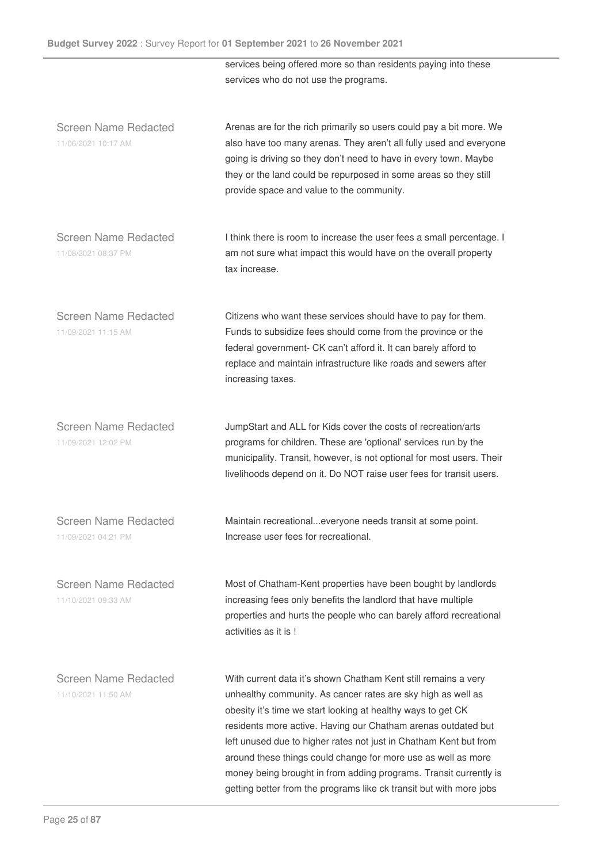|                                                    | services being offered more so than residents paying into these<br>services who do not use the programs.                                                                                                                                                                                                                                                                                                                                                                   |
|----------------------------------------------------|----------------------------------------------------------------------------------------------------------------------------------------------------------------------------------------------------------------------------------------------------------------------------------------------------------------------------------------------------------------------------------------------------------------------------------------------------------------------------|
| Screen Name Redacted<br>11/06/2021 10:17 AM        | Arenas are for the rich primarily so users could pay a bit more. We<br>also have too many arenas. They aren't all fully used and everyone<br>going is driving so they don't need to have in every town. Maybe<br>they or the land could be repurposed in some areas so they still<br>provide space and value to the community.                                                                                                                                             |
| <b>Screen Name Redacted</b><br>11/08/2021 08:37 PM | I think there is room to increase the user fees a small percentage. I<br>am not sure what impact this would have on the overall property<br>tax increase.                                                                                                                                                                                                                                                                                                                  |
| <b>Screen Name Redacted</b><br>11/09/2021 11:15 AM | Citizens who want these services should have to pay for them.<br>Funds to subsidize fees should come from the province or the<br>federal government- CK can't afford it. It can barely afford to<br>replace and maintain infrastructure like roads and sewers after<br>increasing taxes.                                                                                                                                                                                   |
| <b>Screen Name Redacted</b><br>11/09/2021 12:02 PM | JumpStart and ALL for Kids cover the costs of recreation/arts<br>programs for children. These are 'optional' services run by the<br>municipality. Transit, however, is not optional for most users. Their<br>livelihoods depend on it. Do NOT raise user fees for transit users.                                                                                                                                                                                           |
| <b>Screen Name Redacted</b><br>11/09/2021 04:21 PM | Maintain recreationaleveryone needs transit at some point.<br>Increase user fees for recreational.                                                                                                                                                                                                                                                                                                                                                                         |
| Screen Name Redacted<br>11/10/2021 09:33 AM        | Most of Chatham-Kent properties have been bought by landlords<br>increasing fees only benefits the landlord that have multiple<br>properties and hurts the people who can barely afford recreational<br>activities as it is !                                                                                                                                                                                                                                              |
| Screen Name Redacted<br>11/10/2021 11:50 AM        | With current data it's shown Chatham Kent still remains a very<br>unhealthy community. As cancer rates are sky high as well as<br>obesity it's time we start looking at healthy ways to get CK<br>residents more active. Having our Chatham arenas outdated but<br>left unused due to higher rates not just in Chatham Kent but from<br>around these things could change for more use as well as more<br>money being brought in from adding programs. Transit currently is |

getting better from the programs like ck transit but with more jobs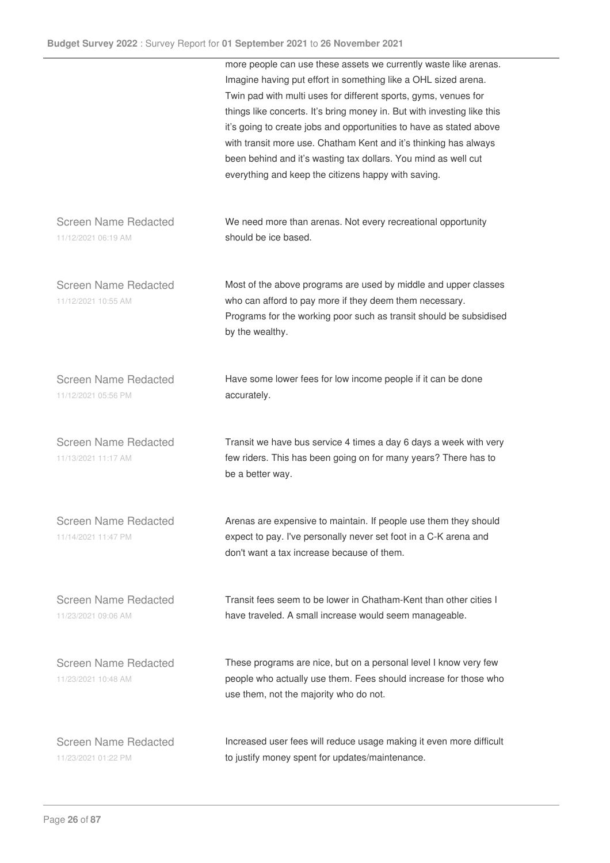|                                                    | more people can use these assets we currently waste like arenas.<br>Imagine having put effort in something like a OHL sized arena.<br>Twin pad with multi uses for different sports, gyms, venues for<br>things like concerts. It's bring money in. But with investing like this<br>it's going to create jobs and opportunities to have as stated above<br>with transit more use. Chatham Kent and it's thinking has always<br>been behind and it's wasting tax dollars. You mind as well cut<br>everything and keep the citizens happy with saving. |
|----------------------------------------------------|------------------------------------------------------------------------------------------------------------------------------------------------------------------------------------------------------------------------------------------------------------------------------------------------------------------------------------------------------------------------------------------------------------------------------------------------------------------------------------------------------------------------------------------------------|
| Screen Name Redacted<br>11/12/2021 06:19 AM        | We need more than arenas. Not every recreational opportunity<br>should be ice based.                                                                                                                                                                                                                                                                                                                                                                                                                                                                 |
| Screen Name Redacted<br>11/12/2021 10:55 AM        | Most of the above programs are used by middle and upper classes<br>who can afford to pay more if they deem them necessary.<br>Programs for the working poor such as transit should be subsidised<br>by the wealthy.                                                                                                                                                                                                                                                                                                                                  |
| Screen Name Redacted<br>11/12/2021 05:56 PM        | Have some lower fees for low income people if it can be done<br>accurately.                                                                                                                                                                                                                                                                                                                                                                                                                                                                          |
| Screen Name Redacted<br>11/13/2021 11:17 AM        | Transit we have bus service 4 times a day 6 days a week with very<br>few riders. This has been going on for many years? There has to<br>be a better way.                                                                                                                                                                                                                                                                                                                                                                                             |
| <b>Screen Name Redacted</b><br>11/14/2021 11:47 PM | Arenas are expensive to maintain. If people use them they should<br>expect to pay. I've personally never set foot in a C-K arena and<br>don't want a tax increase because of them.                                                                                                                                                                                                                                                                                                                                                                   |
| <b>Screen Name Redacted</b><br>11/23/2021 09:06 AM | Transit fees seem to be lower in Chatham-Kent than other cities I<br>have traveled. A small increase would seem manageable.                                                                                                                                                                                                                                                                                                                                                                                                                          |
| Screen Name Redacted<br>11/23/2021 10:48 AM        | These programs are nice, but on a personal level I know very few<br>people who actually use them. Fees should increase for those who<br>use them, not the majority who do not.                                                                                                                                                                                                                                                                                                                                                                       |
| <b>Screen Name Redacted</b><br>11/23/2021 01:22 PM | Increased user fees will reduce usage making it even more difficult<br>to justify money spent for updates/maintenance.                                                                                                                                                                                                                                                                                                                                                                                                                               |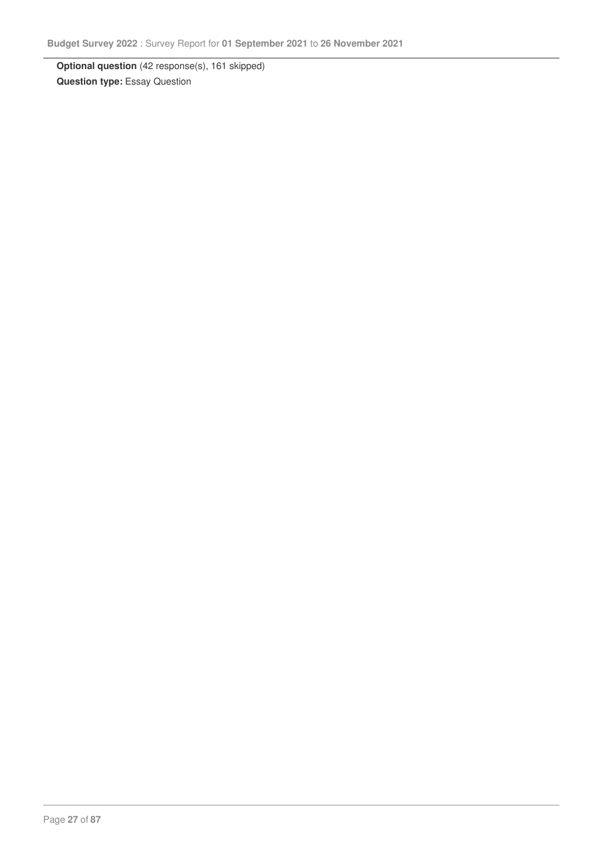**Optional question** (42 response(s), 161 skipped)  **Question type:** Essay Question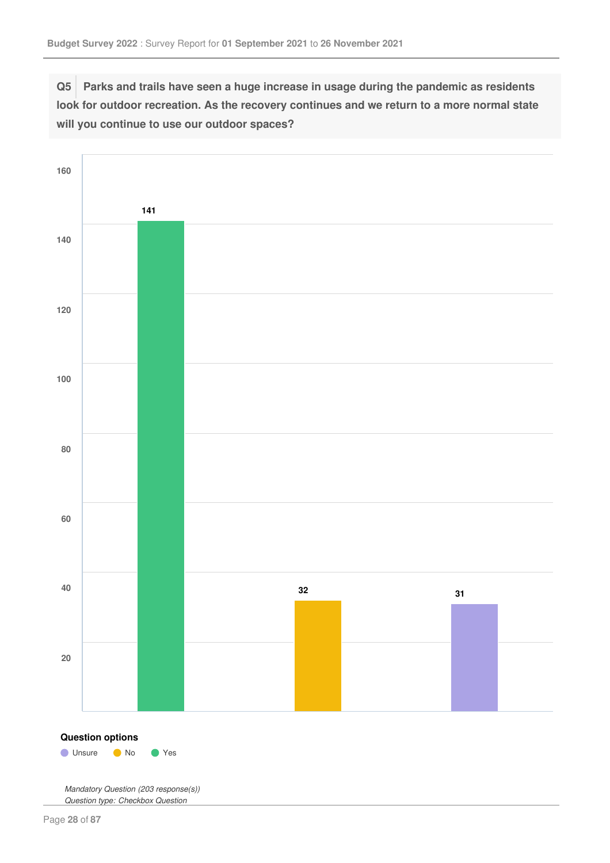**Q5 Parks and trails have seen a huge increase in usage during the pandemic as residents look for outdoor recreation. As the recovery continues and we return to a more normal state will you continue to use our outdoor spaces?**



Page **28** of **87**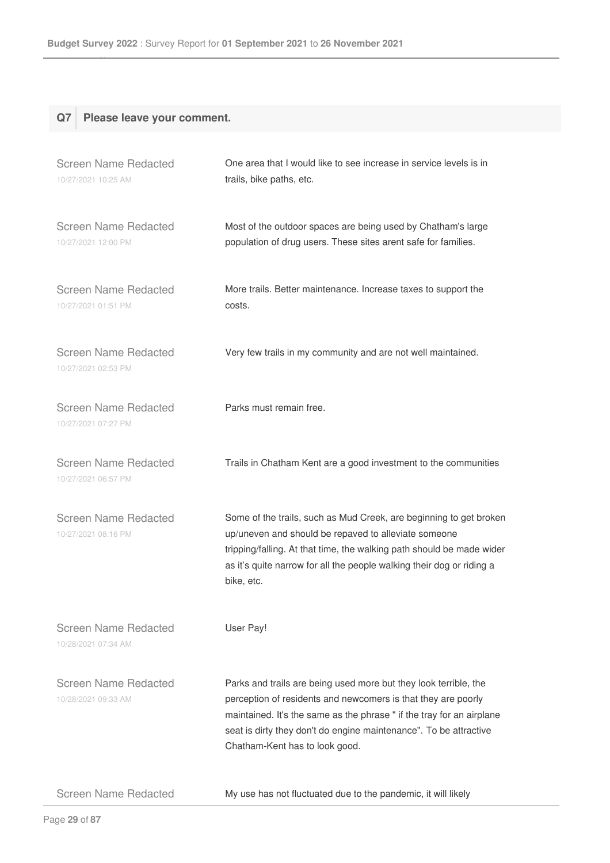# **Q7 Please leave your comment.**

*yp*

| <b>Screen Name Redacted</b><br>10/27/2021 10:25 AM | One area that I would like to see increase in service levels is in<br>trails, bike paths, etc.                                                                                                                                                                                                                    |
|----------------------------------------------------|-------------------------------------------------------------------------------------------------------------------------------------------------------------------------------------------------------------------------------------------------------------------------------------------------------------------|
| <b>Screen Name Redacted</b><br>10/27/2021 12:00 PM | Most of the outdoor spaces are being used by Chatham's large<br>population of drug users. These sites arent safe for families.                                                                                                                                                                                    |
| <b>Screen Name Redacted</b><br>10/27/2021 01:51 PM | More trails. Better maintenance. Increase taxes to support the<br>costs.                                                                                                                                                                                                                                          |
| <b>Screen Name Redacted</b><br>10/27/2021 02:53 PM | Very few trails in my community and are not well maintained.                                                                                                                                                                                                                                                      |
| <b>Screen Name Redacted</b><br>10/27/2021 07:27 PM | Parks must remain free.                                                                                                                                                                                                                                                                                           |
| Screen Name Redacted<br>10/27/2021 06:57 PM        | Trails in Chatham Kent are a good investment to the communities                                                                                                                                                                                                                                                   |
| <b>Screen Name Redacted</b><br>10/27/2021 08:16 PM | Some of the trails, such as Mud Creek, are beginning to get broken<br>up/uneven and should be repaved to alleviate someone<br>tripping/falling. At that time, the walking path should be made wider<br>as it's quite narrow for all the people walking their dog or riding a<br>bike, etc.                        |
| Screen Name Redacted<br>10/28/2021 07:34 AM        | User Pay!                                                                                                                                                                                                                                                                                                         |
| <b>Screen Name Redacted</b><br>10/28/2021 09:33 AM | Parks and trails are being used more but they look terrible, the<br>perception of residents and newcomers is that they are poorly<br>maintained. It's the same as the phrase " if the tray for an airplane<br>seat is dirty they don't do engine maintenance". To be attractive<br>Chatham-Kent has to look good. |
| <b>Screen Name Redacted</b>                        | My use has not fluctuated due to the pandemic, it will likely                                                                                                                                                                                                                                                     |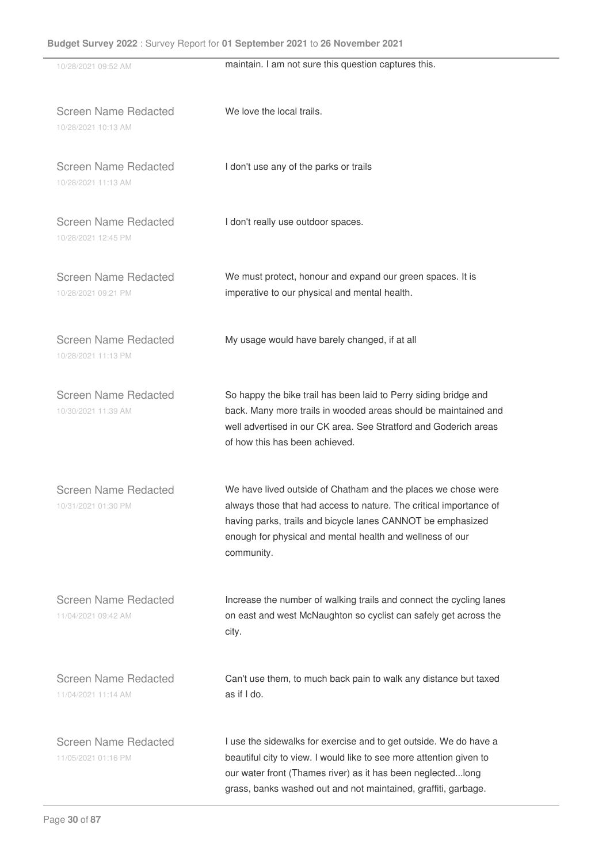| 10/28/2021 09:52 AM                                | maintain. I am not sure this question captures this.                                                                                                                                                                                                                          |
|----------------------------------------------------|-------------------------------------------------------------------------------------------------------------------------------------------------------------------------------------------------------------------------------------------------------------------------------|
| Screen Name Redacted<br>10/28/2021 10:13 AM        | We love the local trails.                                                                                                                                                                                                                                                     |
| Screen Name Redacted<br>10/28/2021 11:13 AM        | I don't use any of the parks or trails                                                                                                                                                                                                                                        |
| Screen Name Redacted<br>10/28/2021 12:45 PM        | I don't really use outdoor spaces.                                                                                                                                                                                                                                            |
| Screen Name Redacted<br>10/28/2021 09:21 PM        | We must protect, honour and expand our green spaces. It is<br>imperative to our physical and mental health.                                                                                                                                                                   |
| <b>Screen Name Redacted</b><br>10/28/2021 11:13 PM | My usage would have barely changed, if at all                                                                                                                                                                                                                                 |
| Screen Name Redacted<br>10/30/2021 11:39 AM        | So happy the bike trail has been laid to Perry siding bridge and<br>back. Many more trails in wooded areas should be maintained and<br>well advertised in our CK area. See Stratford and Goderich areas<br>of how this has been achieved.                                     |
| <b>Screen Name Redacted</b><br>10/31/2021 01:30 PM | We have lived outside of Chatham and the places we chose were<br>always those that had access to nature. The critical importance of<br>having parks, trails and bicycle lanes CANNOT be emphasized<br>enough for physical and mental health and wellness of our<br>community. |
| <b>Screen Name Redacted</b><br>11/04/2021 09:42 AM | Increase the number of walking trails and connect the cycling lanes<br>on east and west McNaughton so cyclist can safely get across the<br>city.                                                                                                                              |
| <b>Screen Name Redacted</b><br>11/04/2021 11:14 AM | Can't use them, to much back pain to walk any distance but taxed<br>as if I do.                                                                                                                                                                                               |
| <b>Screen Name Redacted</b><br>11/05/2021 01:16 PM | I use the sidewalks for exercise and to get outside. We do have a<br>beautiful city to view. I would like to see more attention given to<br>our water front (Thames river) as it has been neglectedlong<br>grass, banks washed out and not maintained, graffiti, garbage.     |

 $\overline{\phantom{a}}$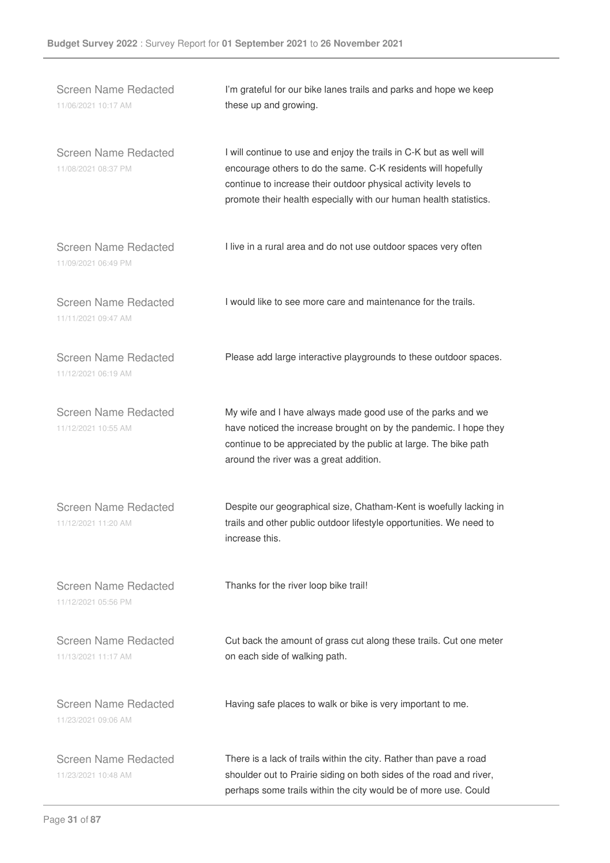| <b>Screen Name Redacted</b><br>11/06/2021 10:17 AM | I'm grateful for our bike lanes trails and parks and hope we keep<br>these up and growing.                                                                                                                                                                                  |
|----------------------------------------------------|-----------------------------------------------------------------------------------------------------------------------------------------------------------------------------------------------------------------------------------------------------------------------------|
| <b>Screen Name Redacted</b><br>11/08/2021 08:37 PM | I will continue to use and enjoy the trails in C-K but as well will<br>encourage others to do the same. C-K residents will hopefully<br>continue to increase their outdoor physical activity levels to<br>promote their health especially with our human health statistics. |
| <b>Screen Name Redacted</b><br>11/09/2021 06:49 PM | I live in a rural area and do not use outdoor spaces very often                                                                                                                                                                                                             |
| <b>Screen Name Redacted</b><br>11/11/2021 09:47 AM | I would like to see more care and maintenance for the trails.                                                                                                                                                                                                               |
| Screen Name Redacted<br>11/12/2021 06:19 AM        | Please add large interactive playgrounds to these outdoor spaces.                                                                                                                                                                                                           |
| <b>Screen Name Redacted</b><br>11/12/2021 10:55 AM | My wife and I have always made good use of the parks and we<br>have noticed the increase brought on by the pandemic. I hope they<br>continue to be appreciated by the public at large. The bike path<br>around the river was a great addition.                              |
| <b>Screen Name Redacted</b><br>11/12/2021 11:20 AM | Despite our geographical size, Chatham-Kent is woefully lacking in<br>trails and other public outdoor lifestyle opportunities. We need to<br>increase this.                                                                                                                 |
| <b>Screen Name Redacted</b><br>11/12/2021 05:56 PM | Thanks for the river loop bike trail!                                                                                                                                                                                                                                       |
| <b>Screen Name Redacted</b><br>11/13/2021 11:17 AM | Cut back the amount of grass cut along these trails. Cut one meter<br>on each side of walking path.                                                                                                                                                                         |
| Screen Name Redacted<br>11/23/2021 09:06 AM        | Having safe places to walk or bike is very important to me.                                                                                                                                                                                                                 |
| Screen Name Redacted<br>11/23/2021 10:48 AM        | There is a lack of trails within the city. Rather than pave a road<br>shoulder out to Prairie siding on both sides of the road and river,<br>perhaps some trails within the city would be of more use. Could                                                                |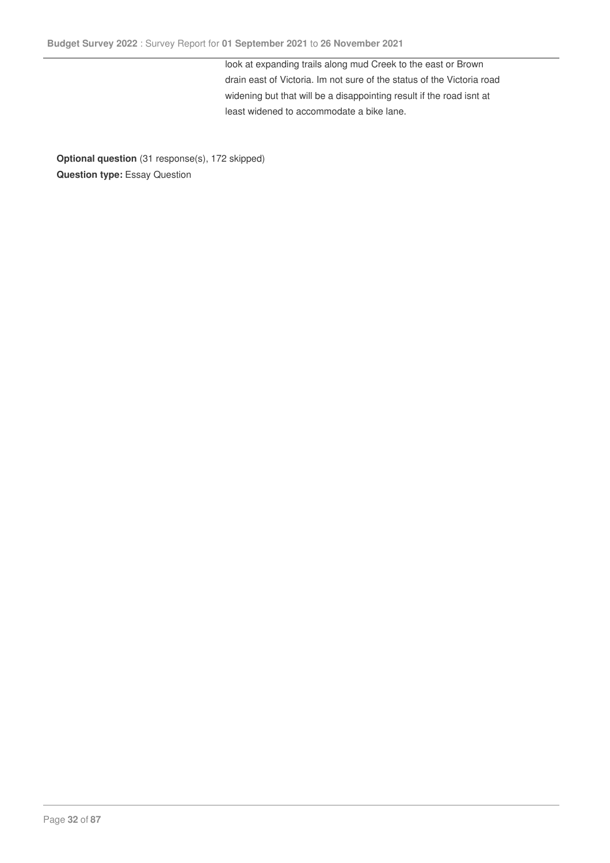look at expanding trails along mud Creek to the east or Brown drain east of Victoria. Im not sure of the status of the Victoria road widening but that will be a disappointing result if the road isnt at least widened to accommodate a bike lane.

 **Optional question** (31 response(s), 172 skipped)  **Question type:** Essay Question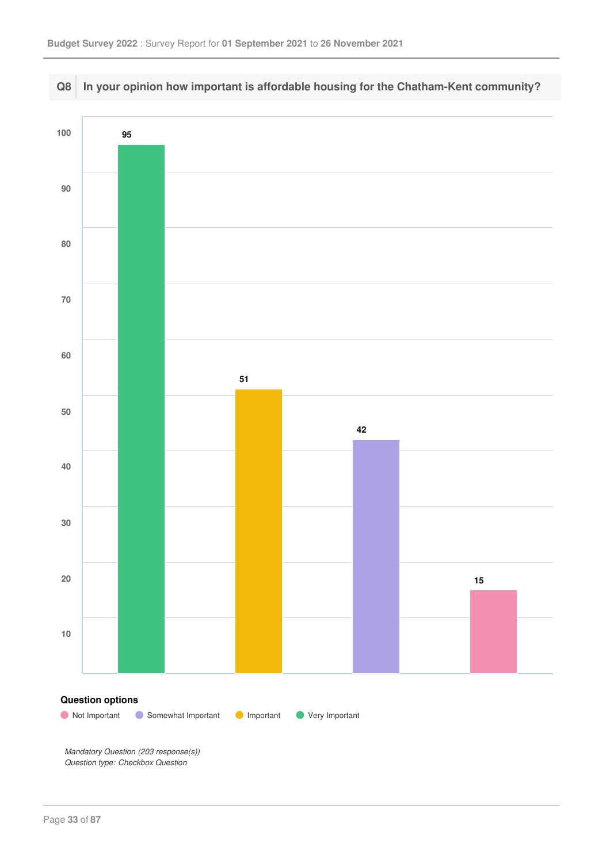

 *Mandatory Question (203 response(s)) Question type: Checkbox Question*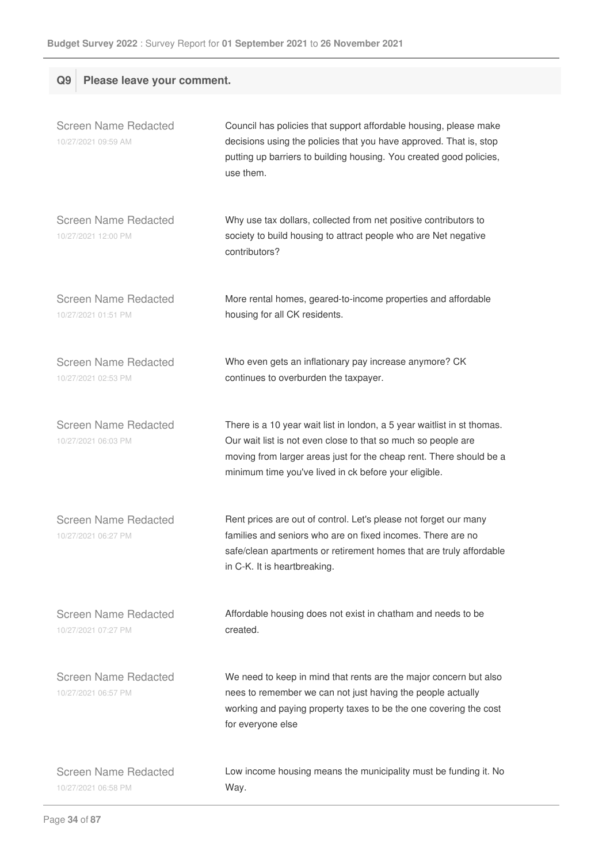# **Q9 Please leave your comment.**

| <b>Screen Name Redacted</b><br>10/27/2021 09:59 AM | Council has policies that support affordable housing, please make<br>decisions using the policies that you have approved. That is, stop<br>putting up barriers to building housing. You created good policies,<br>use them.                                              |
|----------------------------------------------------|--------------------------------------------------------------------------------------------------------------------------------------------------------------------------------------------------------------------------------------------------------------------------|
| <b>Screen Name Redacted</b><br>10/27/2021 12:00 PM | Why use tax dollars, collected from net positive contributors to<br>society to build housing to attract people who are Net negative<br>contributors?                                                                                                                     |
| <b>Screen Name Redacted</b><br>10/27/2021 01:51 PM | More rental homes, geared-to-income properties and affordable<br>housing for all CK residents.                                                                                                                                                                           |
| <b>Screen Name Redacted</b><br>10/27/2021 02:53 PM | Who even gets an inflationary pay increase anymore? CK<br>continues to overburden the taxpayer.                                                                                                                                                                          |
| <b>Screen Name Redacted</b><br>10/27/2021 06:03 PM | There is a 10 year wait list in london, a 5 year waitlist in st thomas.<br>Our wait list is not even close to that so much so people are<br>moving from larger areas just for the cheap rent. There should be a<br>minimum time you've lived in ck before your eligible. |
| <b>Screen Name Redacted</b><br>10/27/2021 06:27 PM | Rent prices are out of control. Let's please not forget our many<br>families and seniors who are on fixed incomes. There are no<br>safe/clean apartments or retirement homes that are truly affordable<br>in C-K. It is heartbreaking.                                   |
| <b>Screen Name Redacted</b><br>10/27/2021 07:27 PM | Affordable housing does not exist in chatham and needs to be<br>created.                                                                                                                                                                                                 |
| Screen Name Redacted<br>10/27/2021 06:57 PM        | We need to keep in mind that rents are the major concern but also<br>nees to remember we can not just having the people actually<br>working and paying property taxes to be the one covering the cost<br>for everyone else                                               |
| <b>Screen Name Redacted</b><br>10/27/2021 06:58 PM | Low income housing means the municipality must be funding it. No<br>Way.                                                                                                                                                                                                 |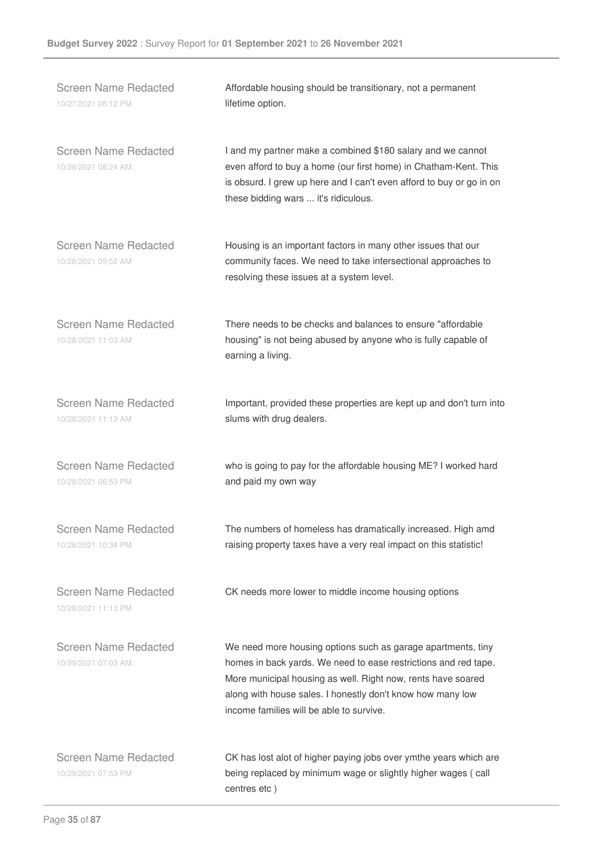| <b>Screen Name Redacted</b><br>10/27/2021 08:12 PM | Affordable housing should be transitionary, not a permanent<br>lifetime option.                                                                                                                                                                                                                           |
|----------------------------------------------------|-----------------------------------------------------------------------------------------------------------------------------------------------------------------------------------------------------------------------------------------------------------------------------------------------------------|
| <b>Screen Name Redacted</b><br>10/28/2021 08:24 AM | I and my partner make a combined \$180 salary and we cannot<br>even afford to buy a home (our first home) in Chatham-Kent. This<br>is obsurd. I grew up here and I can't even afford to buy or go in on<br>these bidding wars  it's ridiculous.                                                           |
| <b>Screen Name Redacted</b><br>10/28/2021 09:52 AM | Housing is an important factors in many other issues that our<br>community faces. We need to take intersectional approaches to<br>resolving these issues at a system level.                                                                                                                               |
| <b>Screen Name Redacted</b><br>10/28/2021 11:03 AM | There needs to be checks and balances to ensure "affordable"<br>housing" is not being abused by anyone who is fully capable of<br>earning a living.                                                                                                                                                       |
| Screen Name Redacted<br>10/28/2021 11:13 AM        | Important, provided these properties are kept up and don't turn into<br>slums with drug dealers.                                                                                                                                                                                                          |
| Screen Name Redacted<br>10/28/2021 06:53 PM        | who is going to pay for the affordable housing ME? I worked hard<br>and paid my own way                                                                                                                                                                                                                   |
| <b>Screen Name Redacted</b><br>10/28/2021 10:34 PM | The numbers of homeless has dramatically increased. High amd<br>raising property taxes have a very real impact on this statistic!                                                                                                                                                                         |
| Screen Name Redacted<br>10/28/2021 11:13 PM        | CK needs more lower to middle income housing options                                                                                                                                                                                                                                                      |
| <b>Screen Name Redacted</b><br>10/29/2021 07:03 AM | We need more housing options such as garage apartments, tiny<br>homes in back yards. We need to ease restrictions and red tape.<br>More municipal housing as well. Right now, rents have soared<br>along with house sales. I honestly don't know how many low<br>income families will be able to survive. |
| <b>Screen Name Redacted</b><br>10/29/2021 07:53 PM | CK has lost alot of higher paying jobs over ymthe years which are<br>being replaced by minimum wage or slightly higher wages (call<br>centres etc)                                                                                                                                                        |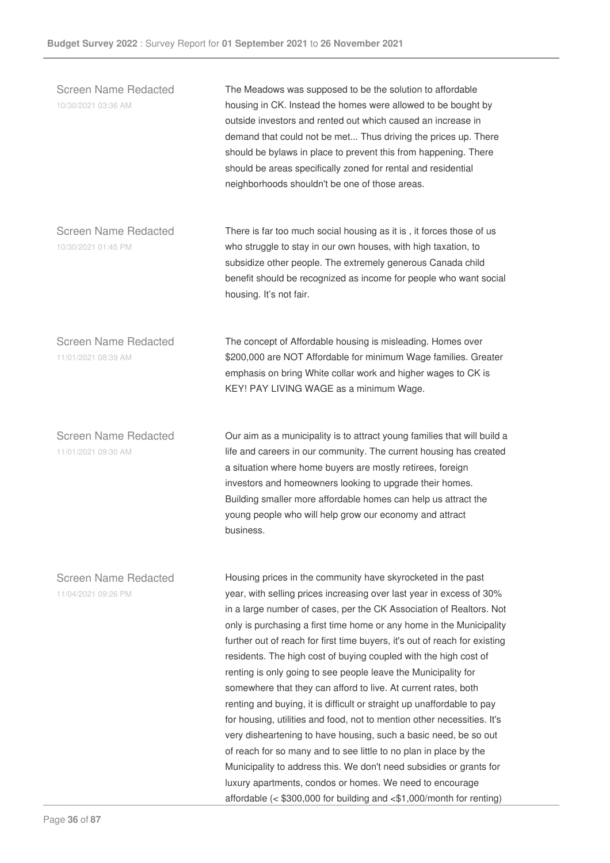| <b>Screen Name Redacted</b><br>10/30/2021 03:36 AM | The Meadows was supposed to be the solution to affordable<br>housing in CK. Instead the homes were allowed to be bought by<br>outside investors and rented out which caused an increase in<br>demand that could not be met Thus driving the prices up. There<br>should be bylaws in place to prevent this from happening. There<br>should be areas specifically zoned for rental and residential<br>neighborhoods shouldn't be one of those areas.                                                                                                                                                                                                                                                                                                                                                                                                                      |
|----------------------------------------------------|-------------------------------------------------------------------------------------------------------------------------------------------------------------------------------------------------------------------------------------------------------------------------------------------------------------------------------------------------------------------------------------------------------------------------------------------------------------------------------------------------------------------------------------------------------------------------------------------------------------------------------------------------------------------------------------------------------------------------------------------------------------------------------------------------------------------------------------------------------------------------|
| Screen Name Redacted<br>10/30/2021 01:45 PM        | There is far too much social housing as it is, it forces those of us<br>who struggle to stay in our own houses, with high taxation, to<br>subsidize other people. The extremely generous Canada child<br>benefit should be recognized as income for people who want social<br>housing. It's not fair.                                                                                                                                                                                                                                                                                                                                                                                                                                                                                                                                                                   |
| <b>Screen Name Redacted</b><br>11/01/2021 08:39 AM | The concept of Affordable housing is misleading. Homes over<br>\$200,000 are NOT Affordable for minimum Wage families. Greater<br>emphasis on bring White collar work and higher wages to CK is<br>KEY! PAY LIVING WAGE as a minimum Wage.                                                                                                                                                                                                                                                                                                                                                                                                                                                                                                                                                                                                                              |
| <b>Screen Name Redacted</b><br>11/01/2021 09:30 AM | Our aim as a municipality is to attract young families that will build a<br>life and careers in our community. The current housing has created<br>a situation where home buyers are mostly retirees, foreign<br>investors and homeowners looking to upgrade their homes.<br>Building smaller more affordable homes can help us attract the<br>young people who will help grow our economy and attract<br>business.                                                                                                                                                                                                                                                                                                                                                                                                                                                      |
| <b>Screen Name Redacted</b><br>11/04/2021 09:26 PM | Housing prices in the community have skyrocketed in the past<br>year, with selling prices increasing over last year in excess of 30%<br>in a large number of cases, per the CK Association of Realtors. Not<br>only is purchasing a first time home or any home in the Municipality<br>further out of reach for first time buyers, it's out of reach for existing<br>residents. The high cost of buying coupled with the high cost of<br>renting is only going to see people leave the Municipality for<br>somewhere that they can afford to live. At current rates, both<br>renting and buying, it is difficult or straight up unaffordable to pay<br>for housing, utilities and food, not to mention other necessities. It's<br>very disheartening to have housing, such a basic need, be so out<br>of reach for so many and to see little to no plan in place by the |

 Municipality to address this. We don't need subsidies or grants for luxury apartments, condos or homes. We need to encourage affordable (< \$300,000 for building and <\$1,000/month for renting)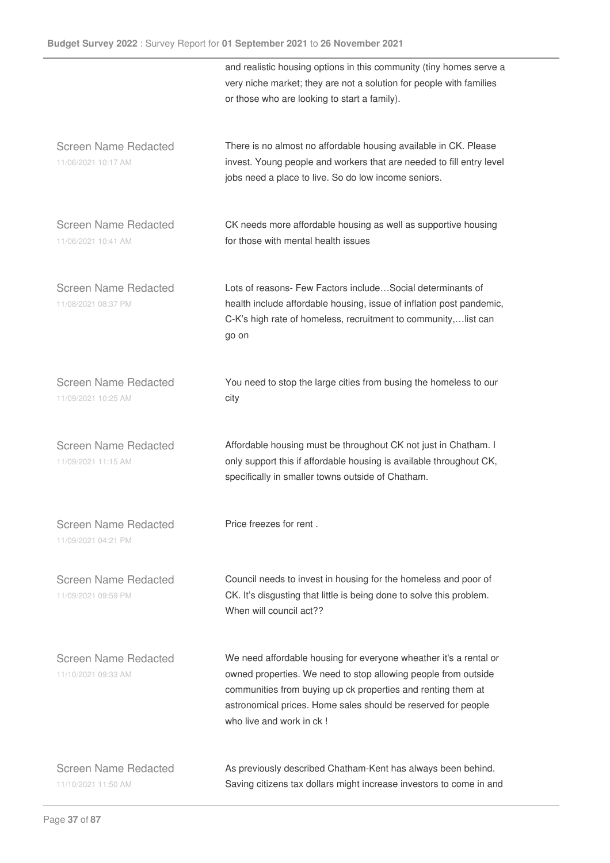|                                                    | and realistic housing options in this community (tiny homes serve a<br>very niche market; they are not a solution for people with families<br>or those who are looking to start a family).                                                                                                        |
|----------------------------------------------------|---------------------------------------------------------------------------------------------------------------------------------------------------------------------------------------------------------------------------------------------------------------------------------------------------|
| <b>Screen Name Redacted</b><br>11/06/2021 10:17 AM | There is no almost no affordable housing available in CK. Please<br>invest. Young people and workers that are needed to fill entry level<br>jobs need a place to live. So do low income seniors.                                                                                                  |
| Screen Name Redacted<br>11/06/2021 10:41 AM        | CK needs more affordable housing as well as supportive housing<br>for those with mental health issues                                                                                                                                                                                             |
| Screen Name Redacted<br>11/08/2021 08:37 PM        | Lots of reasons- Few Factors includeSocial determinants of<br>health include affordable housing, issue of inflation post pandemic,<br>C-K's high rate of homeless, recruitment to community,list can<br>go on                                                                                     |
| <b>Screen Name Redacted</b><br>11/09/2021 10:25 AM | You need to stop the large cities from busing the homeless to our<br>city                                                                                                                                                                                                                         |
| Screen Name Redacted<br>11/09/2021 11:15 AM        | Affordable housing must be throughout CK not just in Chatham. I<br>only support this if affordable housing is available throughout CK,<br>specifically in smaller towns outside of Chatham.                                                                                                       |
| <b>Screen Name Redacted</b><br>11/09/2021 04:21 PM | Price freezes for rent.                                                                                                                                                                                                                                                                           |
| <b>Screen Name Redacted</b><br>11/09/2021 09:59 PM | Council needs to invest in housing for the homeless and poor of<br>CK. It's disgusting that little is being done to solve this problem.<br>When will council act??                                                                                                                                |
| Screen Name Redacted<br>11/10/2021 09:33 AM        | We need affordable housing for everyone wheather it's a rental or<br>owned properties. We need to stop allowing people from outside<br>communities from buying up ck properties and renting them at<br>astronomical prices. Home sales should be reserved for people<br>who live and work in ck ! |
| <b>Screen Name Redacted</b><br>11/10/2021 11:50 AM | As previously described Chatham-Kent has always been behind.<br>Saving citizens tax dollars might increase investors to come in and                                                                                                                                                               |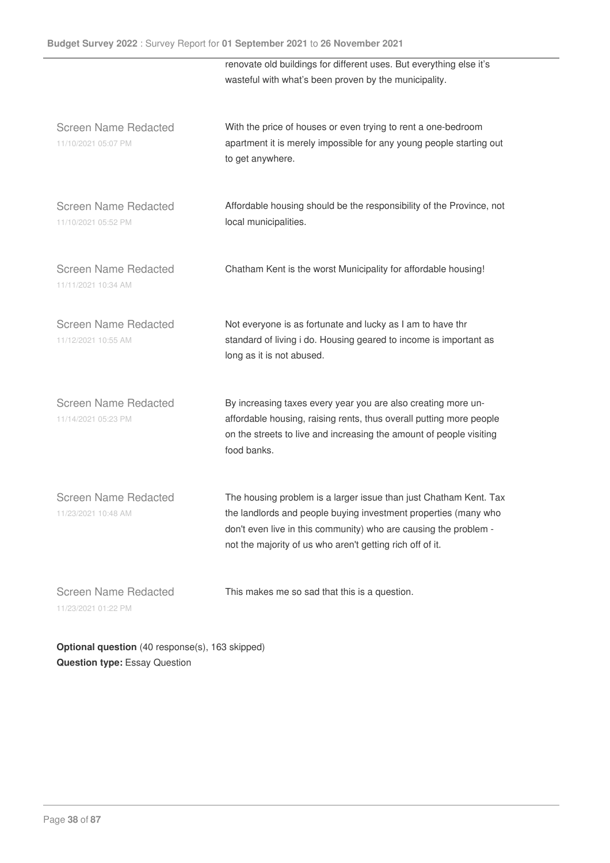|                                                    | renovate old buildings for different uses. But everything else it's<br>wasteful with what's been proven by the municipality.                                                                                                                                          |
|----------------------------------------------------|-----------------------------------------------------------------------------------------------------------------------------------------------------------------------------------------------------------------------------------------------------------------------|
| Screen Name Redacted<br>11/10/2021 05:07 PM        | With the price of houses or even trying to rent a one-bedroom<br>apartment it is merely impossible for any young people starting out<br>to get anywhere.                                                                                                              |
| <b>Screen Name Redacted</b><br>11/10/2021 05:52 PM | Affordable housing should be the responsibility of the Province, not<br>local municipalities.                                                                                                                                                                         |
| <b>Screen Name Redacted</b><br>11/11/2021 10:34 AM | Chatham Kent is the worst Municipality for affordable housing!                                                                                                                                                                                                        |
| <b>Screen Name Redacted</b><br>11/12/2021 10:55 AM | Not everyone is as fortunate and lucky as I am to have thr<br>standard of living i do. Housing geared to income is important as<br>long as it is not abused.                                                                                                          |
| <b>Screen Name Redacted</b><br>11/14/2021 05:23 PM | By increasing taxes every year you are also creating more un-<br>affordable housing, raising rents, thus overall putting more people<br>on the streets to live and increasing the amount of people visiting<br>food banks.                                            |
| <b>Screen Name Redacted</b><br>11/23/2021 10:48 AM | The housing problem is a larger issue than just Chatham Kent. Tax<br>the landlords and people buying investment properties (many who<br>don't even live in this community) who are causing the problem -<br>not the majority of us who aren't getting rich off of it. |
| <b>Screen Name Redacted</b><br>11/23/2021 01:22 PM | This makes me so sad that this is a question.                                                                                                                                                                                                                         |

 **Optional question** (40 response(s), 163 skipped)  **Question type:** Essay Question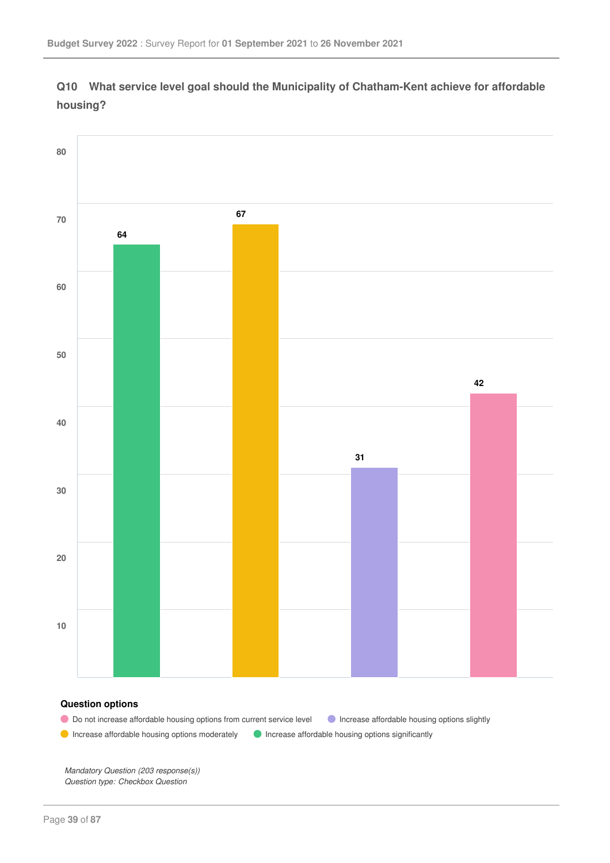



### **Question options**

Do not increase affordable housing options from current service level **Definition** Increase affordable housing options slightly

Increase affordable housing options moderately  $\bullet$  Increase affordable housing options significantly

 *Mandatory Question (203 response(s)) Question type: Checkbox Question*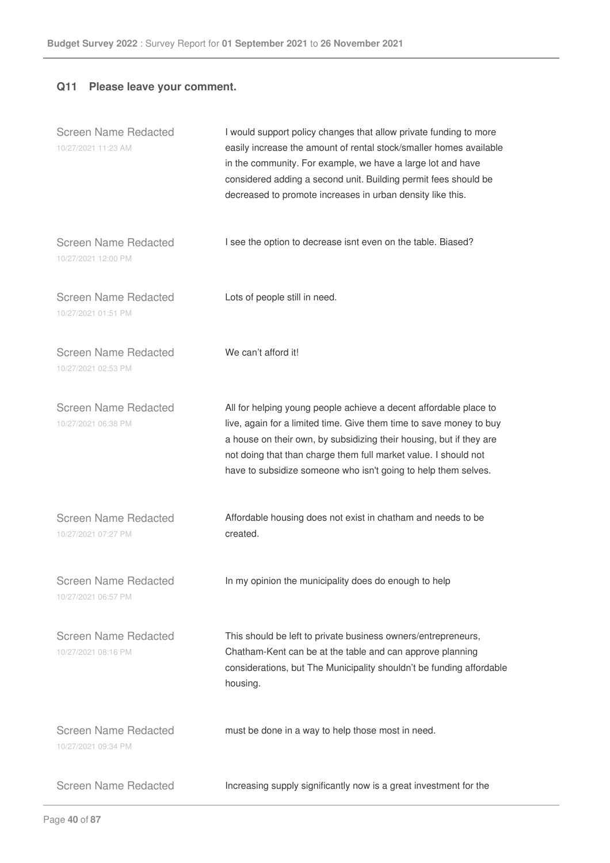# **Q11 Please leave your comment.**

| <b>Screen Name Redacted</b><br>10/27/2021 11:23 AM | I would support policy changes that allow private funding to more<br>easily increase the amount of rental stock/smaller homes available<br>in the community. For example, we have a large lot and have<br>considered adding a second unit. Building permit fees should be<br>decreased to promote increases in urban density like this.              |
|----------------------------------------------------|------------------------------------------------------------------------------------------------------------------------------------------------------------------------------------------------------------------------------------------------------------------------------------------------------------------------------------------------------|
| <b>Screen Name Redacted</b><br>10/27/2021 12:00 PM | I see the option to decrease isnt even on the table. Biased?                                                                                                                                                                                                                                                                                         |
| <b>Screen Name Redacted</b><br>10/27/2021 01:51 PM | Lots of people still in need.                                                                                                                                                                                                                                                                                                                        |
| <b>Screen Name Redacted</b><br>10/27/2021 02:53 PM | We can't afford it!                                                                                                                                                                                                                                                                                                                                  |
| <b>Screen Name Redacted</b><br>10/27/2021 06:38 PM | All for helping young people achieve a decent affordable place to<br>live, again for a limited time. Give them time to save money to buy<br>a house on their own, by subsidizing their housing, but if they are<br>not doing that than charge them full market value. I should not<br>have to subsidize someone who isn't going to help them selves. |
| <b>Screen Name Redacted</b><br>10/27/2021 07:27 PM | Affordable housing does not exist in chatham and needs to be<br>created.                                                                                                                                                                                                                                                                             |
| <b>Screen Name Redacted</b><br>10/27/2021 06:57 PM | In my opinion the municipality does do enough to help                                                                                                                                                                                                                                                                                                |
| <b>Screen Name Redacted</b><br>10/27/2021 08:16 PM | This should be left to private business owners/entrepreneurs,<br>Chatham-Kent can be at the table and can approve planning<br>considerations, but The Municipality shouldn't be funding affordable<br>housing.                                                                                                                                       |
| <b>Screen Name Redacted</b><br>10/27/2021 09:34 PM | must be done in a way to help those most in need.                                                                                                                                                                                                                                                                                                    |
| <b>Screen Name Redacted</b>                        | Increasing supply significantly now is a great investment for the                                                                                                                                                                                                                                                                                    |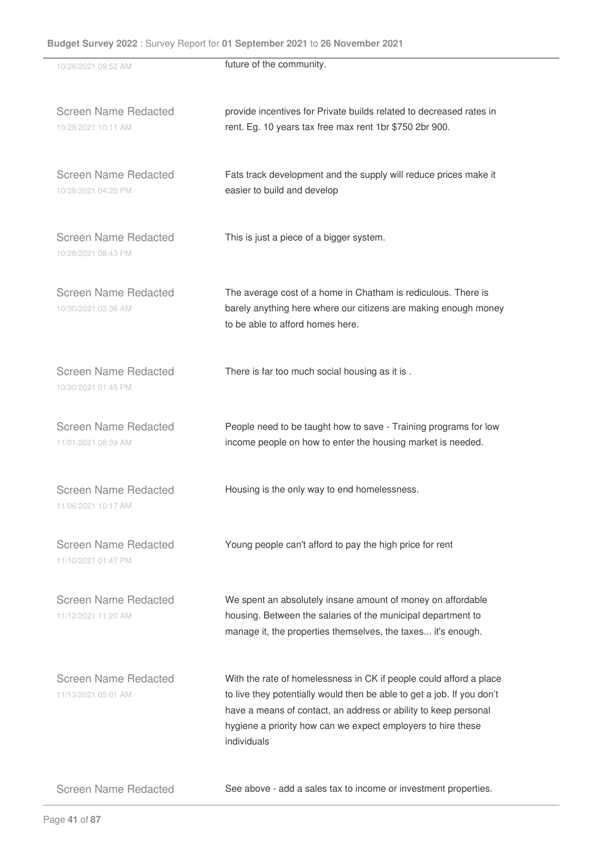| 10/28/2021 09:52 AM                                | future of the community.                                                                                                                                                                                                                                                                       |
|----------------------------------------------------|------------------------------------------------------------------------------------------------------------------------------------------------------------------------------------------------------------------------------------------------------------------------------------------------|
| Screen Name Redacted<br>10/28/2021 10:11 AM        | provide incentives for Private builds related to decreased rates in<br>rent. Eg. 10 years tax free max rent 1br \$750 2br 900.                                                                                                                                                                 |
| Screen Name Redacted<br>10/28/2021 04:20 PM        | Fats track development and the supply will reduce prices make it<br>easier to build and develop                                                                                                                                                                                                |
| <b>Screen Name Redacted</b><br>10/28/2021 08:43 PM | This is just a piece of a bigger system.                                                                                                                                                                                                                                                       |
| <b>Screen Name Redacted</b><br>10/30/2021 03:36 AM | The average cost of a home in Chatham is rediculous. There is<br>barely anything here where our citizens are making enough money<br>to be able to afford homes here.                                                                                                                           |
| <b>Screen Name Redacted</b><br>10/30/2021 01:45 PM | There is far too much social housing as it is.                                                                                                                                                                                                                                                 |
| Screen Name Redacted<br>11/01/2021 08:39 AM        | People need to be taught how to save - Training programs for low<br>income people on how to enter the housing market is needed.                                                                                                                                                                |
| Screen Name Redacted<br>11/06/2021 10:17 AM        | Housing is the only way to end homelessness.                                                                                                                                                                                                                                                   |
| <b>Screen Name Redacted</b><br>11/10/2021 01:47 PM | Young people can't afford to pay the high price for rent                                                                                                                                                                                                                                       |
| Screen Name Redacted<br>11/12/2021 11:20 AM        | We spent an absolutely insane amount of money on affordable<br>housing. Between the salaries of the municipal department to<br>manage it, the properties themselves, the taxes it's enough.                                                                                                    |
| Screen Name Redacted<br>11/13/2021 05:01 AM        | With the rate of homelessness in CK if people could afford a place<br>to live they potentially would then be able to get a job. If you don't<br>have a means of contact, an address or ability to keep personal<br>hygiene a priority how can we expect employers to hire these<br>individuals |
| <b>Screen Name Redacted</b>                        | See above - add a sales tax to income or investment properties.                                                                                                                                                                                                                                |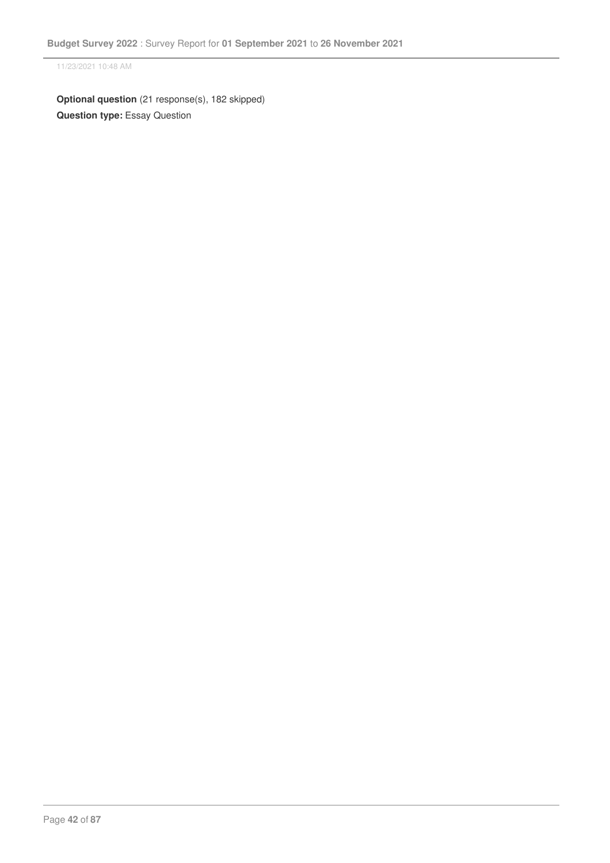11/23/2021 10:48 AM

 **Optional question** (21 response(s), 182 skipped)  **Question type:** Essay Question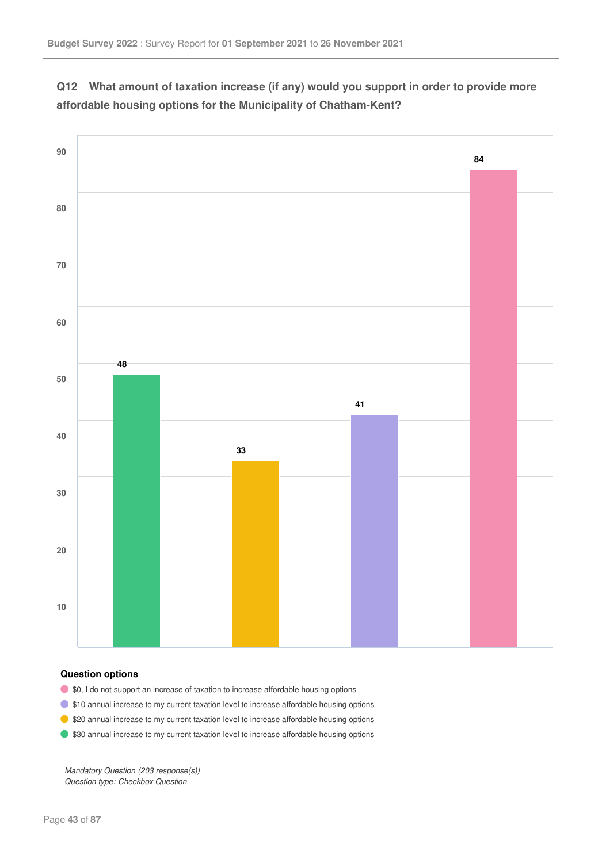# **Q12 What amount of taxation increase (if any) would you support in order to provide more affordable housing options for the Municipality of Chatham-Kent?**



### **Question options**

- \$0, I do not support an increase of taxation to increase affordable housing options
- \$10 annual increase to my current taxation level to increase affordable housing options
- \$20 annual increase to my current taxation level to increase affordable housing options
- **\$30 annual increase to my current taxation level to increase affordable housing options**

 *Mandatory Question (203 response(s)) Question type: Checkbox Question*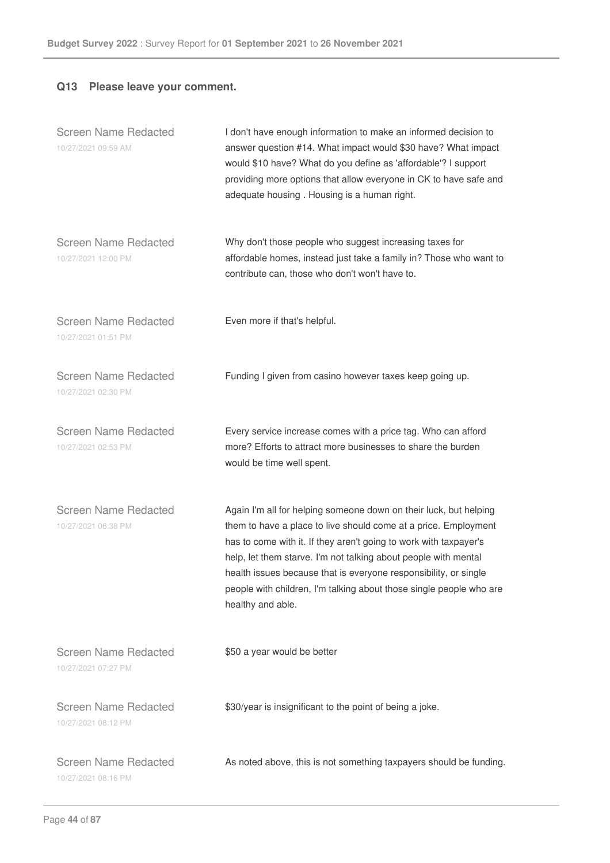# **Q13 Please leave your comment.**

| Screen Name Redacted<br>10/27/2021 09:59 AM        | I don't have enough information to make an informed decision to<br>answer question #14. What impact would \$30 have? What impact<br>would \$10 have? What do you define as 'affordable'? I support<br>providing more options that allow everyone in CK to have safe and<br>adequate housing. Housing is a human right.                                                                                                                       |
|----------------------------------------------------|----------------------------------------------------------------------------------------------------------------------------------------------------------------------------------------------------------------------------------------------------------------------------------------------------------------------------------------------------------------------------------------------------------------------------------------------|
| <b>Screen Name Redacted</b><br>10/27/2021 12:00 PM | Why don't those people who suggest increasing taxes for<br>affordable homes, instead just take a family in? Those who want to<br>contribute can, those who don't won't have to.                                                                                                                                                                                                                                                              |
| <b>Screen Name Redacted</b><br>10/27/2021 01:51 PM | Even more if that's helpful.                                                                                                                                                                                                                                                                                                                                                                                                                 |
| <b>Screen Name Redacted</b><br>10/27/2021 02:30 PM | Funding I given from casino however taxes keep going up.                                                                                                                                                                                                                                                                                                                                                                                     |
| <b>Screen Name Redacted</b><br>10/27/2021 02:53 PM | Every service increase comes with a price tag. Who can afford<br>more? Efforts to attract more businesses to share the burden<br>would be time well spent.                                                                                                                                                                                                                                                                                   |
| <b>Screen Name Redacted</b><br>10/27/2021 06:38 PM | Again I'm all for helping someone down on their luck, but helping<br>them to have a place to live should come at a price. Employment<br>has to come with it. If they aren't going to work with taxpayer's<br>help, let them starve. I'm not talking about people with mental<br>health issues because that is everyone responsibility, or single<br>people with children, I'm talking about those single people who are<br>healthy and able. |
| Screen Name Redacted<br>10/27/2021 07:27 PM        | \$50 a year would be better                                                                                                                                                                                                                                                                                                                                                                                                                  |
| <b>Screen Name Redacted</b><br>10/27/2021 08:12 PM | \$30/year is insignificant to the point of being a joke.                                                                                                                                                                                                                                                                                                                                                                                     |
| <b>Screen Name Redacted</b><br>10/27/2021 08:16 PM | As noted above, this is not something taxpayers should be funding.                                                                                                                                                                                                                                                                                                                                                                           |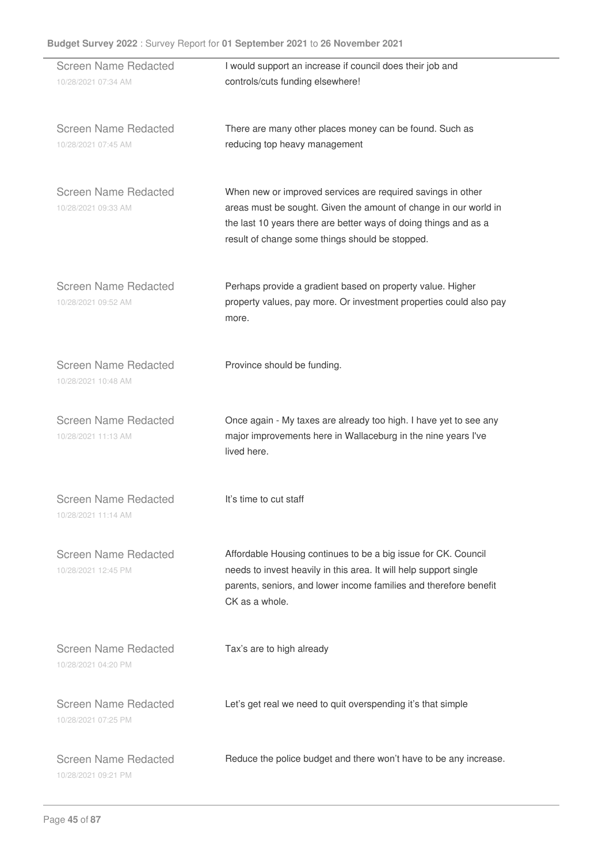| <b>Screen Name Redacted</b> | I would support an increase if council does their job and          |
|-----------------------------|--------------------------------------------------------------------|
| 10/28/2021 07:34 AM         | controls/cuts funding elsewhere!                                   |
|                             |                                                                    |
|                             |                                                                    |
|                             |                                                                    |
| <b>Screen Name Redacted</b> | There are many other places money can be found. Such as            |
| 10/28/2021 07:45 AM         | reducing top heavy management                                      |
|                             |                                                                    |
|                             |                                                                    |
| Screen Name Redacted        | When new or improved services are required savings in other        |
| 10/28/2021 09:33 AM         | areas must be sought. Given the amount of change in our world in   |
|                             |                                                                    |
|                             | the last 10 years there are better ways of doing things and as a   |
|                             | result of change some things should be stopped.                    |
|                             |                                                                    |
|                             |                                                                    |
| <b>Screen Name Redacted</b> | Perhaps provide a gradient based on property value. Higher         |
| 10/28/2021 09:52 AM         | property values, pay more. Or investment properties could also pay |
|                             | more.                                                              |
|                             |                                                                    |
|                             |                                                                    |
|                             |                                                                    |
| <b>Screen Name Redacted</b> | Province should be funding.                                        |
| 10/28/2021 10:48 AM         |                                                                    |
|                             |                                                                    |
|                             |                                                                    |
| <b>Screen Name Redacted</b> | Once again - My taxes are already too high. I have yet to see any  |
| 10/28/2021 11:13 AM         | major improvements here in Wallaceburg in the nine years I've      |
|                             | lived here.                                                        |
|                             |                                                                    |
|                             |                                                                    |
| <b>Screen Name Redacted</b> | It's time to cut staff                                             |
| 10/28/2021 11:14 AM         |                                                                    |
|                             |                                                                    |
|                             |                                                                    |
| Screen Name Redacted        | Affordable Housing continues to be a big issue for CK. Council     |
| 10/28/2021 12:45 PM         | needs to invest heavily in this area. It will help support single  |
|                             | parents, seniors, and lower income families and therefore benefit  |
|                             | CK as a whole.                                                     |
|                             |                                                                    |
|                             |                                                                    |
| Screen Name Redacted        | Tax's are to high already                                          |
| 10/28/2021 04:20 PM         |                                                                    |
|                             |                                                                    |
|                             |                                                                    |
| Screen Name Redacted        | Let's get real we need to quit overspending it's that simple       |
| 10/28/2021 07:25 PM         |                                                                    |
|                             |                                                                    |
|                             |                                                                    |
| Screen Name Redacted        | Reduce the police budget and there won't have to be any increase.  |
| 10/28/2021 09:21 PM         |                                                                    |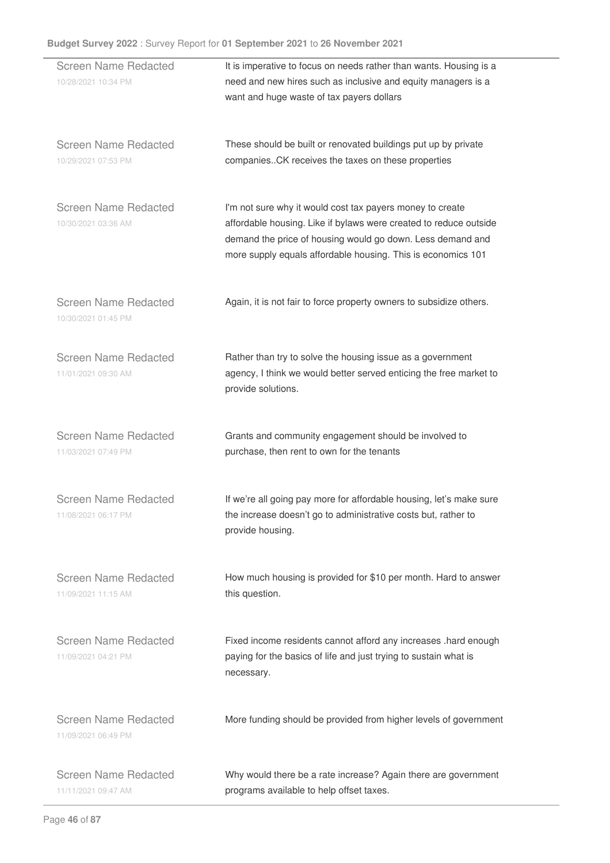| <b>Screen Name Redacted</b><br>10/28/2021 10:34 PM | It is imperative to focus on needs rather than wants. Housing is a<br>need and new hires such as inclusive and equity managers is a<br>want and huge waste of tax payers dollars                                                                             |
|----------------------------------------------------|--------------------------------------------------------------------------------------------------------------------------------------------------------------------------------------------------------------------------------------------------------------|
| Screen Name Redacted<br>10/29/2021 07:53 PM        | These should be built or renovated buildings put up by private<br>companiesCK receives the taxes on these properties                                                                                                                                         |
| <b>Screen Name Redacted</b><br>10/30/2021 03:36 AM | I'm not sure why it would cost tax payers money to create<br>affordable housing. Like if bylaws were created to reduce outside<br>demand the price of housing would go down. Less demand and<br>more supply equals affordable housing. This is economics 101 |
| <b>Screen Name Redacted</b><br>10/30/2021 01:45 PM | Again, it is not fair to force property owners to subsidize others.                                                                                                                                                                                          |
| <b>Screen Name Redacted</b><br>11/01/2021 09:30 AM | Rather than try to solve the housing issue as a government<br>agency, I think we would better served enticing the free market to<br>provide solutions.                                                                                                       |
| <b>Screen Name Redacted</b><br>11/03/2021 07:49 PM | Grants and community engagement should be involved to<br>purchase, then rent to own for the tenants                                                                                                                                                          |
| <b>Screen Name Redacted</b><br>11/08/2021 06:17 PM | If we're all going pay more for affordable housing, let's make sure<br>the increase doesn't go to administrative costs but, rather to<br>provide housing.                                                                                                    |
| Screen Name Redacted<br>11/09/2021 11:15 AM        | How much housing is provided for \$10 per month. Hard to answer<br>this question.                                                                                                                                                                            |
| Screen Name Redacted<br>11/09/2021 04:21 PM        | Fixed income residents cannot afford any increases .hard enough<br>paying for the basics of life and just trying to sustain what is<br>necessary.                                                                                                            |
| <b>Screen Name Redacted</b><br>11/09/2021 06:49 PM | More funding should be provided from higher levels of government                                                                                                                                                                                             |
| <b>Screen Name Redacted</b><br>11/11/2021 09:47 AM | Why would there be a rate increase? Again there are government<br>programs available to help offset taxes.                                                                                                                                                   |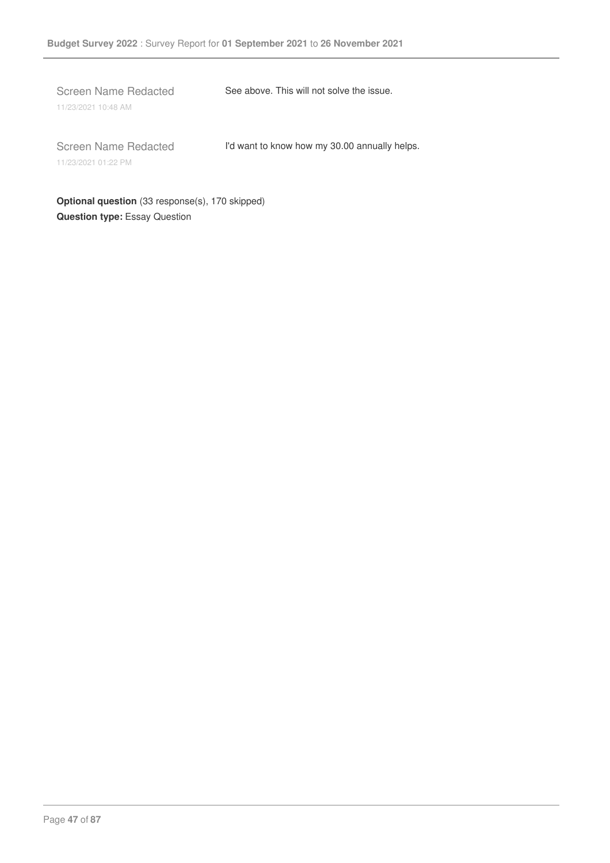Screen Name Redacted

Screen Name Redacted See above. This will not solve the issue.

11/23/2021 10:48 AM

Screen Name Redacted

Screen Name Redacted **I'd want to know how my 30.00 annually helps.** 

11/23/2021 01:22 PM

 **Optional question** (33 response(s), 170 skipped)  **Question type:** Essay Question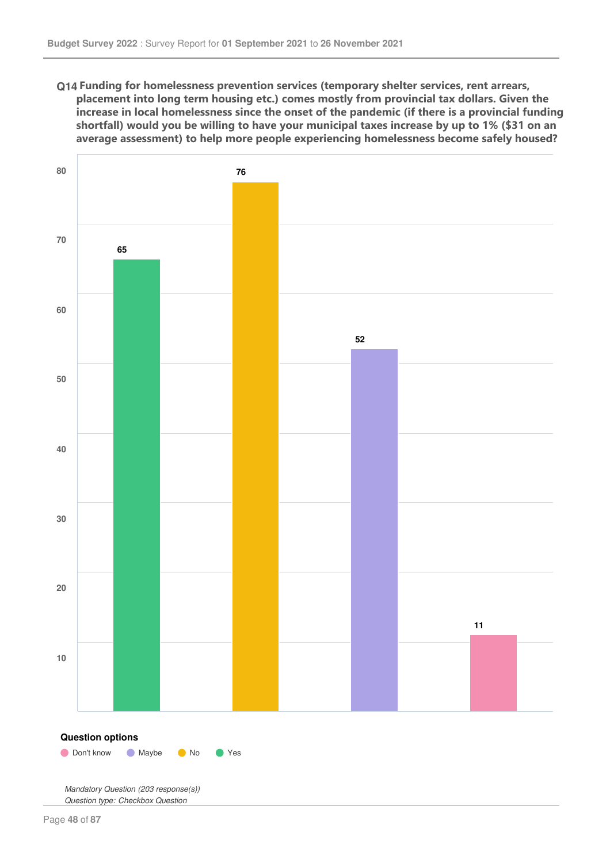**average assessment) to help more people experiencing homelessness become safely housed? Q14 Funding for homelessness prevention services (temporary shelter services, rent arrears, placement into long term housing etc.) comes mostly from provincial tax dollars. Given the increase in local homelessness since the onset of the pandemic (if there is a provincial funding shortfall) would you be willing to have your municipal taxes increase by up to 1% (\$31 on an** 

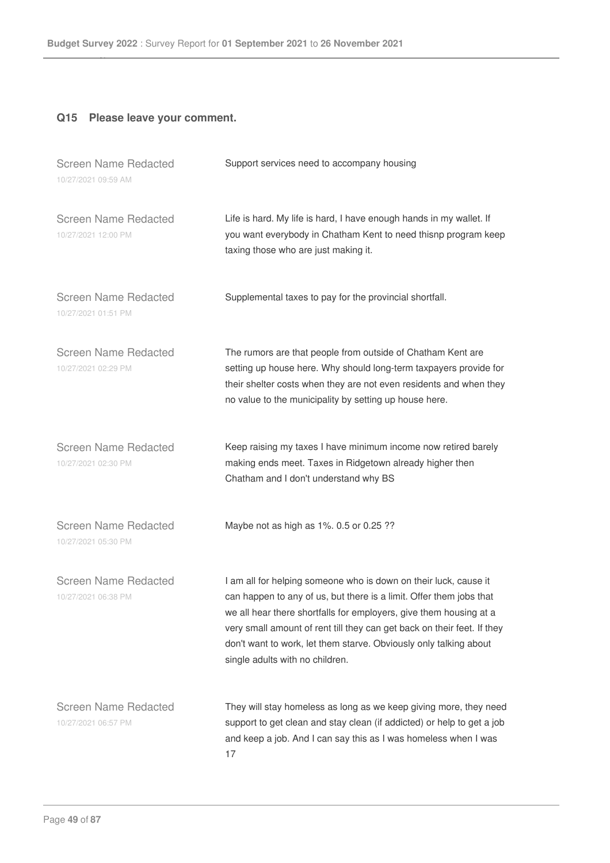# **Q15 Please leave your comment.**

*yp*

| <b>Screen Name Redacted</b><br>10/27/2021 09:59 AM | Support services need to accompany housing                                                                                                                                                                                                                                                                                                                                                       |
|----------------------------------------------------|--------------------------------------------------------------------------------------------------------------------------------------------------------------------------------------------------------------------------------------------------------------------------------------------------------------------------------------------------------------------------------------------------|
| <b>Screen Name Redacted</b><br>10/27/2021 12:00 PM | Life is hard. My life is hard, I have enough hands in my wallet. If<br>you want everybody in Chatham Kent to need thisnp program keep<br>taxing those who are just making it.                                                                                                                                                                                                                    |
| <b>Screen Name Redacted</b><br>10/27/2021 01:51 PM | Supplemental taxes to pay for the provincial shortfall.                                                                                                                                                                                                                                                                                                                                          |
| <b>Screen Name Redacted</b><br>10/27/2021 02:29 PM | The rumors are that people from outside of Chatham Kent are<br>setting up house here. Why should long-term taxpayers provide for<br>their shelter costs when they are not even residents and when they<br>no value to the municipality by setting up house here.                                                                                                                                 |
| <b>Screen Name Redacted</b><br>10/27/2021 02:30 PM | Keep raising my taxes I have minimum income now retired barely<br>making ends meet. Taxes in Ridgetown already higher then<br>Chatham and I don't understand why BS                                                                                                                                                                                                                              |
| <b>Screen Name Redacted</b><br>10/27/2021 05:30 PM | Maybe not as high as 1%. 0.5 or 0.25 ??                                                                                                                                                                                                                                                                                                                                                          |
| <b>Screen Name Redacted</b><br>10/27/2021 06:38 PM | I am all for helping someone who is down on their luck, cause it<br>can happen to any of us, but there is a limit. Offer them jobs that<br>we all hear there shortfalls for employers, give them housing at a<br>very small amount of rent till they can get back on their feet. If they<br>don't want to work, let them starve. Obviously only talking about<br>single adults with no children. |
| <b>Screen Name Redacted</b><br>10/27/2021 06:57 PM | They will stay homeless as long as we keep giving more, they need<br>support to get clean and stay clean (if addicted) or help to get a job<br>and keep a job. And I can say this as I was homeless when I was<br>17                                                                                                                                                                             |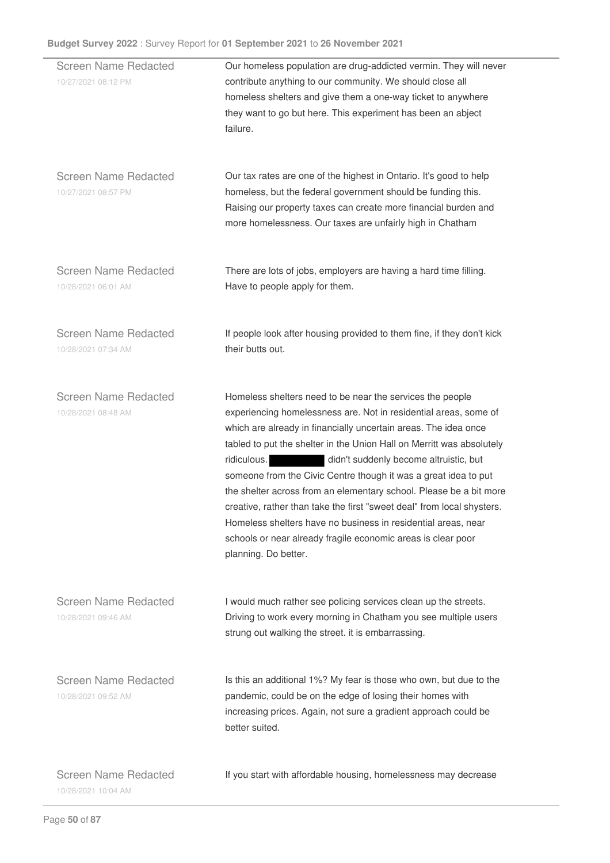| <b>Screen Name Redacted</b><br>10/27/2021 08:12 PM | Our homeless population are drug-addicted vermin. They will never<br>contribute anything to our community. We should close all<br>homeless shelters and give them a one-way ticket to anywhere<br>they want to go but here. This experiment has been an abject<br>failure.                                                                                                                                                                                                                                                                                                                                                                                                                                     |
|----------------------------------------------------|----------------------------------------------------------------------------------------------------------------------------------------------------------------------------------------------------------------------------------------------------------------------------------------------------------------------------------------------------------------------------------------------------------------------------------------------------------------------------------------------------------------------------------------------------------------------------------------------------------------------------------------------------------------------------------------------------------------|
| <b>Screen Name Redacted</b><br>10/27/2021 08:57 PM | Our tax rates are one of the highest in Ontario. It's good to help<br>homeless, but the federal government should be funding this.<br>Raising our property taxes can create more financial burden and<br>more homelessness. Our taxes are unfairly high in Chatham                                                                                                                                                                                                                                                                                                                                                                                                                                             |
| <b>Screen Name Redacted</b><br>10/28/2021 06:01 AM | There are lots of jobs, employers are having a hard time filling.<br>Have to people apply for them.                                                                                                                                                                                                                                                                                                                                                                                                                                                                                                                                                                                                            |
| Screen Name Redacted<br>10/28/2021 07:34 AM        | If people look after housing provided to them fine, if they don't kick<br>their butts out.                                                                                                                                                                                                                                                                                                                                                                                                                                                                                                                                                                                                                     |
| Screen Name Redacted<br>10/28/2021 08:48 AM        | Homeless shelters need to be near the services the people<br>experiencing homelessness are. Not in residential areas, some of<br>which are already in financially uncertain areas. The idea once<br>tabled to put the shelter in the Union Hall on Merritt was absolutely<br>ridiculous.<br>didn't suddenly become altruistic, but<br>someone from the Civic Centre though it was a great idea to put<br>the shelter across from an elementary school. Please be a bit more<br>creative, rather than take the first "sweet deal" from local shysters.<br>Homeless shelters have no business in residential areas, near<br>schools or near already fragile economic areas is clear poor<br>planning. Do better. |
| Screen Name Redacted<br>10/28/2021 09:46 AM        | I would much rather see policing services clean up the streets.<br>Driving to work every morning in Chatham you see multiple users<br>strung out walking the street. it is embarrassing.                                                                                                                                                                                                                                                                                                                                                                                                                                                                                                                       |
| <b>Screen Name Redacted</b><br>10/28/2021 09:52 AM | Is this an additional 1%? My fear is those who own, but due to the<br>pandemic, could be on the edge of losing their homes with<br>increasing prices. Again, not sure a gradient approach could be<br>better suited.                                                                                                                                                                                                                                                                                                                                                                                                                                                                                           |
| Screen Name Redacted<br>10/28/2021 10:04 AM        | If you start with affordable housing, homelessness may decrease                                                                                                                                                                                                                                                                                                                                                                                                                                                                                                                                                                                                                                                |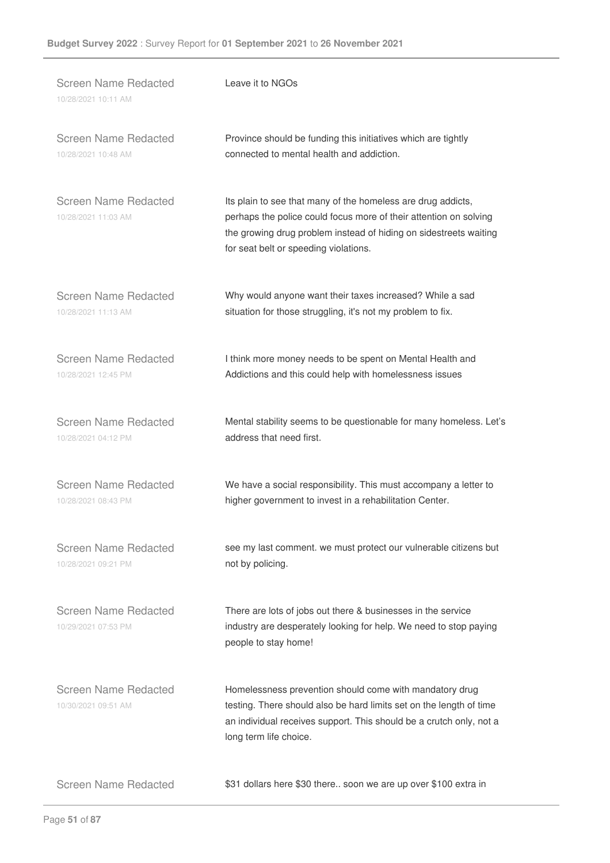| <b>Screen Name Redacted</b><br>10/28/2021 10:11 AM | Leave it to NGOs                                                                                                                                                                                                                                |
|----------------------------------------------------|-------------------------------------------------------------------------------------------------------------------------------------------------------------------------------------------------------------------------------------------------|
| <b>Screen Name Redacted</b>                        | Province should be funding this initiatives which are tightly                                                                                                                                                                                   |
| 10/28/2021 10:48 AM                                | connected to mental health and addiction.                                                                                                                                                                                                       |
| Screen Name Redacted<br>10/28/2021 11:03 AM        | Its plain to see that many of the homeless are drug addicts,<br>perhaps the police could focus more of their attention on solving<br>the growing drug problem instead of hiding on sidestreets waiting<br>for seat belt or speeding violations. |
| <b>Screen Name Redacted</b>                        | Why would anyone want their taxes increased? While a sad                                                                                                                                                                                        |
| 10/28/2021 11:13 AM                                | situation for those struggling, it's not my problem to fix.                                                                                                                                                                                     |
| <b>Screen Name Redacted</b>                        | I think more money needs to be spent on Mental Health and                                                                                                                                                                                       |
| 10/28/2021 12:45 PM                                | Addictions and this could help with homelessness issues                                                                                                                                                                                         |
| Screen Name Redacted                               | Mental stability seems to be questionable for many homeless. Let's                                                                                                                                                                              |
| 10/28/2021 04:12 PM                                | address that need first.                                                                                                                                                                                                                        |
| Screen Name Redacted                               | We have a social responsibility. This must accompany a letter to                                                                                                                                                                                |
| 10/28/2021 08:43 PM                                | higher government to invest in a rehabilitation Center.                                                                                                                                                                                         |
| <b>Screen Name Redacted</b>                        | see my last comment. we must protect our vulnerable citizens but                                                                                                                                                                                |
| 10/28/2021 09:21 PM                                | not by policing.                                                                                                                                                                                                                                |
| <b>Screen Name Redacted</b><br>10/29/2021 07:53 PM | There are lots of jobs out there & businesses in the service<br>industry are desperately looking for help. We need to stop paying<br>people to stay home!                                                                                       |
| <b>Screen Name Redacted</b><br>10/30/2021 09:51 AM | Homelessness prevention should come with mandatory drug<br>testing. There should also be hard limits set on the length of time<br>an individual receives support. This should be a crutch only, not a<br>long term life choice.                 |
| <b>Screen Name Redacted</b>                        | \$31 dollars here \$30 there soon we are up over \$100 extra in                                                                                                                                                                                 |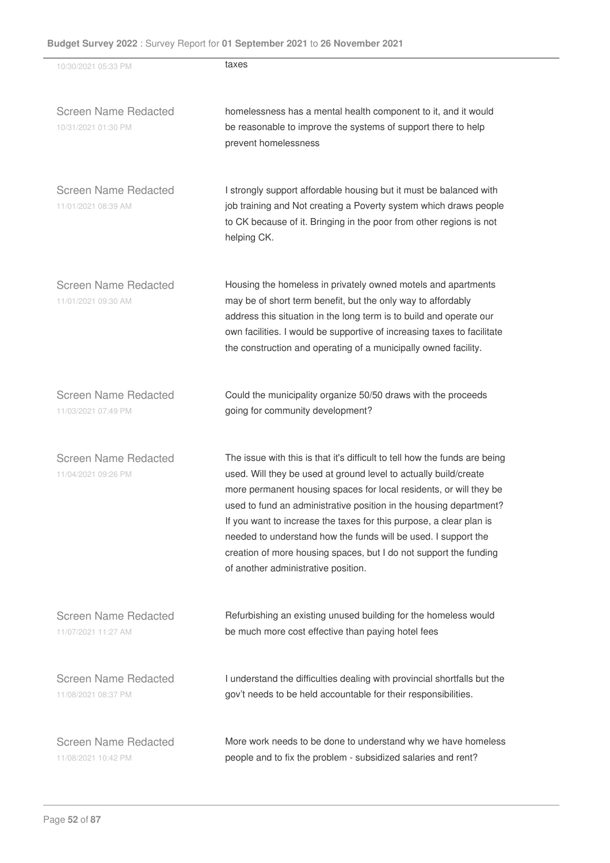| 10/30/2021 05:33 PM                                | taxes                                                                                                                                                                                                                                                                                                                                                                                                                                                                                                                                           |
|----------------------------------------------------|-------------------------------------------------------------------------------------------------------------------------------------------------------------------------------------------------------------------------------------------------------------------------------------------------------------------------------------------------------------------------------------------------------------------------------------------------------------------------------------------------------------------------------------------------|
| <b>Screen Name Redacted</b><br>10/31/2021 01:30 PM | homelessness has a mental health component to it, and it would<br>be reasonable to improve the systems of support there to help<br>prevent homelessness                                                                                                                                                                                                                                                                                                                                                                                         |
| <b>Screen Name Redacted</b><br>11/01/2021 08:39 AM | I strongly support affordable housing but it must be balanced with<br>job training and Not creating a Poverty system which draws people<br>to CK because of it. Bringing in the poor from other regions is not<br>helping CK.                                                                                                                                                                                                                                                                                                                   |
| <b>Screen Name Redacted</b><br>11/01/2021 09:30 AM | Housing the homeless in privately owned motels and apartments<br>may be of short term benefit, but the only way to affordably<br>address this situation in the long term is to build and operate our<br>own facilities. I would be supportive of increasing taxes to facilitate<br>the construction and operating of a municipally owned facility.                                                                                                                                                                                              |
| Screen Name Redacted<br>11/03/2021 07:49 PM        | Could the municipality organize 50/50 draws with the proceeds<br>going for community development?                                                                                                                                                                                                                                                                                                                                                                                                                                               |
| <b>Screen Name Redacted</b><br>11/04/2021 09:26 PM | The issue with this is that it's difficult to tell how the funds are being<br>used. Will they be used at ground level to actually build/create<br>more permanent housing spaces for local residents, or will they be<br>used to fund an administrative position in the housing department?<br>If you want to increase the taxes for this purpose, a clear plan is<br>needed to understand how the funds will be used. I support the<br>creation of more housing spaces, but I do not support the funding<br>of another administrative position. |
| <b>Screen Name Redacted</b><br>11/07/2021 11:27 AM | Refurbishing an existing unused building for the homeless would<br>be much more cost effective than paying hotel fees                                                                                                                                                                                                                                                                                                                                                                                                                           |
| Screen Name Redacted<br>11/08/2021 08:37 PM        | I understand the difficulties dealing with provincial shortfalls but the<br>gov't needs to be held accountable for their responsibilities.                                                                                                                                                                                                                                                                                                                                                                                                      |
| Screen Name Redacted<br>11/08/2021 10:42 PM        | More work needs to be done to understand why we have homeless<br>people and to fix the problem - subsidized salaries and rent?                                                                                                                                                                                                                                                                                                                                                                                                                  |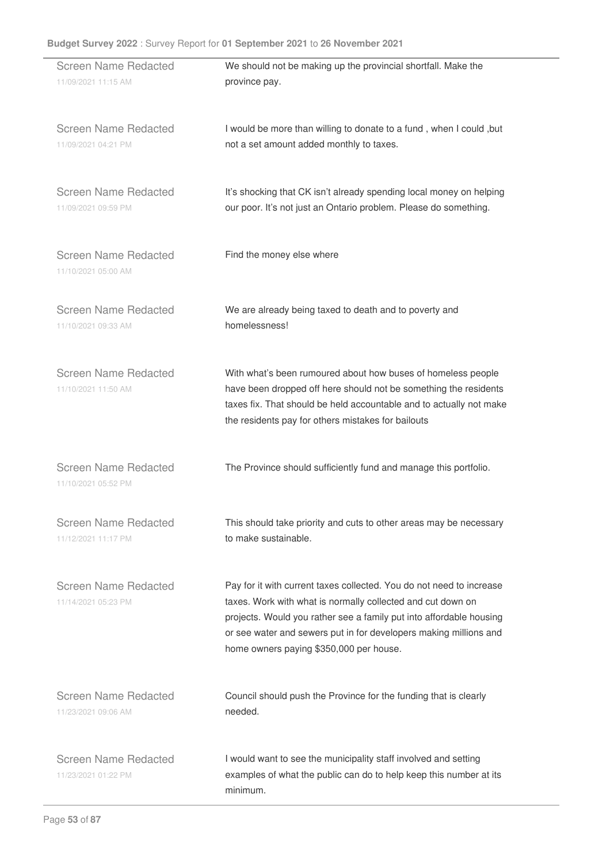| <b>Screen Name Redacted</b> | We should not be making up the provincial shortfall. Make the        |
|-----------------------------|----------------------------------------------------------------------|
| 11/09/2021 11:15 AM         | province pay.                                                        |
|                             |                                                                      |
|                             |                                                                      |
|                             |                                                                      |
| <b>Screen Name Redacted</b> | I would be more than willing to donate to a fund, when I could, but  |
| 11/09/2021 04:21 PM         | not a set amount added monthly to taxes.                             |
|                             |                                                                      |
|                             |                                                                      |
| Screen Name Redacted        | It's shocking that CK isn't already spending local money on helping  |
| 11/09/2021 09:59 PM         | our poor. It's not just an Ontario problem. Please do something.     |
|                             |                                                                      |
|                             |                                                                      |
| Screen Name Redacted        | Find the money else where                                            |
|                             |                                                                      |
| 11/10/2021 05:00 AM         |                                                                      |
|                             |                                                                      |
| <b>Screen Name Redacted</b> | We are already being taxed to death and to poverty and               |
| 11/10/2021 09:33 AM         | homelessness!                                                        |
|                             |                                                                      |
|                             |                                                                      |
|                             |                                                                      |
| <b>Screen Name Redacted</b> | With what's been rumoured about how buses of homeless people         |
| 11/10/2021 11:50 AM         | have been dropped off here should not be something the residents     |
|                             | taxes fix. That should be held accountable and to actually not make  |
|                             | the residents pay for others mistakes for bailouts                   |
|                             |                                                                      |
|                             |                                                                      |
| <b>Screen Name Redacted</b> | The Province should sufficiently fund and manage this portfolio.     |
| 11/10/2021 05:52 PM         |                                                                      |
|                             |                                                                      |
|                             |                                                                      |
| <b>Screen Name Redacted</b> | This should take priority and cuts to other areas may be necessary   |
| 11/12/2021 11:17 PM         | to make sustainable.                                                 |
|                             |                                                                      |
|                             |                                                                      |
| <b>Screen Name Redacted</b> |                                                                      |
|                             | Pay for it with current taxes collected. You do not need to increase |
| 11/14/2021 05:23 PM         | taxes. Work with what is normally collected and cut down on          |
|                             | projects. Would you rather see a family put into affordable housing  |
|                             | or see water and sewers put in for developers making millions and    |
|                             | home owners paying \$350,000 per house.                              |
|                             |                                                                      |
|                             |                                                                      |
| Screen Name Redacted        | Council should push the Province for the funding that is clearly     |
| 11/23/2021 09:06 AM         | needed.                                                              |
|                             |                                                                      |
|                             |                                                                      |
|                             |                                                                      |
| Screen Name Redacted        | I would want to see the municipality staff involved and setting      |
| 11/23/2021 01:22 PM         | examples of what the public can do to help keep this number at its   |
|                             | minimum.                                                             |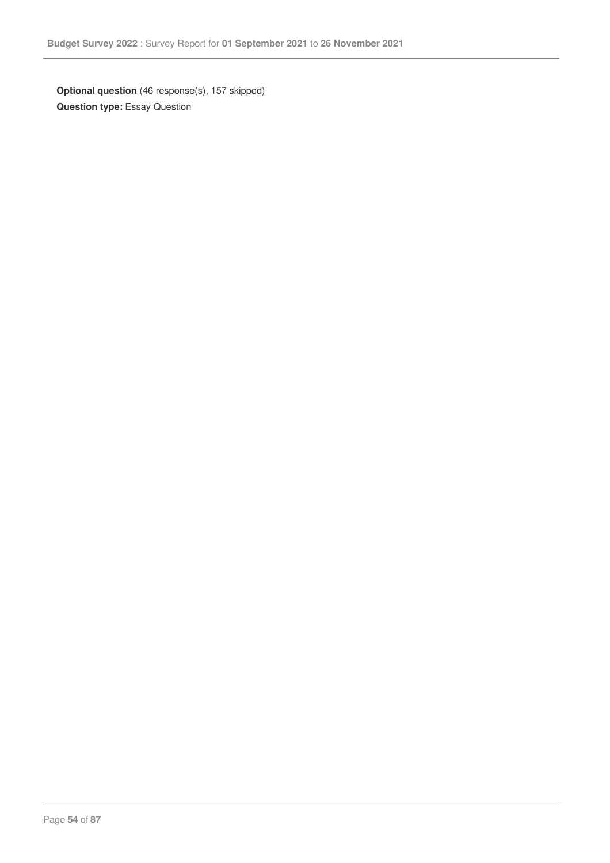**Optional question** (46 response(s), 157 skipped)  **Question type:** Essay Question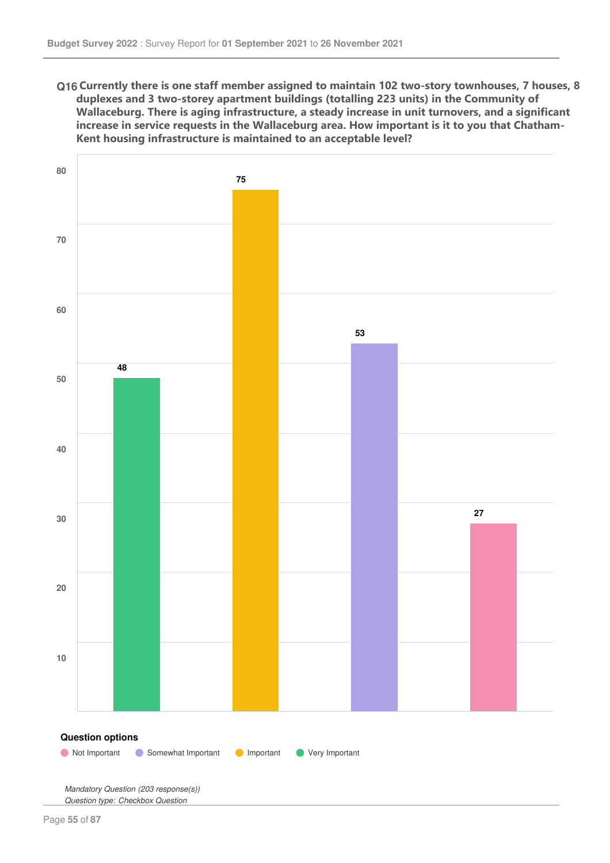**Kent housing infrastructure is maintained to an acceptable level? Q16 Currently there is one staff member assigned to maintain 102 two-story townhouses, 7 houses, 8 duplexes and 3 two-storey apartment buildings (totalling 223 units) in the Community of Wallaceburg. There is aging infrastructure, a steady increase in unit turnovers, and a significant increase in service requests in the Wallaceburg area. How important is it to you that Chatham-**



 *Mandatory Question (203 response(s)) Question type: Checkbox Question*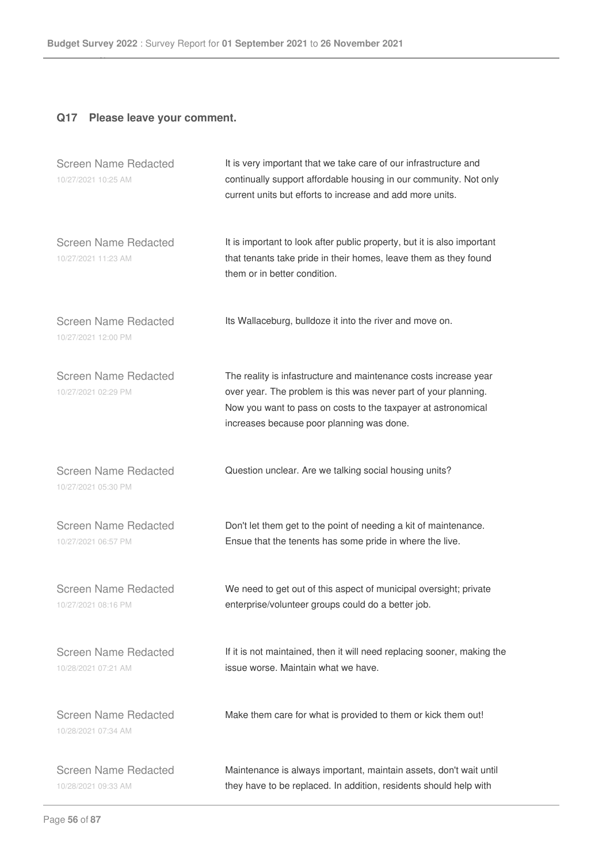# **Q17 Please leave your comment.**

*yp*

| <b>Screen Name Redacted</b><br>10/27/2021 10:25 AM | It is very important that we take care of our infrastructure and<br>continually support affordable housing in our community. Not only<br>current units but efforts to increase and add more units.                                                |
|----------------------------------------------------|---------------------------------------------------------------------------------------------------------------------------------------------------------------------------------------------------------------------------------------------------|
| <b>Screen Name Redacted</b><br>10/27/2021 11:23 AM | It is important to look after public property, but it is also important<br>that tenants take pride in their homes, leave them as they found<br>them or in better condition.                                                                       |
| <b>Screen Name Redacted</b><br>10/27/2021 12:00 PM | Its Wallaceburg, bulldoze it into the river and move on.                                                                                                                                                                                          |
| <b>Screen Name Redacted</b><br>10/27/2021 02:29 PM | The reality is infastructure and maintenance costs increase year<br>over year. The problem is this was never part of your planning.<br>Now you want to pass on costs to the taxpayer at astronomical<br>increases because poor planning was done. |
| <b>Screen Name Redacted</b><br>10/27/2021 05:30 PM | Question unclear. Are we talking social housing units?                                                                                                                                                                                            |
| <b>Screen Name Redacted</b><br>10/27/2021 06:57 PM | Don't let them get to the point of needing a kit of maintenance.<br>Ensue that the tenents has some pride in where the live.                                                                                                                      |
| <b>Screen Name Redacted</b><br>10/27/2021 08:16 PM | We need to get out of this aspect of municipal oversight; private<br>enterprise/volunteer groups could do a better job.                                                                                                                           |
| <b>Screen Name Redacted</b><br>10/28/2021 07:21 AM | If it is not maintained, then it will need replacing sooner, making the<br>issue worse. Maintain what we have.                                                                                                                                    |
| <b>Screen Name Redacted</b><br>10/28/2021 07:34 AM | Make them care for what is provided to them or kick them out!                                                                                                                                                                                     |
| <b>Screen Name Redacted</b><br>10/28/2021 09:33 AM | Maintenance is always important, maintain assets, don't wait until<br>they have to be replaced. In addition, residents should help with                                                                                                           |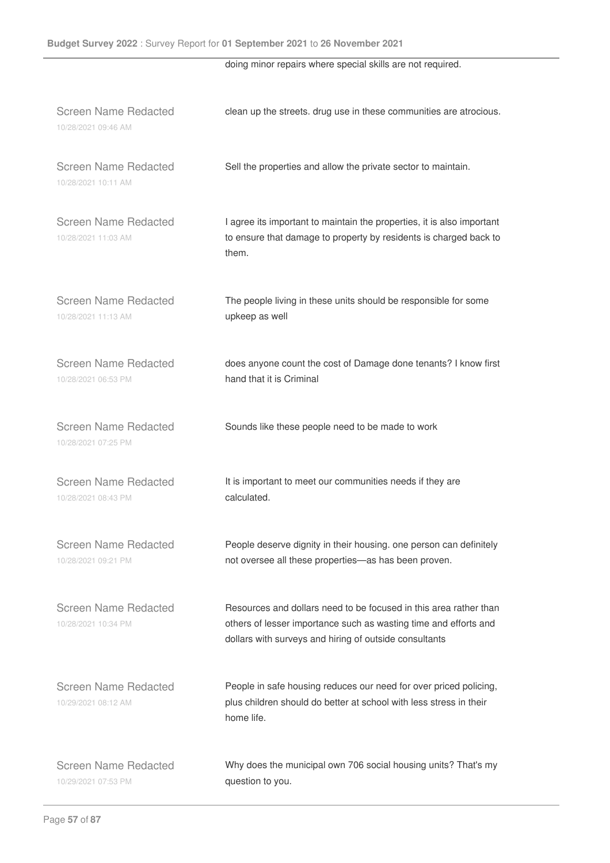|                                                    | doing minor repairs where special skills are not required.                                                                                                                                      |
|----------------------------------------------------|-------------------------------------------------------------------------------------------------------------------------------------------------------------------------------------------------|
| <b>Screen Name Redacted</b><br>10/28/2021 09:46 AM | clean up the streets. drug use in these communities are atrocious.                                                                                                                              |
| <b>Screen Name Redacted</b><br>10/28/2021 10:11 AM | Sell the properties and allow the private sector to maintain.                                                                                                                                   |
| Screen Name Redacted<br>10/28/2021 11:03 AM        | I agree its important to maintain the properties, it is also important<br>to ensure that damage to property by residents is charged back to<br>them.                                            |
| Screen Name Redacted<br>10/28/2021 11:13 AM        | The people living in these units should be responsible for some<br>upkeep as well                                                                                                               |
| Screen Name Redacted<br>10/28/2021 06:53 PM        | does anyone count the cost of Damage done tenants? I know first<br>hand that it is Criminal                                                                                                     |
| <b>Screen Name Redacted</b><br>10/28/2021 07:25 PM | Sounds like these people need to be made to work                                                                                                                                                |
| Screen Name Redacted<br>10/28/2021 08:43 PM        | It is important to meet our communities needs if they are<br>calculated.                                                                                                                        |
| Screen Name Redacted<br>10/28/2021 09:21 PM        | People deserve dignity in their housing. one person can definitely<br>not oversee all these properties-as has been proven.                                                                      |
| Screen Name Redacted<br>10/28/2021 10:34 PM        | Resources and dollars need to be focused in this area rather than<br>others of lesser importance such as wasting time and efforts and<br>dollars with surveys and hiring of outside consultants |
| Screen Name Redacted<br>10/29/2021 08:12 AM        | People in safe housing reduces our need for over priced policing,<br>plus children should do better at school with less stress in their<br>home life.                                           |
| Screen Name Redacted<br>10/29/2021 07:53 PM        | Why does the municipal own 706 social housing units? That's my<br>question to you.                                                                                                              |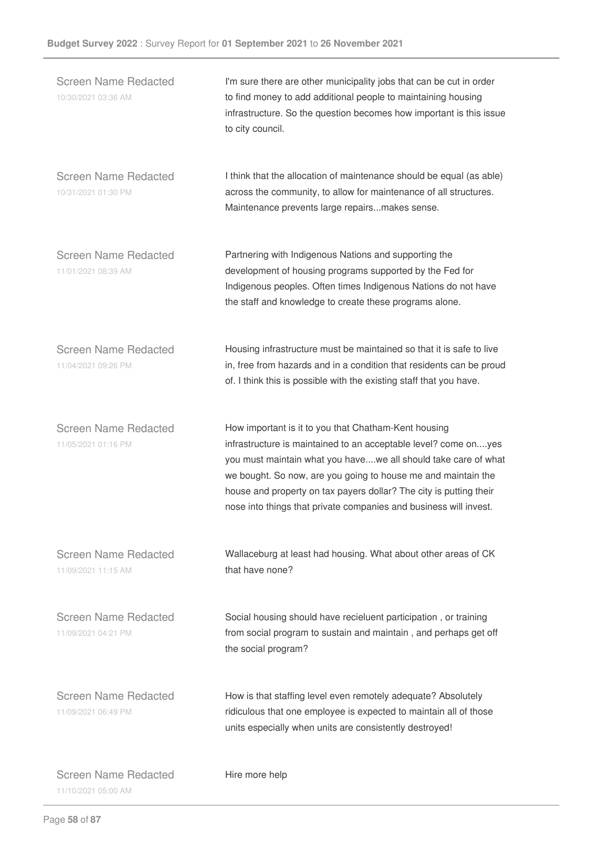| <b>Screen Name Redacted</b><br>10/30/2021 03:36 AM | I'm sure there are other municipality jobs that can be cut in order<br>to find money to add additional people to maintaining housing<br>infrastructure. So the question becomes how important is this issue<br>to city council.                                                                                                                                                                        |
|----------------------------------------------------|--------------------------------------------------------------------------------------------------------------------------------------------------------------------------------------------------------------------------------------------------------------------------------------------------------------------------------------------------------------------------------------------------------|
| <b>Screen Name Redacted</b><br>10/31/2021 01:30 PM | I think that the allocation of maintenance should be equal (as able)<br>across the community, to allow for maintenance of all structures.<br>Maintenance prevents large repairsmakes sense.                                                                                                                                                                                                            |
| <b>Screen Name Redacted</b><br>11/01/2021 08:39 AM | Partnering with Indigenous Nations and supporting the<br>development of housing programs supported by the Fed for<br>Indigenous peoples. Often times Indigenous Nations do not have<br>the staff and knowledge to create these programs alone.                                                                                                                                                         |
| <b>Screen Name Redacted</b><br>11/04/2021 09:26 PM | Housing infrastructure must be maintained so that it is safe to live<br>in, free from hazards and in a condition that residents can be proud<br>of. I think this is possible with the existing staff that you have.                                                                                                                                                                                    |
| <b>Screen Name Redacted</b><br>11/05/2021 01:16 PM | How important is it to you that Chatham-Kent housing<br>infrastructure is maintained to an acceptable level? come onyes<br>you must maintain what you have we all should take care of what<br>we bought. So now, are you going to house me and maintain the<br>house and property on tax payers dollar? The city is putting their<br>nose into things that private companies and business will invest. |
| Screen Name Redacted<br>11/09/2021 11:15 AM        | Wallaceburg at least had housing. What about other areas of CK<br>that have none?                                                                                                                                                                                                                                                                                                                      |
| Screen Name Redacted<br>11/09/2021 04:21 PM        | Social housing should have recieluent participation, or training<br>from social program to sustain and maintain, and perhaps get off<br>the social program?                                                                                                                                                                                                                                            |
| <b>Screen Name Redacted</b><br>11/09/2021 06:49 PM | How is that staffing level even remotely adequate? Absolutely<br>ridiculous that one employee is expected to maintain all of those<br>units especially when units are consistently destroyed!                                                                                                                                                                                                          |
| Screen Name Redacted<br>11/10/2021 05:00 AM        | Hire more help                                                                                                                                                                                                                                                                                                                                                                                         |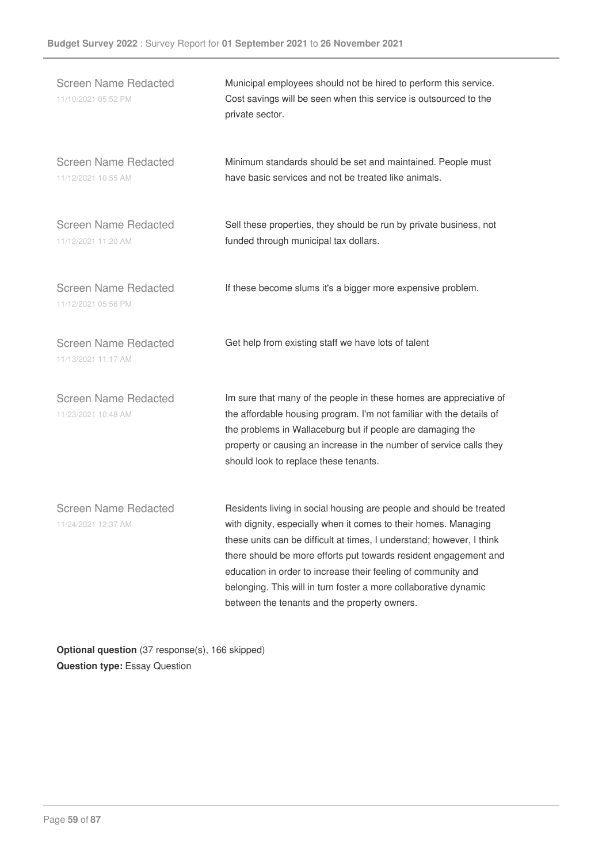| <b>Screen Name Redacted</b><br>11/10/2021 05:52 PM | Municipal employees should not be hired to perform this service.<br>Cost savings will be seen when this service is outsourced to the<br>private sector.                                                                                                                                                                                                                                                                                                                  |
|----------------------------------------------------|--------------------------------------------------------------------------------------------------------------------------------------------------------------------------------------------------------------------------------------------------------------------------------------------------------------------------------------------------------------------------------------------------------------------------------------------------------------------------|
| <b>Screen Name Redacted</b><br>11/12/2021 10:55 AM | Minimum standards should be set and maintained. People must<br>have basic services and not be treated like animals.                                                                                                                                                                                                                                                                                                                                                      |
| Screen Name Redacted<br>11/12/2021 11:20 AM        | Sell these properties, they should be run by private business, not<br>funded through municipal tax dollars.                                                                                                                                                                                                                                                                                                                                                              |
| Screen Name Redacted<br>11/12/2021 05:56 PM        | If these become slums it's a bigger more expensive problem.                                                                                                                                                                                                                                                                                                                                                                                                              |
| Screen Name Redacted<br>11/13/2021 11:17 AM        | Get help from existing staff we have lots of talent                                                                                                                                                                                                                                                                                                                                                                                                                      |
| Screen Name Redacted<br>11/23/2021 10:48 AM        | Im sure that many of the people in these homes are appreciative of<br>the affordable housing program. I'm not familiar with the details of<br>the problems in Wallaceburg but if people are damaging the<br>property or causing an increase in the number of service calls they<br>should look to replace these tenants.                                                                                                                                                 |
| <b>Screen Name Redacted</b><br>11/24/2021 12:37 AM | Residents living in social housing are people and should be treated<br>with dignity, especially when it comes to their homes. Managing<br>these units can be difficult at times, I understand; however, I think<br>there should be more efforts put towards resident engagement and<br>education in order to increase their feeling of community and<br>belonging. This will in turn foster a more collaborative dynamic<br>between the tenants and the property owners. |

 **Optional question** (37 response(s), 166 skipped)  **Question type:** Essay Question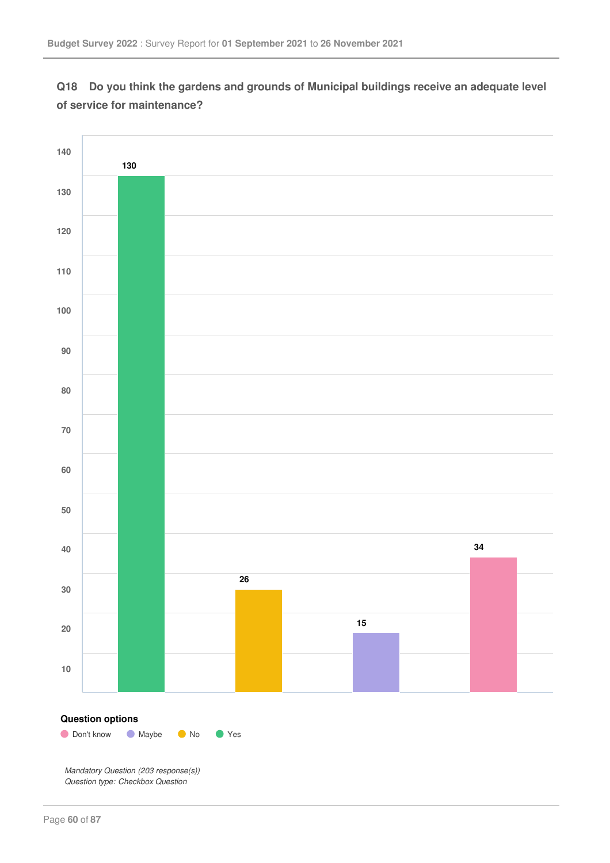# **Q18 Do you think the gardens and grounds of Municipal buildings receive an adequate level of service for maintenance?**

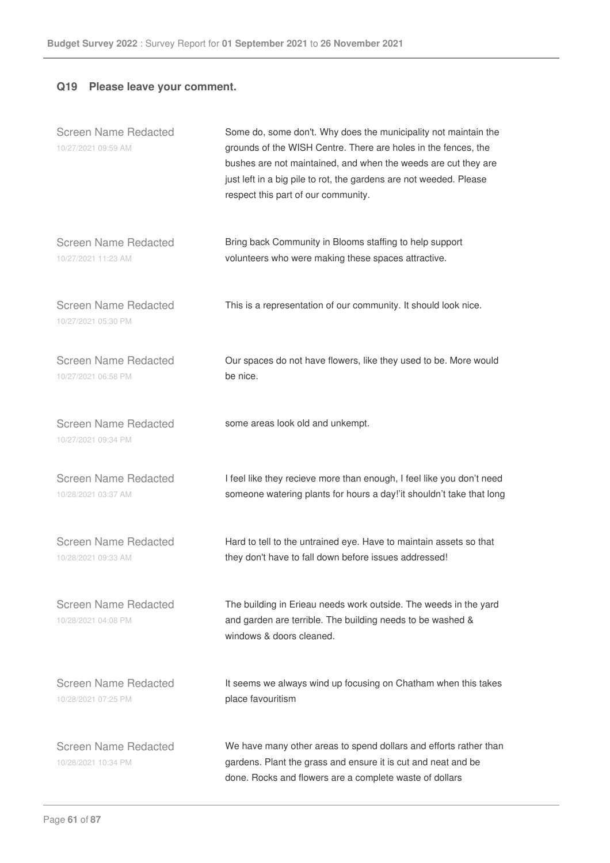# **Q19 Please leave your comment.**

| <b>Screen Name Redacted</b><br>10/27/2021 09:59 AM | Some do, some don't. Why does the municipality not maintain the<br>grounds of the WISH Centre. There are holes in the fences, the<br>bushes are not maintained, and when the weeds are cut they are<br>just left in a big pile to rot, the gardens are not weeded. Please<br>respect this part of our community. |
|----------------------------------------------------|------------------------------------------------------------------------------------------------------------------------------------------------------------------------------------------------------------------------------------------------------------------------------------------------------------------|
| Screen Name Redacted                               | Bring back Community in Blooms staffing to help support                                                                                                                                                                                                                                                          |
| 10/27/2021 11:23 AM                                | volunteers who were making these spaces attractive.                                                                                                                                                                                                                                                              |
| <b>Screen Name Redacted</b><br>10/27/2021 05:30 PM | This is a representation of our community. It should look nice.                                                                                                                                                                                                                                                  |
| <b>Screen Name Redacted</b>                        | Our spaces do not have flowers, like they used to be. More would                                                                                                                                                                                                                                                 |
| 10/27/2021 06:58 PM                                | be nice.                                                                                                                                                                                                                                                                                                         |
| <b>Screen Name Redacted</b><br>10/27/2021 09:34 PM | some areas look old and unkempt.                                                                                                                                                                                                                                                                                 |
| <b>Screen Name Redacted</b>                        | I feel like they recieve more than enough, I feel like you don't need                                                                                                                                                                                                                                            |
| 10/28/2021 03:37 AM                                | someone watering plants for hours a day!'it shouldn't take that long                                                                                                                                                                                                                                             |
| <b>Screen Name Redacted</b>                        | Hard to tell to the untrained eye. Have to maintain assets so that                                                                                                                                                                                                                                               |
| 10/28/2021 09:33 AM                                | they don't have to fall down before issues addressed!                                                                                                                                                                                                                                                            |
| <b>Screen Name Redacted</b><br>10/28/2021 04:08 PM | The building in Erieau needs work outside. The weeds in the yard<br>and garden are terrible. The building needs to be washed &<br>windows & doors cleaned.                                                                                                                                                       |
| <b>Screen Name Redacted</b>                        | It seems we always wind up focusing on Chatham when this takes                                                                                                                                                                                                                                                   |
| 10/28/2021 07:25 PM                                | place favouritism                                                                                                                                                                                                                                                                                                |
| <b>Screen Name Redacted</b><br>10/28/2021 10:34 PM | We have many other areas to spend dollars and efforts rather than<br>gardens. Plant the grass and ensure it is cut and neat and be<br>done. Rocks and flowers are a complete waste of dollars                                                                                                                    |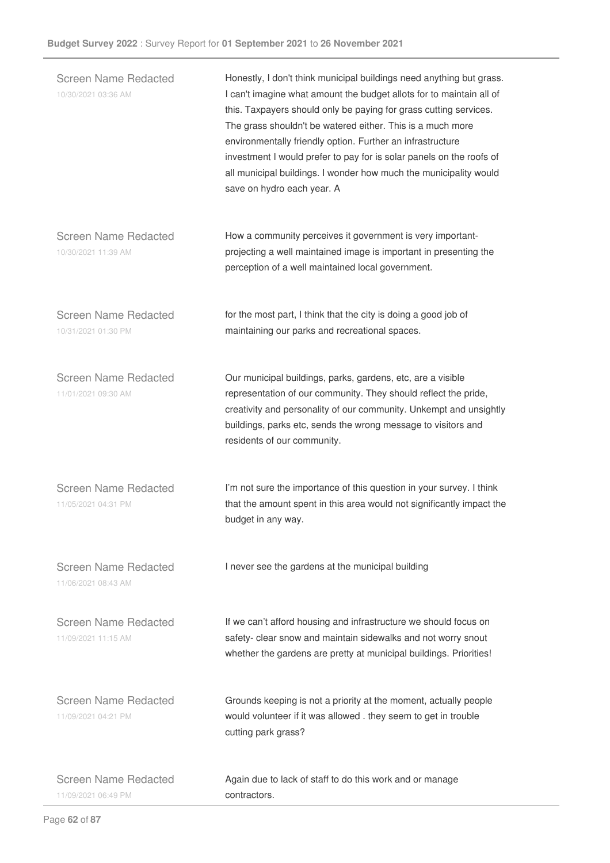| <b>Screen Name Redacted</b><br>10/30/2021 03:36 AM | Honestly, I don't think municipal buildings need anything but grass.<br>I can't imagine what amount the budget allots for to maintain all of<br>this. Taxpayers should only be paying for grass cutting services.<br>The grass shouldn't be watered either. This is a much more<br>environmentally friendly option. Further an infrastructure<br>investment I would prefer to pay for is solar panels on the roofs of<br>all municipal buildings. I wonder how much the municipality would<br>save on hydro each year. A |
|----------------------------------------------------|--------------------------------------------------------------------------------------------------------------------------------------------------------------------------------------------------------------------------------------------------------------------------------------------------------------------------------------------------------------------------------------------------------------------------------------------------------------------------------------------------------------------------|
| <b>Screen Name Redacted</b><br>10/30/2021 11:39 AM | How a community perceives it government is very important-<br>projecting a well maintained image is important in presenting the<br>perception of a well maintained local government.                                                                                                                                                                                                                                                                                                                                     |
| <b>Screen Name Redacted</b><br>10/31/2021 01:30 PM | for the most part, I think that the city is doing a good job of<br>maintaining our parks and recreational spaces.                                                                                                                                                                                                                                                                                                                                                                                                        |
| <b>Screen Name Redacted</b><br>11/01/2021 09:30 AM | Our municipal buildings, parks, gardens, etc, are a visible<br>representation of our community. They should reflect the pride,<br>creativity and personality of our community. Unkempt and unsightly<br>buildings, parks etc, sends the wrong message to visitors and<br>residents of our community.                                                                                                                                                                                                                     |
| <b>Screen Name Redacted</b><br>11/05/2021 04:31 PM | I'm not sure the importance of this question in your survey. I think<br>that the amount spent in this area would not significantly impact the<br>budget in any way.                                                                                                                                                                                                                                                                                                                                                      |
| <b>Screen Name Redacted</b><br>11/06/2021 08:43 AM | I never see the gardens at the municipal building                                                                                                                                                                                                                                                                                                                                                                                                                                                                        |
| Screen Name Redacted<br>11/09/2021 11:15 AM        | If we can't afford housing and infrastructure we should focus on<br>safety- clear snow and maintain sidewalks and not worry snout<br>whether the gardens are pretty at municipal buildings. Priorities!                                                                                                                                                                                                                                                                                                                  |
| <b>Screen Name Redacted</b><br>11/09/2021 04:21 PM | Grounds keeping is not a priority at the moment, actually people<br>would volunteer if it was allowed . they seem to get in trouble<br>cutting park grass?                                                                                                                                                                                                                                                                                                                                                               |
| <b>Screen Name Redacted</b><br>11/09/2021 06:49 PM | Again due to lack of staff to do this work and or manage<br>contractors.                                                                                                                                                                                                                                                                                                                                                                                                                                                 |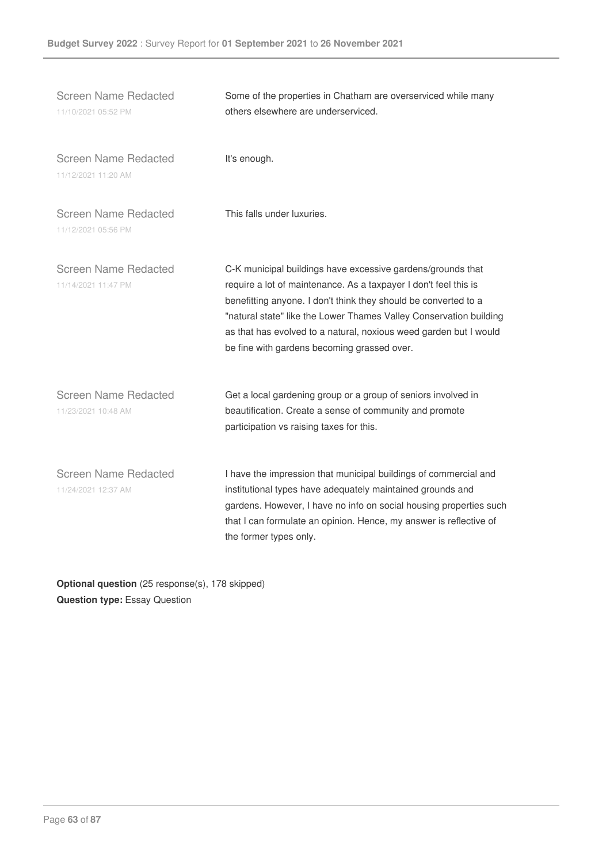| <b>Screen Name Redacted</b><br>11/10/2021 05:52 PM | Some of the properties in Chatham are overserviced while many<br>others elsewhere are underserviced.                                                                                                                                                                                                                                                                                         |
|----------------------------------------------------|----------------------------------------------------------------------------------------------------------------------------------------------------------------------------------------------------------------------------------------------------------------------------------------------------------------------------------------------------------------------------------------------|
| <b>Screen Name Redacted</b><br>11/12/2021 11:20 AM | It's enough.                                                                                                                                                                                                                                                                                                                                                                                 |
| <b>Screen Name Redacted</b><br>11/12/2021 05:56 PM | This falls under luxuries.                                                                                                                                                                                                                                                                                                                                                                   |
| <b>Screen Name Redacted</b><br>11/14/2021 11:47 PM | C-K municipal buildings have excessive gardens/grounds that<br>require a lot of maintenance. As a taxpayer I don't feel this is<br>benefitting anyone. I don't think they should be converted to a<br>"natural state" like the Lower Thames Valley Conservation building<br>as that has evolved to a natural, noxious weed garden but I would<br>be fine with gardens becoming grassed over. |
| <b>Screen Name Redacted</b><br>11/23/2021 10:48 AM | Get a local gardening group or a group of seniors involved in<br>beautification. Create a sense of community and promote<br>participation vs raising taxes for this.                                                                                                                                                                                                                         |
| <b>Screen Name Redacted</b><br>11/24/2021 12:37 AM | I have the impression that municipal buildings of commercial and<br>institutional types have adequately maintained grounds and<br>gardens. However, I have no info on social housing properties such<br>that I can formulate an opinion. Hence, my answer is reflective of<br>the former types only.                                                                                         |

 **Optional question** (25 response(s), 178 skipped)  **Question type:** Essay Question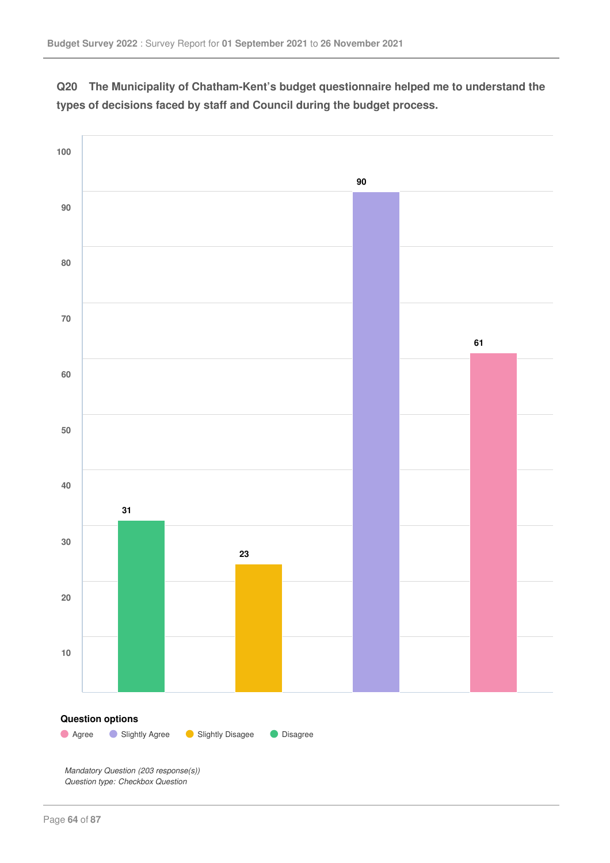



 *Mandatory Question (203 response(s)) Question type: Checkbox Question*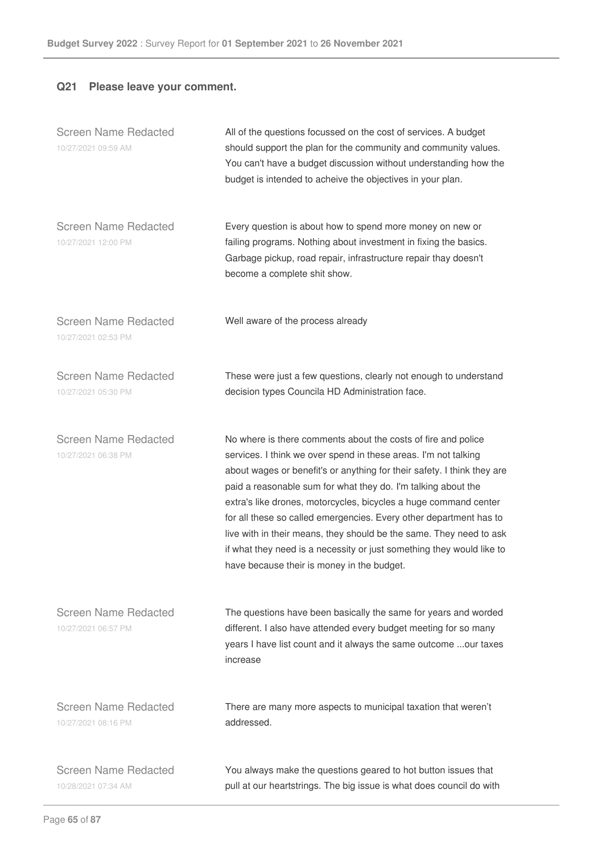# **Q21 Please leave your comment.**

| <b>Screen Name Redacted</b><br>10/27/2021 09:59 AM | All of the questions focussed on the cost of services. A budget<br>should support the plan for the community and community values.<br>You can't have a budget discussion without understanding how the<br>budget is intended to acheive the objectives in your plan.                                                                                                                                                                                                                                                                                                                                                 |
|----------------------------------------------------|----------------------------------------------------------------------------------------------------------------------------------------------------------------------------------------------------------------------------------------------------------------------------------------------------------------------------------------------------------------------------------------------------------------------------------------------------------------------------------------------------------------------------------------------------------------------------------------------------------------------|
| <b>Screen Name Redacted</b><br>10/27/2021 12:00 PM | Every question is about how to spend more money on new or<br>failing programs. Nothing about investment in fixing the basics.<br>Garbage pickup, road repair, infrastructure repair thay doesn't<br>become a complete shit show.                                                                                                                                                                                                                                                                                                                                                                                     |
| Screen Name Redacted<br>10/27/2021 02:53 PM        | Well aware of the process already                                                                                                                                                                                                                                                                                                                                                                                                                                                                                                                                                                                    |
| <b>Screen Name Redacted</b><br>10/27/2021 05:30 PM | These were just a few questions, clearly not enough to understand<br>decision types Councila HD Administration face.                                                                                                                                                                                                                                                                                                                                                                                                                                                                                                 |
| <b>Screen Name Redacted</b><br>10/27/2021 06:38 PM | No where is there comments about the costs of fire and police<br>services. I think we over spend in these areas. I'm not talking<br>about wages or benefit's or anything for their safety. I think they are<br>paid a reasonable sum for what they do. I'm talking about the<br>extra's like drones, motorcycles, bicycles a huge command center<br>for all these so called emergencies. Every other department has to<br>live with in their means, they should be the same. They need to ask<br>if what they need is a necessity or just something they would like to<br>have because their is money in the budget. |
| <b>Screen Name Redacted</b><br>10/27/2021 06:57 PM | The questions have been basically the same for years and worded<br>different. I also have attended every budget meeting for so many<br>years I have list count and it always the same outcome  our taxes<br>increase                                                                                                                                                                                                                                                                                                                                                                                                 |
| <b>Screen Name Redacted</b><br>10/27/2021 08:16 PM | There are many more aspects to municipal taxation that weren't<br>addressed.                                                                                                                                                                                                                                                                                                                                                                                                                                                                                                                                         |
| Screen Name Redacted<br>10/28/2021 07:34 AM        | You always make the questions geared to hot button issues that<br>pull at our heartstrings. The big issue is what does council do with                                                                                                                                                                                                                                                                                                                                                                                                                                                                               |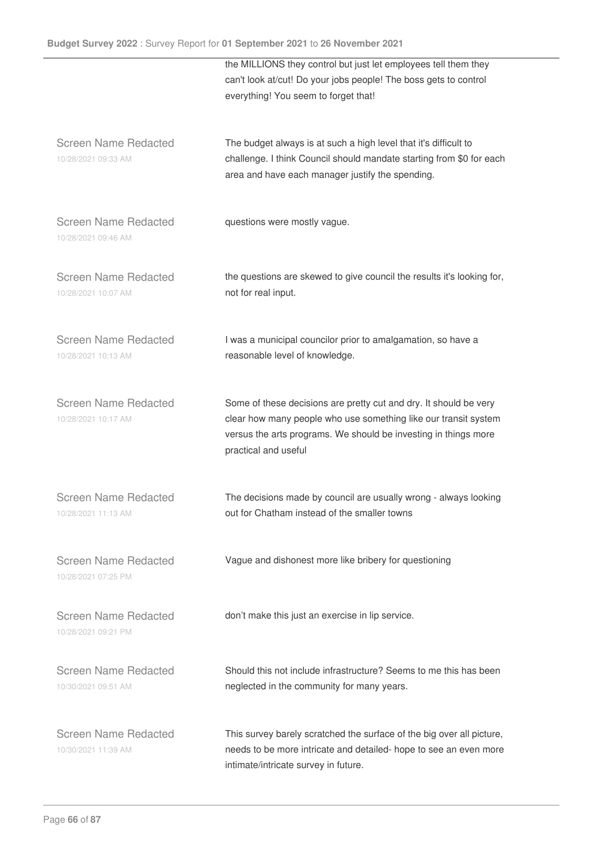|                                                    | the MILLIONS they control but just let employees tell them they<br>can't look at/cut! Do your jobs people! The boss gets to control<br>everything! You seem to forget that!                                                     |
|----------------------------------------------------|---------------------------------------------------------------------------------------------------------------------------------------------------------------------------------------------------------------------------------|
| <b>Screen Name Redacted</b><br>10/28/2021 09:33 AM | The budget always is at such a high level that it's difficult to<br>challenge. I think Council should mandate starting from \$0 for each<br>area and have each manager justify the spending.                                    |
| <b>Screen Name Redacted</b><br>10/28/2021 09:46 AM | questions were mostly vague.                                                                                                                                                                                                    |
| <b>Screen Name Redacted</b><br>10/28/2021 10:07 AM | the questions are skewed to give council the results it's looking for,<br>not for real input.                                                                                                                                   |
| <b>Screen Name Redacted</b><br>10/28/2021 10:13 AM | I was a municipal councilor prior to amalgamation, so have a<br>reasonable level of knowledge.                                                                                                                                  |
| <b>Screen Name Redacted</b><br>10/28/2021 10:17 AM | Some of these decisions are pretty cut and dry. It should be very<br>clear how many people who use something like our transit system<br>versus the arts programs. We should be investing in things more<br>practical and useful |
| <b>Screen Name Redacted</b><br>10/28/2021 11:13 AM | The decisions made by council are usually wrong - always looking<br>out for Chatham instead of the smaller towns                                                                                                                |
| Screen Name Redacted<br>10/28/2021 07:25 PM        | Vague and dishonest more like bribery for questioning                                                                                                                                                                           |
| Screen Name Redacted<br>10/28/2021 09:21 PM        | don't make this just an exercise in lip service.                                                                                                                                                                                |
| <b>Screen Name Redacted</b><br>10/30/2021 09:51 AM | Should this not include infrastructure? Seems to me this has been<br>neglected in the community for many years.                                                                                                                 |
| <b>Screen Name Redacted</b><br>10/30/2021 11:39 AM | This survey barely scratched the surface of the big over all picture,<br>needs to be more intricate and detailed- hope to see an even more<br>intimate/intricate survey in future.                                              |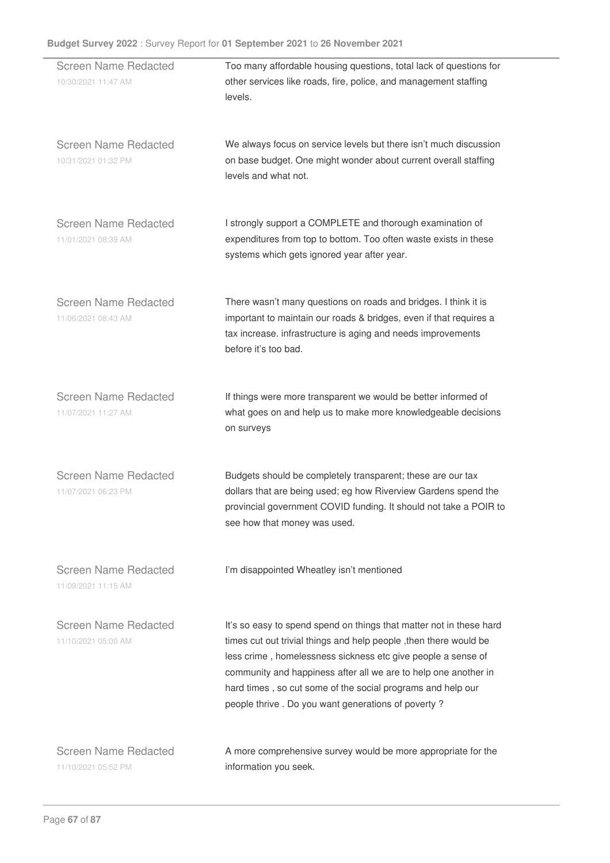| <b>Screen Name Redacted</b><br>10/30/2021 11:47 AM | Too many affordable housing questions, total lack of questions for<br>other services like roads, fire, police, and management staffing<br>levels.                                                                                                                                                                                                                                                 |
|----------------------------------------------------|---------------------------------------------------------------------------------------------------------------------------------------------------------------------------------------------------------------------------------------------------------------------------------------------------------------------------------------------------------------------------------------------------|
| <b>Screen Name Redacted</b><br>10/31/2021 01:32 PM | We always focus on service levels but there isn't much discussion<br>on base budget. One might wonder about current overall staffing<br>levels and what not.                                                                                                                                                                                                                                      |
| Screen Name Redacted<br>11/01/2021 08:39 AM        | I strongly support a COMPLETE and thorough examination of<br>expenditures from top to bottom. Too often waste exists in these<br>systems which gets ignored year after year.                                                                                                                                                                                                                      |
| Screen Name Redacted<br>11/06/2021 08:43 AM        | There wasn't many questions on roads and bridges. I think it is<br>important to maintain our roads & bridges, even if that requires a<br>tax increase. infrastructure is aging and needs improvements<br>before it's too bad.                                                                                                                                                                     |
| Screen Name Redacted<br>11/07/2021 11:27 AM        | If things were more transparent we would be better informed of<br>what goes on and help us to make more knowledgeable decisions<br>on surveys                                                                                                                                                                                                                                                     |
| <b>Screen Name Redacted</b><br>11/07/2021 06:23 PM | Budgets should be completely transparent; these are our tax<br>dollars that are being used; eg how Riverview Gardens spend the<br>provincial government COVID funding. It should not take a POIR to<br>see how that money was used.                                                                                                                                                               |
| Screen Name Redacted<br>11/09/2021 11:15 AM        | I'm disappointed Wheatley isn't mentioned                                                                                                                                                                                                                                                                                                                                                         |
| Screen Name Redacted<br>11/10/2021 05:00 AM        | It's so easy to spend spend on things that matter not in these hard<br>times cut out trivial things and help people, then there would be<br>less crime, homelessness sickness etc give people a sense of<br>community and happiness after all we are to help one another in<br>hard times, so cut some of the social programs and help our<br>people thrive . Do you want generations of poverty? |
| Screen Name Redacted<br>11/10/2021 05:52 PM        | A more comprehensive survey would be more appropriate for the<br>information you seek.                                                                                                                                                                                                                                                                                                            |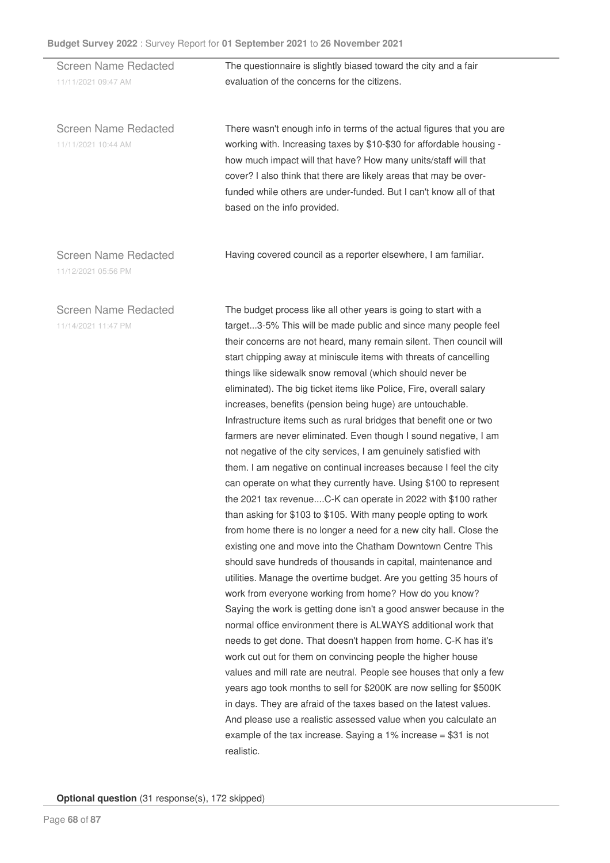| <b>Screen Name Redacted</b><br>11/11/2021 09:47 AM | The questionnaire is slightly biased toward the city and a fair<br>evaluation of the concerns for the citizens.                                                                                                                                                                                                                                                                                                                                                                                                                                                                                                                                                                                                                                                                                                                                                                                                                                                                                                                                                                                                                                                                                                                                                                                                                                                                                                                                                                                                                                                                                                                                                                                                                                                                                                                                                                                                                                                      |
|----------------------------------------------------|----------------------------------------------------------------------------------------------------------------------------------------------------------------------------------------------------------------------------------------------------------------------------------------------------------------------------------------------------------------------------------------------------------------------------------------------------------------------------------------------------------------------------------------------------------------------------------------------------------------------------------------------------------------------------------------------------------------------------------------------------------------------------------------------------------------------------------------------------------------------------------------------------------------------------------------------------------------------------------------------------------------------------------------------------------------------------------------------------------------------------------------------------------------------------------------------------------------------------------------------------------------------------------------------------------------------------------------------------------------------------------------------------------------------------------------------------------------------------------------------------------------------------------------------------------------------------------------------------------------------------------------------------------------------------------------------------------------------------------------------------------------------------------------------------------------------------------------------------------------------------------------------------------------------------------------------------------------------|
| <b>Screen Name Redacted</b><br>11/11/2021 10:44 AM | There wasn't enough info in terms of the actual figures that you are<br>working with. Increasing taxes by \$10-\$30 for affordable housing -<br>how much impact will that have? How many units/staff will that<br>cover? I also think that there are likely areas that may be over-<br>funded while others are under-funded. But I can't know all of that<br>based on the info provided.                                                                                                                                                                                                                                                                                                                                                                                                                                                                                                                                                                                                                                                                                                                                                                                                                                                                                                                                                                                                                                                                                                                                                                                                                                                                                                                                                                                                                                                                                                                                                                             |
| Screen Name Redacted<br>11/12/2021 05:56 PM        | Having covered council as a reporter elsewhere, I am familiar.                                                                                                                                                                                                                                                                                                                                                                                                                                                                                                                                                                                                                                                                                                                                                                                                                                                                                                                                                                                                                                                                                                                                                                                                                                                                                                                                                                                                                                                                                                                                                                                                                                                                                                                                                                                                                                                                                                       |
| Screen Name Redacted<br>11/14/2021 11:47 PM        | The budget process like all other years is going to start with a<br>target3-5% This will be made public and since many people feel<br>their concerns are not heard, many remain silent. Then council will<br>start chipping away at miniscule items with threats of cancelling<br>things like sidewalk snow removal (which should never be<br>eliminated). The big ticket items like Police, Fire, overall salary<br>increases, benefits (pension being huge) are untouchable.<br>Infrastructure items such as rural bridges that benefit one or two<br>farmers are never eliminated. Even though I sound negative, I am<br>not negative of the city services, I am genuinely satisfied with<br>them. I am negative on continual increases because I feel the city<br>can operate on what they currently have. Using \$100 to represent<br>the 2021 tax revenueC-K can operate in 2022 with \$100 rather<br>than asking for \$103 to \$105. With many people opting to work<br>from home there is no longer a need for a new city hall. Close the<br>existing one and move into the Chatham Downtown Centre This<br>should save hundreds of thousands in capital, maintenance and<br>utilities. Manage the overtime budget. Are you getting 35 hours of<br>work from everyone working from home? How do you know?<br>Saying the work is getting done isn't a good answer because in the<br>normal office environment there is ALWAYS additional work that<br>needs to get done. That doesn't happen from home. C-K has it's<br>work cut out for them on convincing people the higher house<br>values and mill rate are neutral. People see houses that only a few<br>years ago took months to sell for \$200K are now selling for \$500K<br>in days. They are afraid of the taxes based on the latest values.<br>And please use a realistic assessed value when you calculate an<br>example of the tax increase. Saying a $1\%$ increase = \$31 is not<br>realistic. |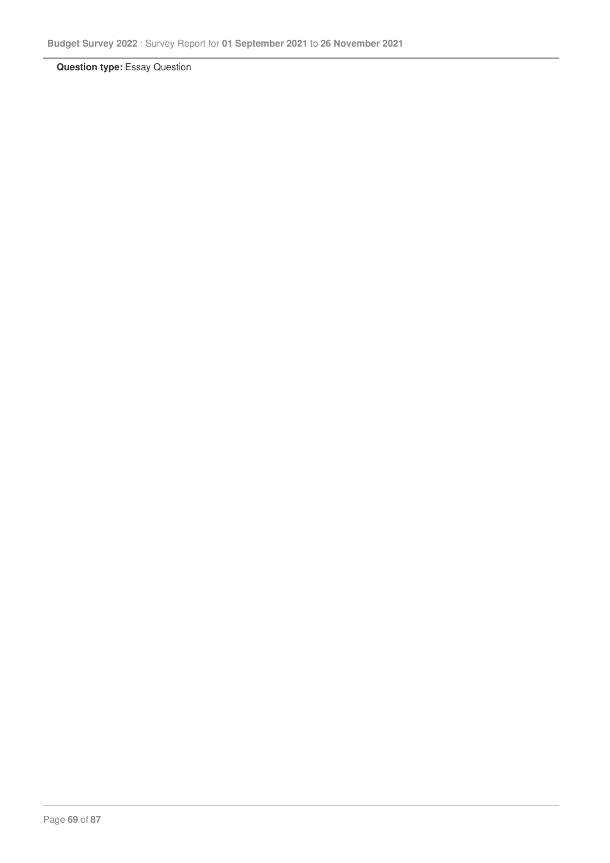**Question type:** Essay Question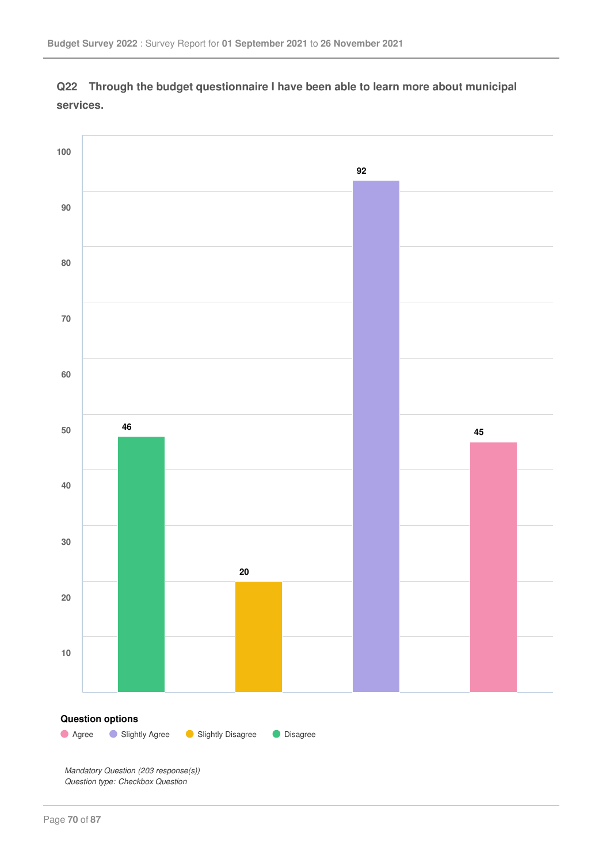



 *Mandatory Question (203 response(s)) Question type: Checkbox Question*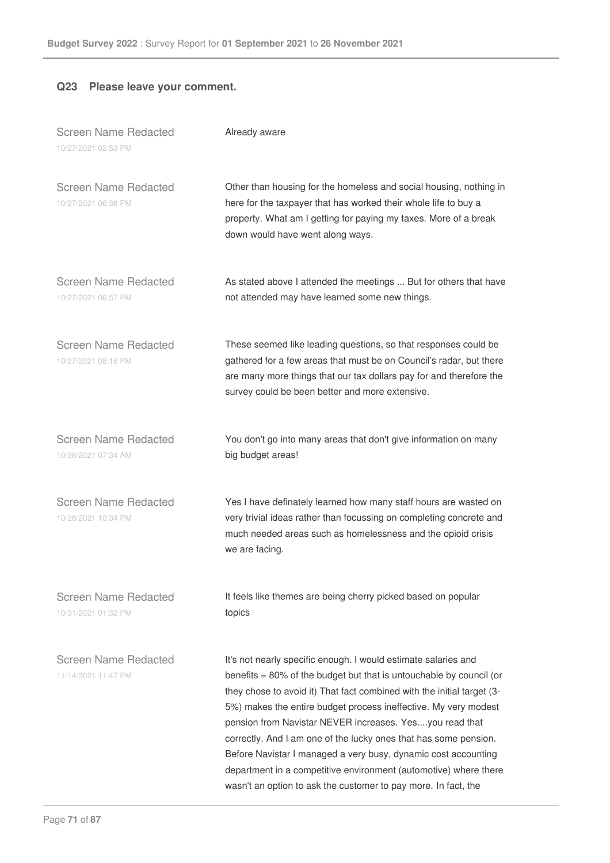# **Q23 Please leave your comment.**

| <b>Screen Name Redacted</b><br>10/27/2021 02:53 PM | Already aware                                                                                                                                                                                                                                                                                                                                                                                                                                                                                                                                                                                                                |
|----------------------------------------------------|------------------------------------------------------------------------------------------------------------------------------------------------------------------------------------------------------------------------------------------------------------------------------------------------------------------------------------------------------------------------------------------------------------------------------------------------------------------------------------------------------------------------------------------------------------------------------------------------------------------------------|
| Screen Name Redacted<br>10/27/2021 06:38 PM        | Other than housing for the homeless and social housing, nothing in<br>here for the taxpayer that has worked their whole life to buy a<br>property. What am I getting for paying my taxes. More of a break<br>down would have went along ways.                                                                                                                                                                                                                                                                                                                                                                                |
| <b>Screen Name Redacted</b><br>10/27/2021 06:57 PM | As stated above I attended the meetings  But for others that have<br>not attended may have learned some new things.                                                                                                                                                                                                                                                                                                                                                                                                                                                                                                          |
| Screen Name Redacted<br>10/27/2021 08:16 PM        | These seemed like leading questions, so that responses could be<br>gathered for a few areas that must be on Council's radar, but there<br>are many more things that our tax dollars pay for and therefore the<br>survey could be been better and more extensive.                                                                                                                                                                                                                                                                                                                                                             |
| <b>Screen Name Redacted</b><br>10/28/2021 07:34 AM | You don't go into many areas that don't give information on many<br>big budget areas!                                                                                                                                                                                                                                                                                                                                                                                                                                                                                                                                        |
| <b>Screen Name Redacted</b><br>10/28/2021 10:34 PM | Yes I have definately learned how many staff hours are wasted on<br>very trivial ideas rather than focussing on completing concrete and<br>much needed areas such as homelessness and the opioid crisis<br>we are facing.                                                                                                                                                                                                                                                                                                                                                                                                    |
| Screen Name Redacted<br>10/31/2021 01:32 PM        | It feels like themes are being cherry picked based on popular<br>topics                                                                                                                                                                                                                                                                                                                                                                                                                                                                                                                                                      |
| Screen Name Redacted<br>11/14/2021 11:47 PM        | It's not nearly specific enough. I would estimate salaries and<br>benefits $= 80\%$ of the budget but that is untouchable by council (or<br>they chose to avoid it) That fact combined with the initial target (3-<br>5%) makes the entire budget process ineffective. My very modest<br>pension from Navistar NEVER increases. Yesyou read that<br>correctly. And I am one of the lucky ones that has some pension.<br>Before Navistar I managed a very busy, dynamic cost accounting<br>department in a competitive environment (automotive) where there<br>wasn't an option to ask the customer to pay more. In fact, the |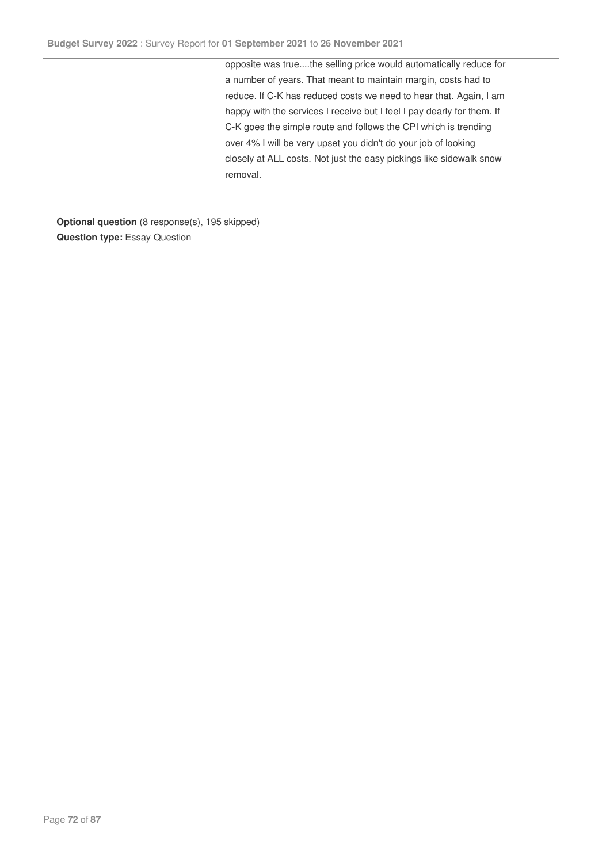opposite was true....the selling price would automatically reduce for a number of years. That meant to maintain margin, costs had to reduce. If C-K has reduced costs we need to hear that. Again, I am happy with the services I receive but I feel I pay dearly for them. If C-K goes the simple route and follows the CPI which is trending over 4% I will be very upset you didn't do your job of looking closely at ALL costs. Not just the easy pickings like sidewalk snow removal.

 **Optional question** (8 response(s), 195 skipped)  **Question type:** Essay Question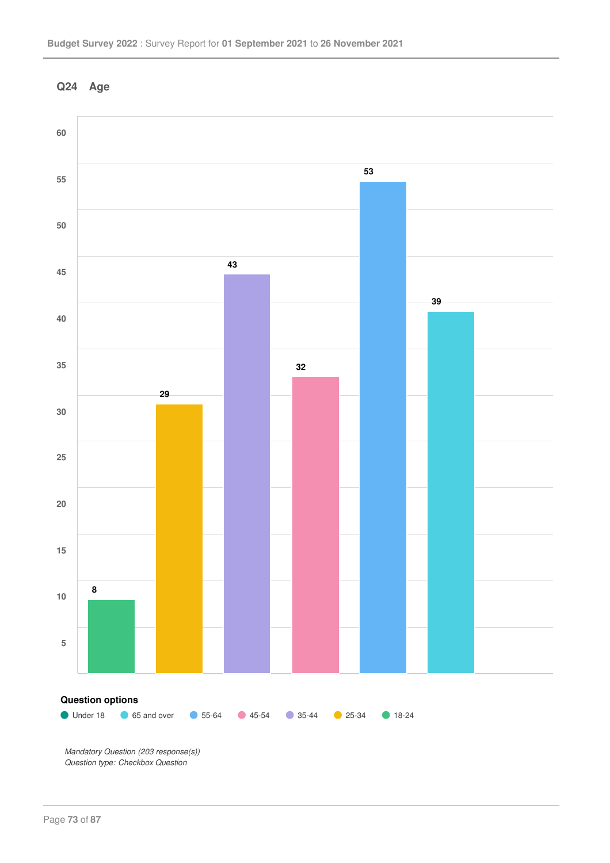### **Q24 Age**



 *Mandatory Question (203 response(s)) Question type: Checkbox Question*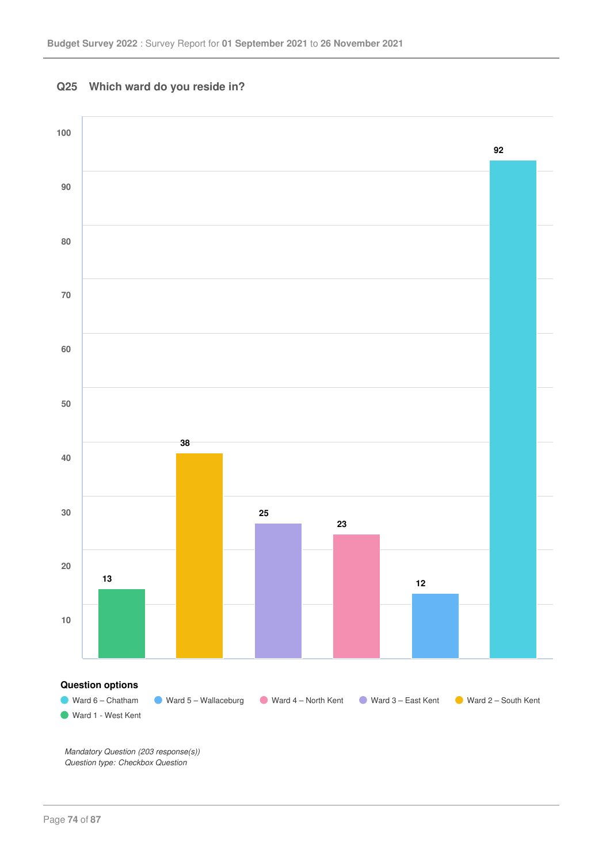



 *Mandatory Question (203 response(s)) Question type: Checkbox Question*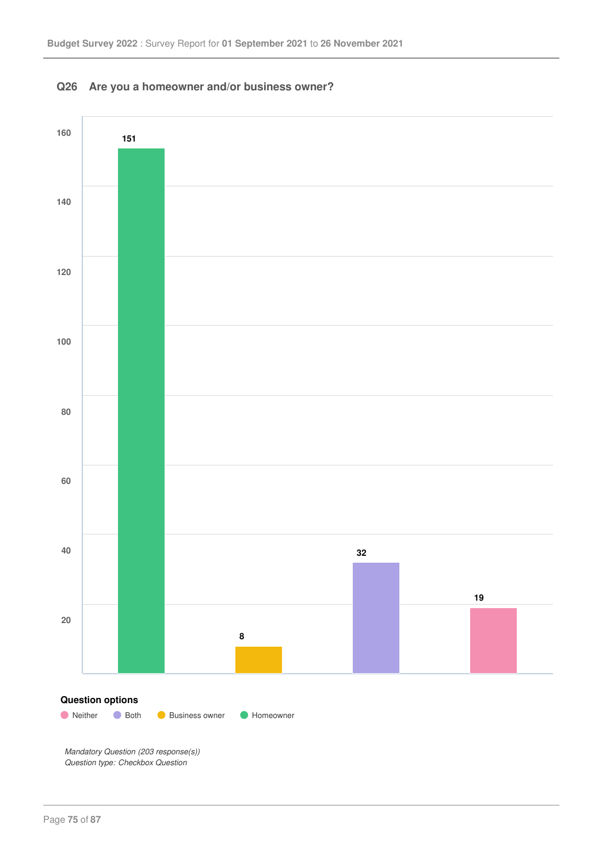



 *Mandatory Question (203 response(s)) Question type: Checkbox Question*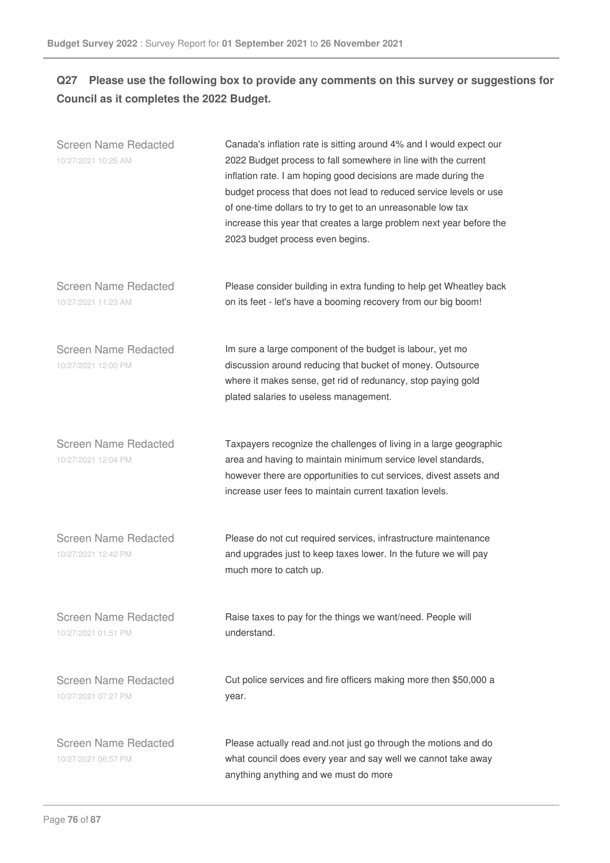# **Q27 Please use the following box to provide any comments on this survey or suggestions for Council as it completes the 2022 Budget.**

| <b>Screen Name Redacted</b><br>10/27/2021 10:25 AM | Canada's inflation rate is sitting around 4% and I would expect our<br>2022 Budget process to fall somewhere in line with the current<br>inflation rate. I am hoping good decisions are made during the<br>budget process that does not lead to reduced service levels or use<br>of one-time dollars to try to get to an unreasonable low tax<br>increase this year that creates a large problem next year before the<br>2023 budget process even begins. |
|----------------------------------------------------|-----------------------------------------------------------------------------------------------------------------------------------------------------------------------------------------------------------------------------------------------------------------------------------------------------------------------------------------------------------------------------------------------------------------------------------------------------------|
| <b>Screen Name Redacted</b><br>10/27/2021 11:23 AM | Please consider building in extra funding to help get Wheatley back<br>on its feet - let's have a booming recovery from our big boom!                                                                                                                                                                                                                                                                                                                     |
| <b>Screen Name Redacted</b><br>10/27/2021 12:00 PM | Im sure a large component of the budget is labour, yet mo<br>discussion around reducing that bucket of money. Outsource<br>where it makes sense, get rid of redunancy, stop paying gold<br>plated salaries to useless management.                                                                                                                                                                                                                         |
| <b>Screen Name Redacted</b><br>10/27/2021 12:04 PM | Taxpayers recognize the challenges of living in a large geographic<br>area and having to maintain minimum service level standards,<br>however there are opportunities to cut services, divest assets and<br>increase user fees to maintain current taxation levels.                                                                                                                                                                                       |
| <b>Screen Name Redacted</b><br>10/27/2021 12:42 PM | Please do not cut required services, infrastructure maintenance<br>and upgrades just to keep taxes lower. In the future we will pay<br>much more to catch up.                                                                                                                                                                                                                                                                                             |
| <b>Screen Name Redacted</b><br>10/27/2021 01:51 PM | Raise taxes to pay for the things we want/need. People will<br>understand.                                                                                                                                                                                                                                                                                                                                                                                |
| <b>Screen Name Redacted</b><br>10/27/2021 07:27 PM | Cut police services and fire officers making more then \$50,000 a<br>year.                                                                                                                                                                                                                                                                                                                                                                                |
| <b>Screen Name Redacted</b><br>10/27/2021 06:57 PM | Please actually read and not just go through the motions and do<br>what council does every year and say well we cannot take away<br>anything anything and we must do more                                                                                                                                                                                                                                                                                 |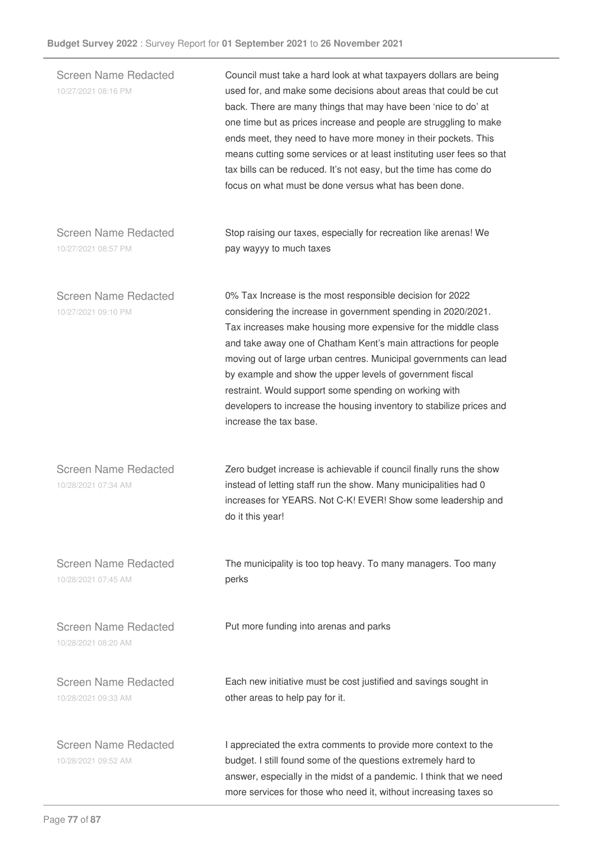| <b>Screen Name Redacted</b><br>10/27/2021 08:16 PM | Council must take a hard look at what taxpayers dollars are being<br>used for, and make some decisions about areas that could be cut<br>back. There are many things that may have been 'nice to do' at<br>one time but as prices increase and people are struggling to make<br>ends meet, they need to have more money in their pockets. This<br>means cutting some services or at least instituting user fees so that<br>tax bills can be reduced. It's not easy, but the time has come do<br>focus on what must be done versus what has been done.          |
|----------------------------------------------------|---------------------------------------------------------------------------------------------------------------------------------------------------------------------------------------------------------------------------------------------------------------------------------------------------------------------------------------------------------------------------------------------------------------------------------------------------------------------------------------------------------------------------------------------------------------|
| <b>Screen Name Redacted</b><br>10/27/2021 08:57 PM | Stop raising our taxes, especially for recreation like arenas! We<br>pay wayyy to much taxes                                                                                                                                                                                                                                                                                                                                                                                                                                                                  |
| <b>Screen Name Redacted</b><br>10/27/2021 09:10 PM | 0% Tax Increase is the most responsible decision for 2022<br>considering the increase in government spending in 2020/2021.<br>Tax increases make housing more expensive for the middle class<br>and take away one of Chatham Kent's main attractions for people<br>moving out of large urban centres. Municipal governments can lead<br>by example and show the upper levels of government fiscal<br>restraint. Would support some spending on working with<br>developers to increase the housing inventory to stabilize prices and<br>increase the tax base. |
| <b>Screen Name Redacted</b><br>10/28/2021 07:34 AM | Zero budget increase is achievable if council finally runs the show<br>instead of letting staff run the show. Many municipalities had 0<br>increases for YEARS. Not C-K! EVER! Show some leadership and<br>do it this year!                                                                                                                                                                                                                                                                                                                                   |
| Screen Name Redacted<br>10/28/2021 07:45 AM        | The municipality is too top heavy. To many managers. Too many<br>perks                                                                                                                                                                                                                                                                                                                                                                                                                                                                                        |
| Screen Name Redacted<br>10/28/2021 08:20 AM        | Put more funding into arenas and parks                                                                                                                                                                                                                                                                                                                                                                                                                                                                                                                        |
| Screen Name Redacted<br>10/28/2021 09:33 AM        | Each new initiative must be cost justified and savings sought in<br>other areas to help pay for it.                                                                                                                                                                                                                                                                                                                                                                                                                                                           |
| <b>Screen Name Redacted</b><br>10/28/2021 09:52 AM | I appreciated the extra comments to provide more context to the<br>budget. I still found some of the questions extremely hard to<br>answer, especially in the midst of a pandemic. I think that we need<br>more services for those who need it, without increasing taxes so                                                                                                                                                                                                                                                                                   |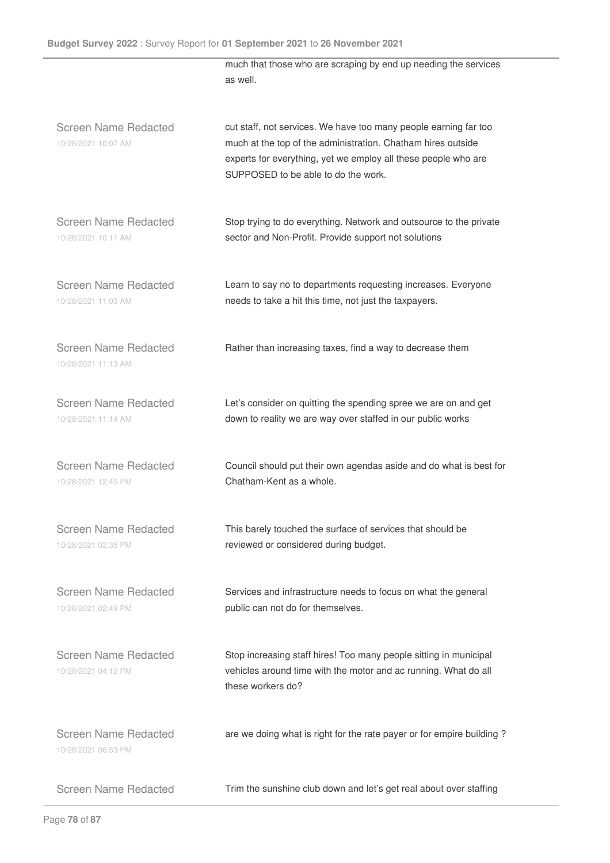|                                                    | much that those who are scraping by end up needing the services<br>as well.                                                                                                                                                               |
|----------------------------------------------------|-------------------------------------------------------------------------------------------------------------------------------------------------------------------------------------------------------------------------------------------|
|                                                    |                                                                                                                                                                                                                                           |
| <b>Screen Name Redacted</b><br>10/28/2021 10:07 AM | cut staff, not services. We have too many people earning far too<br>much at the top of the administration. Chatham hires outside<br>experts for everything, yet we employ all these people who are<br>SUPPOSED to be able to do the work. |
| Screen Name Redacted<br>10/28/2021 10:11 AM        | Stop trying to do everything. Network and outsource to the private<br>sector and Non-Profit. Provide support not solutions                                                                                                                |
| Screen Name Redacted<br>10/28/2021 11:03 AM        | Learn to say no to departments requesting increases. Everyone<br>needs to take a hit this time, not just the taxpayers.                                                                                                                   |
| <b>Screen Name Redacted</b><br>10/28/2021 11:13 AM | Rather than increasing taxes, find a way to decrease them                                                                                                                                                                                 |
| <b>Screen Name Redacted</b><br>10/28/2021 11:14 AM | Let's consider on quitting the spending spree we are on and get<br>down to reality we are way over staffed in our public works                                                                                                            |
| <b>Screen Name Redacted</b><br>10/28/2021 12:45 PM | Council should put their own agendas aside and do what is best for<br>Chatham-Kent as a whole.                                                                                                                                            |
| <b>Screen Name Redacted</b><br>10/28/2021 02:35 PM | This barely touched the surface of services that should be<br>reviewed or considered during budget.                                                                                                                                       |
| <b>Screen Name Redacted</b><br>10/28/2021 02:49 PM | Services and infrastructure needs to focus on what the general<br>public can not do for themselves.                                                                                                                                       |
| <b>Screen Name Redacted</b><br>10/28/2021 04:12 PM | Stop increasing staff hires! Too many people sitting in municipal<br>vehicles around time with the motor and ac running. What do all<br>these workers do?                                                                                 |
| <b>Screen Name Redacted</b><br>10/28/2021 06:53 PM | are we doing what is right for the rate payer or for empire building?                                                                                                                                                                     |
| <b>Screen Name Redacted</b>                        | Trim the sunshine club down and let's get real about over staffing                                                                                                                                                                        |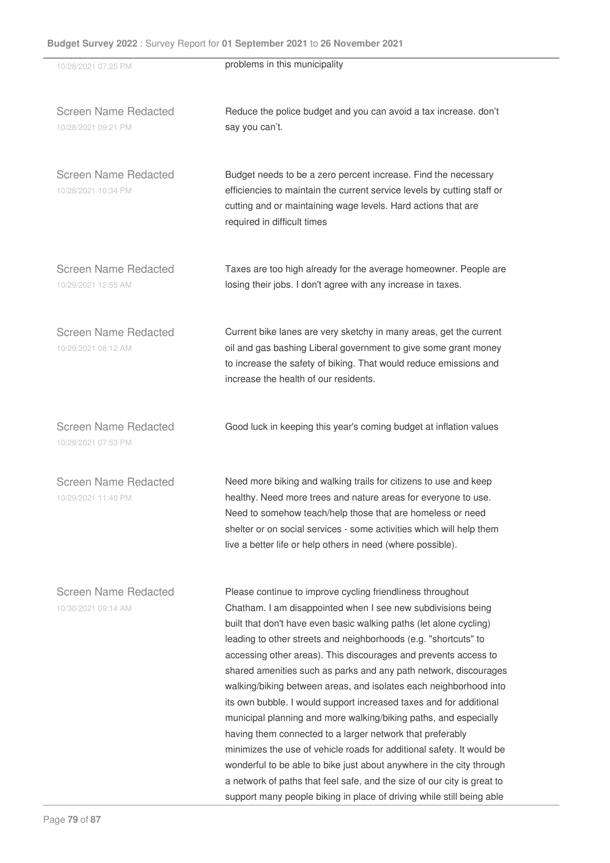#### **Budget Survey 2022** : Survey Report for **01 September 2021** to **26 November 2021**

| 10/28/2021 07:25 PM                                | problems in this municipality                                                                                                                                                                                                                                                                                                                                                                                                                                                                                                                                                                                                                                                                                                                                                                                                                                                                                                                                                               |
|----------------------------------------------------|---------------------------------------------------------------------------------------------------------------------------------------------------------------------------------------------------------------------------------------------------------------------------------------------------------------------------------------------------------------------------------------------------------------------------------------------------------------------------------------------------------------------------------------------------------------------------------------------------------------------------------------------------------------------------------------------------------------------------------------------------------------------------------------------------------------------------------------------------------------------------------------------------------------------------------------------------------------------------------------------|
|                                                    |                                                                                                                                                                                                                                                                                                                                                                                                                                                                                                                                                                                                                                                                                                                                                                                                                                                                                                                                                                                             |
| <b>Screen Name Redacted</b>                        | Reduce the police budget and you can avoid a tax increase. don't                                                                                                                                                                                                                                                                                                                                                                                                                                                                                                                                                                                                                                                                                                                                                                                                                                                                                                                            |
| 10/28/2021 09:21 PM                                | say you can't.                                                                                                                                                                                                                                                                                                                                                                                                                                                                                                                                                                                                                                                                                                                                                                                                                                                                                                                                                                              |
| <b>Screen Name Redacted</b><br>10/28/2021 10:34 PM | Budget needs to be a zero percent increase. Find the necessary<br>efficiencies to maintain the current service levels by cutting staff or<br>cutting and or maintaining wage levels. Hard actions that are<br>required in difficult times                                                                                                                                                                                                                                                                                                                                                                                                                                                                                                                                                                                                                                                                                                                                                   |
| <b>Screen Name Redacted</b><br>10/29/2021 12:55 AM | Taxes are too high already for the average homeowner. People are<br>losing their jobs. I don't agree with any increase in taxes.                                                                                                                                                                                                                                                                                                                                                                                                                                                                                                                                                                                                                                                                                                                                                                                                                                                            |
| <b>Screen Name Redacted</b><br>10/29/2021 08:12 AM | Current bike lanes are very sketchy in many areas, get the current<br>oil and gas bashing Liberal government to give some grant money<br>to increase the safety of biking. That would reduce emissions and<br>increase the health of our residents.                                                                                                                                                                                                                                                                                                                                                                                                                                                                                                                                                                                                                                                                                                                                         |
| <b>Screen Name Redacted</b><br>10/29/2021 07:53 PM | Good luck in keeping this year's coming budget at inflation values                                                                                                                                                                                                                                                                                                                                                                                                                                                                                                                                                                                                                                                                                                                                                                                                                                                                                                                          |
| <b>Screen Name Redacted</b><br>10/29/2021 11:40 PM | Need more biking and walking trails for citizens to use and keep<br>healthy. Need more trees and nature areas for everyone to use.<br>Need to somehow teach/help those that are homeless or need<br>shelter or on social services - some activities which will help them<br>live a better life or help others in need (where possible).                                                                                                                                                                                                                                                                                                                                                                                                                                                                                                                                                                                                                                                     |
| <b>Screen Name Redacted</b><br>10/30/2021 09:14 AM | Please continue to improve cycling friendliness throughout<br>Chatham. I am disappointed when I see new subdivisions being<br>built that don't have even basic walking paths (let alone cycling)<br>leading to other streets and neighborhoods (e.g. "shortcuts" to<br>accessing other areas). This discourages and prevents access to<br>shared amenities such as parks and any path network, discourages<br>walking/biking between areas, and isolates each neighborhood into<br>its own bubble. I would support increased taxes and for additional<br>municipal planning and more walking/biking paths, and especially<br>having them connected to a larger network that preferably<br>minimizes the use of vehicle roads for additional safety. It would be<br>wonderful to be able to bike just about anywhere in the city through<br>a network of paths that feel safe, and the size of our city is great to<br>support many people biking in place of driving while still being able |

i.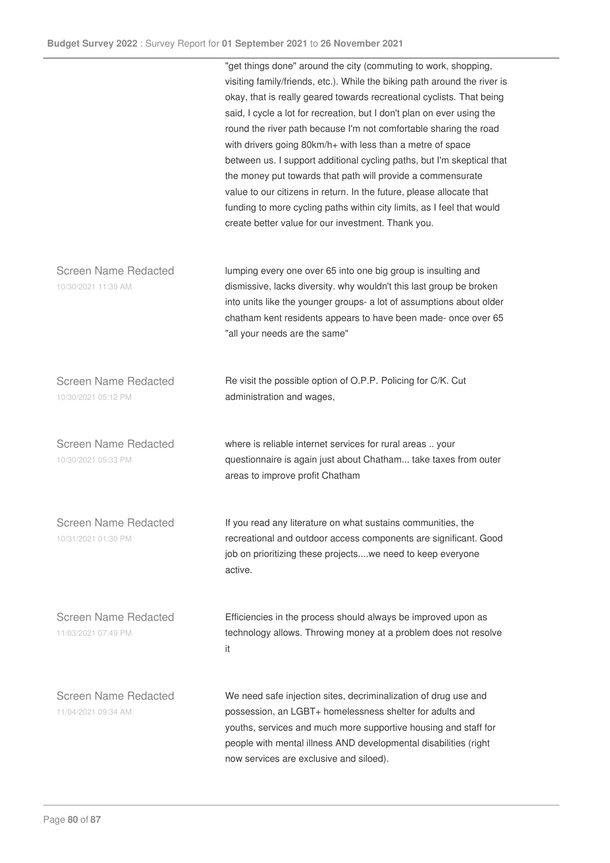|                                                    | "get things done" around the city (commuting to work, shopping,<br>visiting family/friends, etc.). While the biking path around the river is<br>okay, that is really geared towards recreational cyclists. That being<br>said, I cycle a lot for recreation, but I don't plan on ever using the<br>round the river path because I'm not comfortable sharing the road<br>with drivers going 80km/h+ with less than a metre of space<br>between us. I support additional cycling paths, but I'm skeptical that<br>the money put towards that path will provide a commensurate<br>value to our citizens in return. In the future, please allocate that<br>funding to more cycling paths within city limits, as I feel that would<br>create better value for our investment. Thank you. |
|----------------------------------------------------|-------------------------------------------------------------------------------------------------------------------------------------------------------------------------------------------------------------------------------------------------------------------------------------------------------------------------------------------------------------------------------------------------------------------------------------------------------------------------------------------------------------------------------------------------------------------------------------------------------------------------------------------------------------------------------------------------------------------------------------------------------------------------------------|
| <b>Screen Name Redacted</b><br>10/30/2021 11:39 AM | lumping every one over 65 into one big group is insulting and<br>dismissive, lacks diversity. why wouldn't this last group be broken<br>into units like the younger groups- a lot of assumptions about older<br>chatham kent residents appears to have been made- once over 65<br>"all your needs are the same"                                                                                                                                                                                                                                                                                                                                                                                                                                                                     |
| <b>Screen Name Redacted</b><br>10/30/2021 05:12 PM | Re visit the possible option of O.P.P. Policing for C/K. Cut<br>administration and wages,                                                                                                                                                                                                                                                                                                                                                                                                                                                                                                                                                                                                                                                                                           |
| <b>Screen Name Redacted</b><br>10/30/2021 05:33 PM | where is reliable internet services for rural areas  your<br>questionnaire is again just about Chatham take taxes from outer<br>areas to improve profit Chatham                                                                                                                                                                                                                                                                                                                                                                                                                                                                                                                                                                                                                     |
| <b>Screen Name Redacted</b><br>10/31/2021 01:30 PM | If you read any literature on what sustains communities, the<br>recreational and outdoor access components are significant. Good<br>job on prioritizing these projects we need to keep everyone<br>active.                                                                                                                                                                                                                                                                                                                                                                                                                                                                                                                                                                          |
| Screen Name Redacted<br>11/03/2021 07:49 PM        | Efficiencies in the process should always be improved upon as<br>technology allows. Throwing money at a problem does not resolve<br>it                                                                                                                                                                                                                                                                                                                                                                                                                                                                                                                                                                                                                                              |
| <b>Screen Name Redacted</b><br>11/04/2021 09:34 AM | We need safe injection sites, decriminalization of drug use and<br>possession, an LGBT+ homelessness shelter for adults and<br>youths, services and much more supportive housing and staff for<br>people with mental illness AND developmental disabilities (right<br>now services are exclusive and siloed).                                                                                                                                                                                                                                                                                                                                                                                                                                                                       |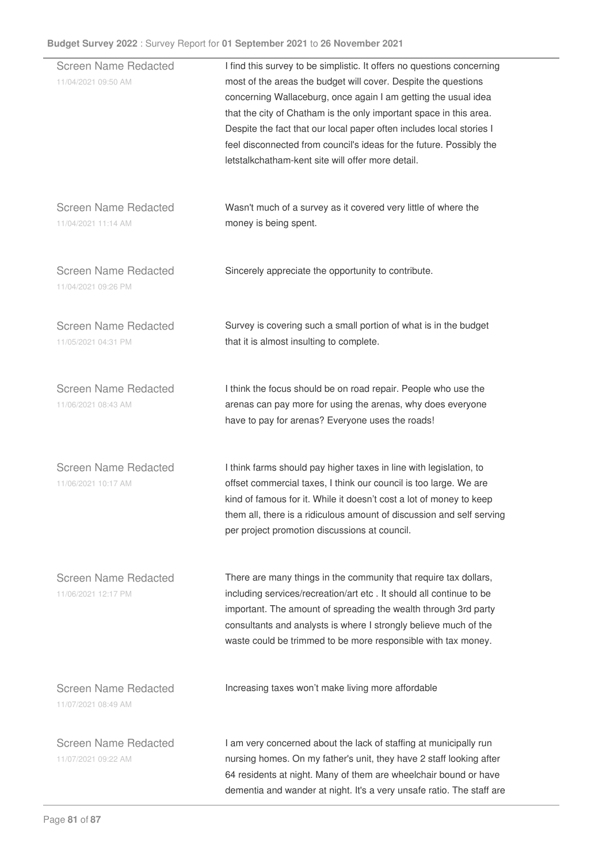### **Budget Survey 2022** : Survey Report for **01 September 2021** to **26 November 2021**

| <b>Screen Name Redacted</b><br>11/04/2021 09:50 AM | I find this survey to be simplistic. It offers no questions concerning<br>most of the areas the budget will cover. Despite the questions<br>concerning Wallaceburg, once again I am getting the usual idea<br>that the city of Chatham is the only important space in this area.<br>Despite the fact that our local paper often includes local stories I<br>feel disconnected from council's ideas for the future. Possibly the<br>letstalkchatham-kent site will offer more detail. |
|----------------------------------------------------|--------------------------------------------------------------------------------------------------------------------------------------------------------------------------------------------------------------------------------------------------------------------------------------------------------------------------------------------------------------------------------------------------------------------------------------------------------------------------------------|
| <b>Screen Name Redacted</b><br>11/04/2021 11:14 AM | Wasn't much of a survey as it covered very little of where the<br>money is being spent.                                                                                                                                                                                                                                                                                                                                                                                              |
| <b>Screen Name Redacted</b><br>11/04/2021 09:26 PM | Sincerely appreciate the opportunity to contribute.                                                                                                                                                                                                                                                                                                                                                                                                                                  |
| <b>Screen Name Redacted</b><br>11/05/2021 04:31 PM | Survey is covering such a small portion of what is in the budget<br>that it is almost insulting to complete.                                                                                                                                                                                                                                                                                                                                                                         |
| <b>Screen Name Redacted</b><br>11/06/2021 08:43 AM | I think the focus should be on road repair. People who use the<br>arenas can pay more for using the arenas, why does everyone<br>have to pay for arenas? Everyone uses the roads!                                                                                                                                                                                                                                                                                                    |
| <b>Screen Name Redacted</b><br>11/06/2021 10:17 AM | I think farms should pay higher taxes in line with legislation, to<br>offset commercial taxes, I think our council is too large. We are<br>kind of famous for it. While it doesn't cost a lot of money to keep<br>them all, there is a ridiculous amount of discussion and self serving<br>per project promotion discussions at council.                                                                                                                                             |
| Screen Name Redacted<br>11/06/2021 12:17 PM        | There are many things in the community that require tax dollars,<br>including services/recreation/art etc. It should all continue to be<br>important. The amount of spreading the wealth through 3rd party<br>consultants and analysts is where I strongly believe much of the<br>waste could be trimmed to be more responsible with tax money.                                                                                                                                      |
| Screen Name Redacted<br>11/07/2021 08:49 AM        | Increasing taxes won't make living more affordable                                                                                                                                                                                                                                                                                                                                                                                                                                   |
| Screen Name Redacted<br>11/07/2021 09:22 AM        | I am very concerned about the lack of staffing at municipally run<br>nursing homes. On my father's unit, they have 2 staff looking after<br>64 residents at night. Many of them are wheelchair bound or have<br>dementia and wander at night. It's a very unsafe ratio. The staff are                                                                                                                                                                                                |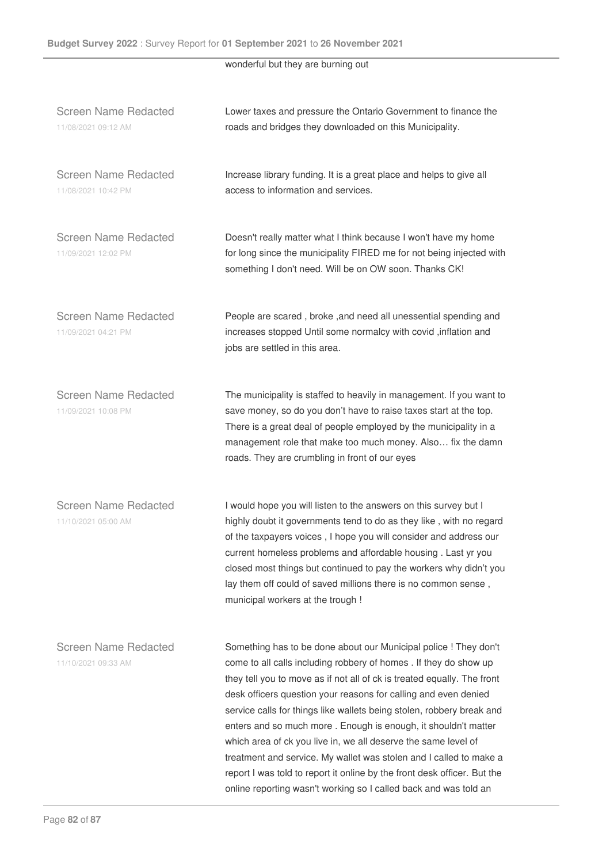wonderful but they are burning out

| Screen Name Redacted<br>11/08/2021 09:12 AM        | Lower taxes and pressure the Ontario Government to finance the<br>roads and bridges they downloaded on this Municipality.                                                                                                                                                                                                                                                                                                                                                                                                                                                                                                                                                                                              |
|----------------------------------------------------|------------------------------------------------------------------------------------------------------------------------------------------------------------------------------------------------------------------------------------------------------------------------------------------------------------------------------------------------------------------------------------------------------------------------------------------------------------------------------------------------------------------------------------------------------------------------------------------------------------------------------------------------------------------------------------------------------------------------|
| Screen Name Redacted<br>11/08/2021 10:42 PM        | Increase library funding. It is a great place and helps to give all<br>access to information and services.                                                                                                                                                                                                                                                                                                                                                                                                                                                                                                                                                                                                             |
| Screen Name Redacted<br>11/09/2021 12:02 PM        | Doesn't really matter what I think because I won't have my home<br>for long since the municipality FIRED me for not being injected with<br>something I don't need. Will be on OW soon. Thanks CK!                                                                                                                                                                                                                                                                                                                                                                                                                                                                                                                      |
| <b>Screen Name Redacted</b><br>11/09/2021 04:21 PM | People are scared, broke, and need all unessential spending and<br>increases stopped Until some normalcy with covid, inflation and<br>jobs are settled in this area.                                                                                                                                                                                                                                                                                                                                                                                                                                                                                                                                                   |
| <b>Screen Name Redacted</b><br>11/09/2021 10:08 PM | The municipality is staffed to heavily in management. If you want to<br>save money, so do you don't have to raise taxes start at the top.<br>There is a great deal of people employed by the municipality in a<br>management role that make too much money. Also fix the damn<br>roads. They are crumbling in front of our eyes                                                                                                                                                                                                                                                                                                                                                                                        |
| <b>Screen Name Redacted</b><br>11/10/2021 05:00 AM | I would hope you will listen to the answers on this survey but I<br>highly doubt it governments tend to do as they like, with no regard<br>of the taxpayers voices, I hope you will consider and address our<br>current homeless problems and affordable housing. Last yr you<br>closed most things but continued to pay the workers why didn't you<br>lay them off could of saved millions there is no common sense,<br>municipal workers at the trough !                                                                                                                                                                                                                                                             |
| <b>Screen Name Redacted</b><br>11/10/2021 09:33 AM | Something has to be done about our Municipal police ! They don't<br>come to all calls including robbery of homes . If they do show up<br>they tell you to move as if not all of ck is treated equally. The front<br>desk officers question your reasons for calling and even denied<br>service calls for things like wallets being stolen, robbery break and<br>enters and so much more. Enough is enough, it shouldn't matter<br>which area of ck you live in, we all deserve the same level of<br>treatment and service. My wallet was stolen and I called to make a<br>report I was told to report it online by the front desk officer. But the<br>online reporting wasn't working so I called back and was told an |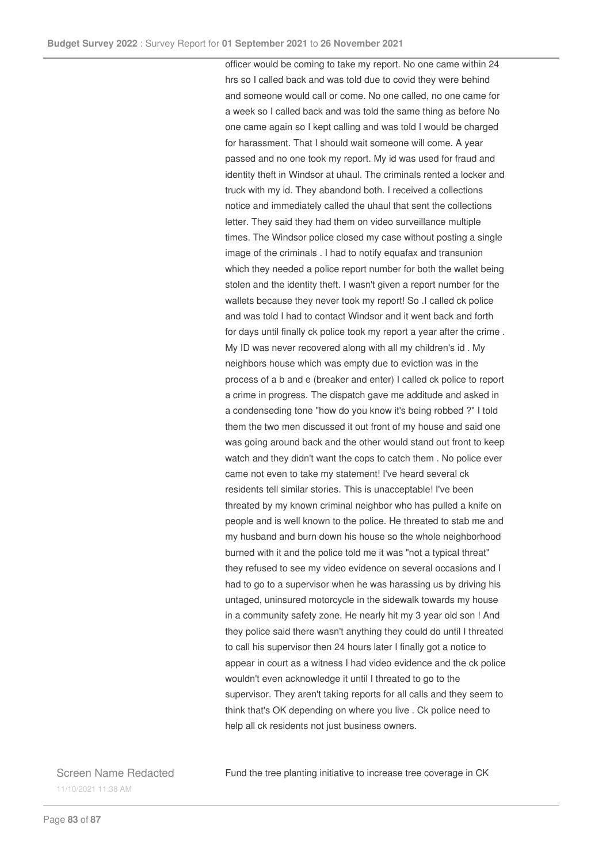officer would be coming to take my report. No one came within 24 hrs so I called back and was told due to covid they were behind and someone would call or come. No one called, no one came for a week so I called back and was told the same thing as before No one came again so I kept calling and was told I would be charged for harassment. That I should wait someone will come. A year passed and no one took my report. My id was used for fraud and identity theft in Windsor at uhaul. The criminals rented a locker and truck with my id. They abandond both. I received a collections notice and immediately called the uhaul that sent the collections letter. They said they had them on video surveillance multiple times. The Windsor police closed my case without posting a single image of the criminals . I had to notify equafax and transunion which they needed a police report number for both the wallet being stolen and the identity theft. I wasn't given a report number for the wallets because they never took my report! So .I called ck police and was told I had to contact Windsor and it went back and forth for days until finally ck police took my report a year after the crime . My ID was never recovered along with all my children's id . My neighbors house which was empty due to eviction was in the process of a b and e (breaker and enter) I called ck police to report a crime in progress. The dispatch gave me additude and asked in a condenseding tone "how do you know it's being robbed ?" I told them the two men discussed it out front of my house and said one was going around back and the other would stand out front to keep watch and they didn't want the cops to catch them . No police ever came not even to take my statement! I've heard several ck residents tell similar stories. This is unacceptable! I've been threated by my known criminal neighbor who has pulled a knife on people and is well known to the police. He threated to stab me and my husband and burn down his house so the whole neighborhood burned with it and the police told me it was "not a typical threat" they refused to see my video evidence on several occasions and I had to go to a supervisor when he was harassing us by driving his untaged, uninsured motorcycle in the sidewalk towards my house in a community safety zone. He nearly hit my 3 year old son ! And they police said there wasn't anything they could do until I threated to call his supervisor then 24 hours later I finally got a notice to appear in court as a witness I had video evidence and the ck police wouldn't even acknowledge it until I threated to go to the supervisor. They aren't taking reports for all calls and they seem to think that's OK depending on where you live . Ck police need to help all ck residents not just business owners.

Screen Name Redacted 11/10/2021 11:38 AM

Screen Name Redacted Fund the tree planting initiative to increase tree coverage in CK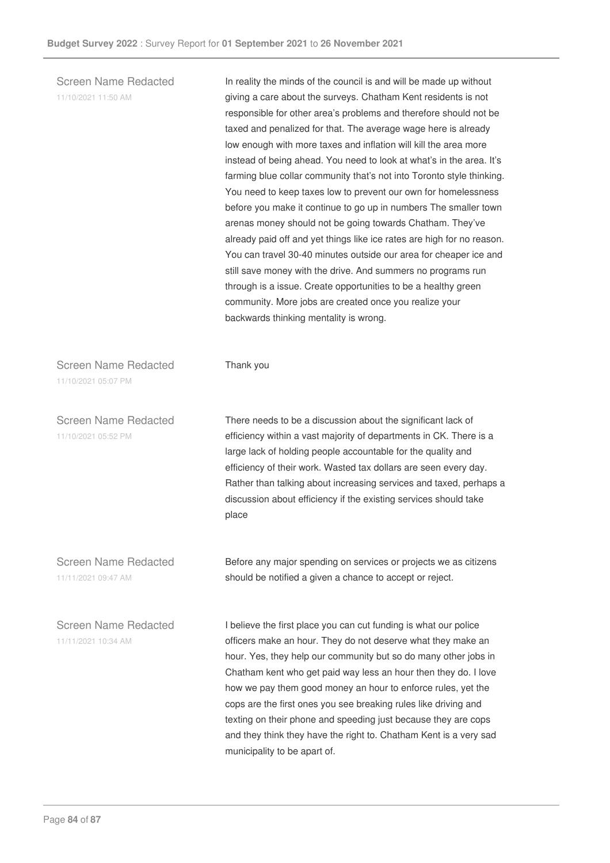| <b>Screen Name Redacted</b><br>11/10/2021 11:50 AM | In reality the minds of the council is and will be made up without<br>giving a care about the surveys. Chatham Kent residents is not<br>responsible for other area's problems and therefore should not be<br>taxed and penalized for that. The average wage here is already<br>low enough with more taxes and inflation will kill the area more<br>instead of being ahead. You need to look at what's in the area. It's<br>farming blue collar community that's not into Toronto style thinking.<br>You need to keep taxes low to prevent our own for homelessness<br>before you make it continue to go up in numbers The smaller town<br>arenas money should not be going towards Chatham. They've<br>already paid off and yet things like ice rates are high for no reason.<br>You can travel 30-40 minutes outside our area for cheaper ice and<br>still save money with the drive. And summers no programs run<br>through is a issue. Create opportunities to be a healthy green<br>community. More jobs are created once you realize your<br>backwards thinking mentality is wrong. |
|----------------------------------------------------|------------------------------------------------------------------------------------------------------------------------------------------------------------------------------------------------------------------------------------------------------------------------------------------------------------------------------------------------------------------------------------------------------------------------------------------------------------------------------------------------------------------------------------------------------------------------------------------------------------------------------------------------------------------------------------------------------------------------------------------------------------------------------------------------------------------------------------------------------------------------------------------------------------------------------------------------------------------------------------------------------------------------------------------------------------------------------------------|
| <b>Screen Name Redacted</b><br>11/10/2021 05:07 PM | Thank you                                                                                                                                                                                                                                                                                                                                                                                                                                                                                                                                                                                                                                                                                                                                                                                                                                                                                                                                                                                                                                                                                |
| <b>Screen Name Redacted</b><br>11/10/2021 05:52 PM | There needs to be a discussion about the significant lack of<br>efficiency within a vast majority of departments in CK. There is a<br>large lack of holding people accountable for the quality and<br>efficiency of their work. Wasted tax dollars are seen every day.<br>Rather than talking about increasing services and taxed, perhaps a<br>discussion about efficiency if the existing services should take<br>place                                                                                                                                                                                                                                                                                                                                                                                                                                                                                                                                                                                                                                                                |
| <b>Screen Name Redacted</b><br>11/11/2021 09:47 AM | Before any major spending on services or projects we as citizens<br>should be notified a given a chance to accept or reject.                                                                                                                                                                                                                                                                                                                                                                                                                                                                                                                                                                                                                                                                                                                                                                                                                                                                                                                                                             |
| Screen Name Redacted<br>11/11/2021 10:34 AM        | I believe the first place you can cut funding is what our police<br>officers make an hour. They do not deserve what they make an<br>hour. Yes, they help our community but so do many other jobs in<br>Chatham kent who get paid way less an hour then they do. I love<br>how we pay them good money an hour to enforce rules, yet the<br>cops are the first ones you see breaking rules like driving and<br>texting on their phone and speeding just because they are cops<br>and they think they have the right to. Chatham Kent is a very sad<br>municipality to be apart of.                                                                                                                                                                                                                                                                                                                                                                                                                                                                                                         |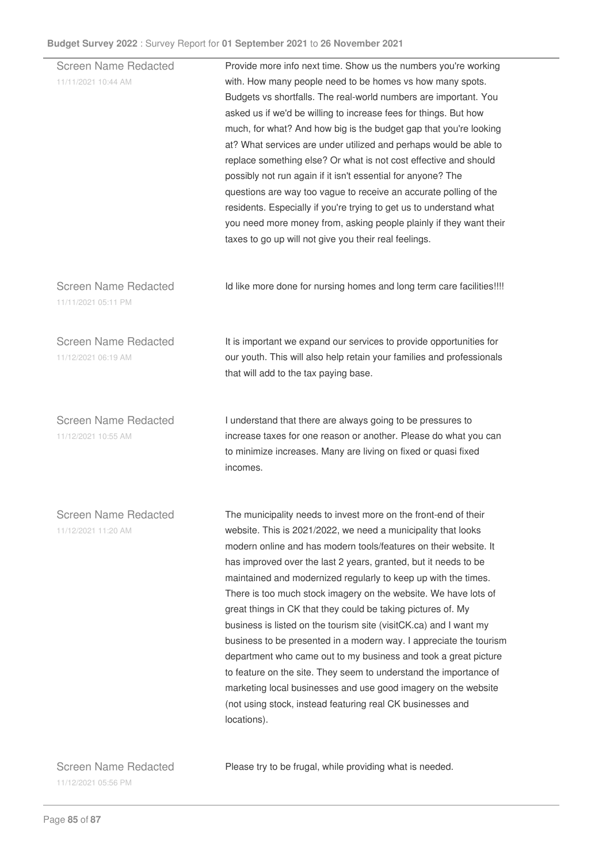| <b>Screen Name Redacted</b>                        | Provide more info next time. Show us the numbers you're working                                                              |
|----------------------------------------------------|------------------------------------------------------------------------------------------------------------------------------|
| 11/11/2021 10:44 AM                                | with. How many people need to be homes vs how many spots.                                                                    |
|                                                    | Budgets vs shortfalls. The real-world numbers are important. You                                                             |
|                                                    | asked us if we'd be willing to increase fees for things. But how                                                             |
|                                                    | much, for what? And how big is the budget gap that you're looking                                                            |
|                                                    | at? What services are under utilized and perhaps would be able to                                                            |
|                                                    | replace something else? Or what is not cost effective and should                                                             |
|                                                    | possibly not run again if it isn't essential for anyone? The                                                                 |
|                                                    | questions are way too vague to receive an accurate polling of the                                                            |
|                                                    | residents. Especially if you're trying to get us to understand what                                                          |
|                                                    | you need more money from, asking people plainly if they want their                                                           |
|                                                    | taxes to go up will not give you their real feelings.                                                                        |
| <b>Screen Name Redacted</b><br>11/11/2021 05:11 PM | Id like more done for nursing homes and long term care facilities!!!!                                                        |
|                                                    |                                                                                                                              |
| <b>Screen Name Redacted</b>                        | It is important we expand our services to provide opportunities for                                                          |
| 11/12/2021 06:19 AM                                | our youth. This will also help retain your families and professionals                                                        |
|                                                    | that will add to the tax paying base.                                                                                        |
| <b>Screen Name Redacted</b>                        | I understand that there are always going to be pressures to                                                                  |
| 11/12/2021 10:55 AM                                | increase taxes for one reason or another. Please do what you can                                                             |
|                                                    | to minimize increases. Many are living on fixed or quasi fixed<br>incomes.                                                   |
| <b>Screen Name Redacted</b>                        | The municipality needs to invest more on the front-end of their                                                              |
| 11/12/2021 11:20 AM                                | website. This is 2021/2022, we need a municipality that looks                                                                |
|                                                    | modern online and has modern tools/features on their website. It                                                             |
|                                                    | has improved over the last 2 years, granted, but it needs to be                                                              |
|                                                    | maintained and modernized regularly to keep up with the times.                                                               |
|                                                    | There is too much stock imagery on the website. We have lots of                                                              |
|                                                    | great things in CK that they could be taking pictures of. My                                                                 |
|                                                    | business is listed on the tourism site (visitCK.ca) and I want my                                                            |
|                                                    | business to be presented in a modern way. I appreciate the tourism                                                           |
|                                                    | department who came out to my business and took a great picture                                                              |
|                                                    | to feature on the site. They seem to understand the importance of                                                            |
|                                                    | marketing local businesses and use good imagery on the website<br>(not using stock, instead featuring real CK businesses and |
|                                                    | locations).                                                                                                                  |
|                                                    |                                                                                                                              |
|                                                    |                                                                                                                              |

Screen Name Redacted

11/12/2021 05:56 PM

Screen Name Redacted **Please try to be frugal, while providing what is needed.**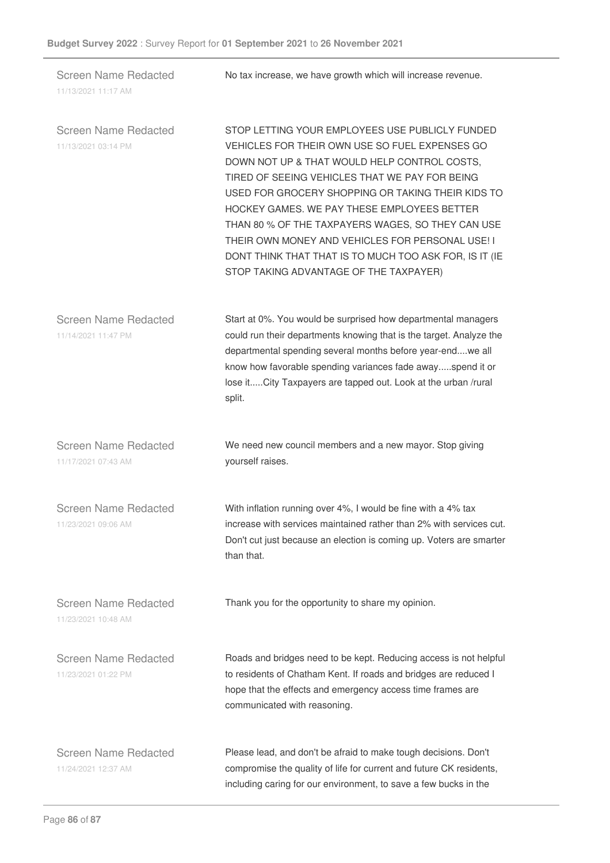| <b>Screen Name Redacted</b><br>11/13/2021 11:17 AM | No tax increase, we have growth which will increase revenue.                                                                                                                                                                                                                                                                                                                                                                                                                                                         |
|----------------------------------------------------|----------------------------------------------------------------------------------------------------------------------------------------------------------------------------------------------------------------------------------------------------------------------------------------------------------------------------------------------------------------------------------------------------------------------------------------------------------------------------------------------------------------------|
| <b>Screen Name Redacted</b><br>11/13/2021 03:14 PM | STOP LETTING YOUR EMPLOYEES USE PUBLICLY FUNDED<br>VEHICLES FOR THEIR OWN USE SO FUEL EXPENSES GO<br>DOWN NOT UP & THAT WOULD HELP CONTROL COSTS,<br>TIRED OF SEEING VEHICLES THAT WE PAY FOR BEING<br>USED FOR GROCERY SHOPPING OR TAKING THEIR KIDS TO<br>HOCKEY GAMES. WE PAY THESE EMPLOYEES BETTER<br>THAN 80 % OF THE TAXPAYERS WAGES, SO THEY CAN USE<br>THEIR OWN MONEY AND VEHICLES FOR PERSONAL USE! I<br>DONT THINK THAT THAT IS TO MUCH TOO ASK FOR, IS IT (IE<br>STOP TAKING ADVANTAGE OF THE TAXPAYER) |
| <b>Screen Name Redacted</b><br>11/14/2021 11:47 PM | Start at 0%. You would be surprised how departmental managers<br>could run their departments knowing that is the target. Analyze the<br>departmental spending several months before year-endwe all<br>know how favorable spending variances fade awayspend it or<br>lose it City Taxpayers are tapped out. Look at the urban /rural<br>split.                                                                                                                                                                        |
| <b>Screen Name Redacted</b><br>11/17/2021 07:43 AM | We need new council members and a new mayor. Stop giving<br>yourself raises.                                                                                                                                                                                                                                                                                                                                                                                                                                         |
| <b>Screen Name Redacted</b><br>11/23/2021 09:06 AM | With inflation running over 4%, I would be fine with a 4% tax<br>increase with services maintained rather than 2% with services cut.<br>Don't cut just because an election is coming up. Voters are smarter<br>than that.                                                                                                                                                                                                                                                                                            |
| <b>Screen Name Redacted</b><br>11/23/2021 10:48 AM | Thank you for the opportunity to share my opinion.                                                                                                                                                                                                                                                                                                                                                                                                                                                                   |
| Screen Name Redacted<br>11/23/2021 01:22 PM        | Roads and bridges need to be kept. Reducing access is not helpful<br>to residents of Chatham Kent. If roads and bridges are reduced I<br>hope that the effects and emergency access time frames are<br>communicated with reasoning.                                                                                                                                                                                                                                                                                  |
| Screen Name Redacted<br>11/24/2021 12:37 AM        | Please lead, and don't be afraid to make tough decisions. Don't<br>compromise the quality of life for current and future CK residents,<br>including caring for our environment, to save a few bucks in the                                                                                                                                                                                                                                                                                                           |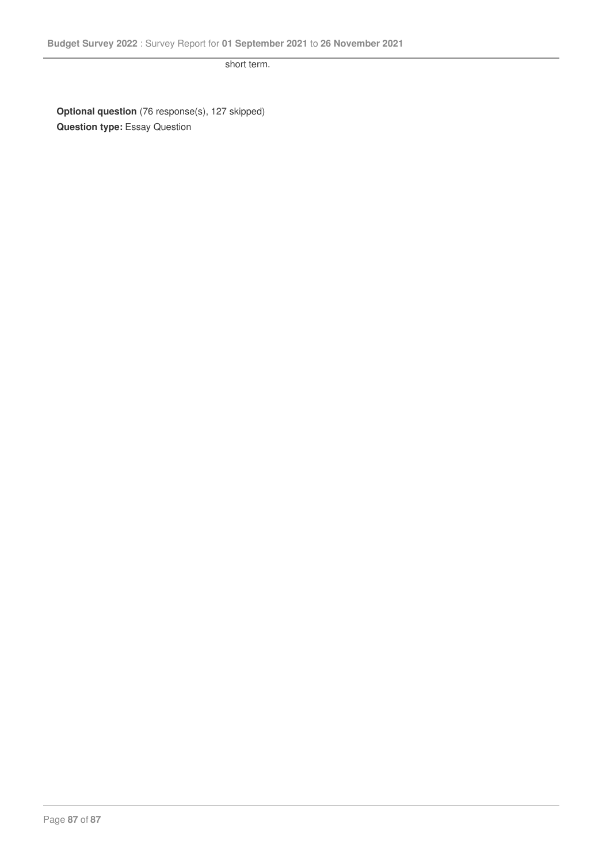short term.

 **Optional question** (76 response(s), 127 skipped)  **Question type:** Essay Question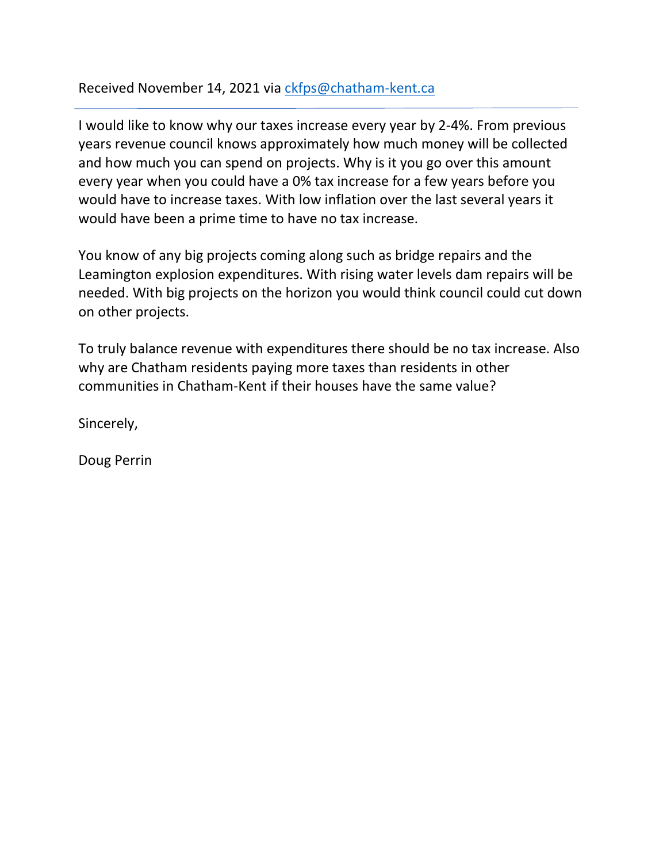Received November 14, 2021 via [ckfps@chatham-kent.ca](mailto:ckfps@chatham-kent.ca)

I would like to know why our taxes increase every year by 2-4%. From previous years revenue council knows approximately how much money will be collected and how much you can spend on projects. Why is it you go over this amount every year when you could have a 0% tax increase for a few years before you would have to increase taxes. With low inflation over the last several years it would have been a prime time to have no tax increase.

You know of any big projects coming along such as bridge repairs and the Leamington explosion expenditures. With rising water levels dam repairs will be needed. With big projects on the horizon you would think council could cut down on other projects.

To truly balance revenue with expenditures there should be no tax increase. Also why are Chatham residents paying more taxes than residents in other communities in Chatham-Kent if their houses have the same value?

Sincerely,

Doug Perrin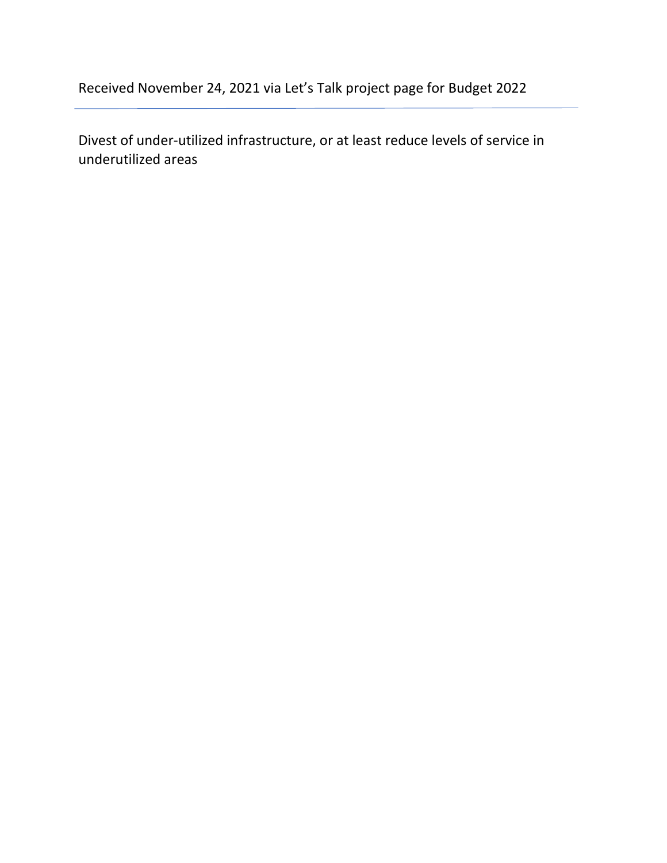Received November 24, 2021 via Let's Talk project page for Budget 2022

Divest of under-utilized infrastructure, or at least reduce levels of service in underutilized areas